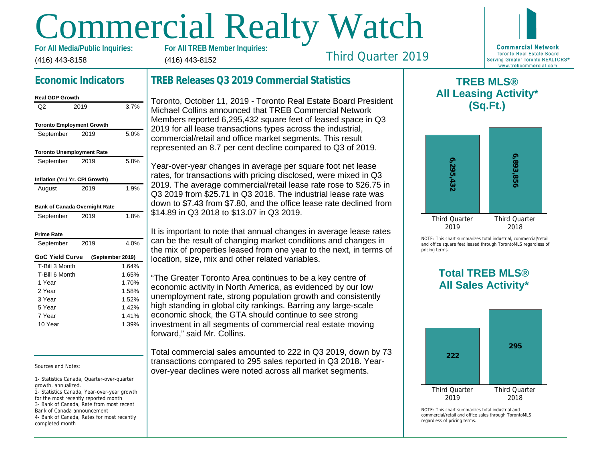# Commercial Realty Watch

(416) 443-8158 For All Media/Public Inquiries: (416) 443-8152

# Third Quarter 2019

# Economic Indicators

| <b>Real GDP Growth</b>           |      |                  |
|----------------------------------|------|------------------|
| Q2                               | 2019 | 3.7%             |
| <b>Toronto Employment Growth</b> |      |                  |
| September                        | 2019 | 5.0%             |
| <b>Toronto Unemployment Rate</b> |      |                  |
| September                        | 2019 | 5.8%             |
| Inflation (Yr./ Yr. CPI Growth)  |      |                  |
| August                           | 2019 | 1.9%             |
| Bank of Canada Overnight Rate    |      |                  |
| September                        | 2019 | 1.8%             |
| Prime Rate                       |      |                  |
| September                        | 2019 | 4.0%             |
| <b>GoC Yield Curve</b>           |      | (September 2019) |
| T-Bill 3 Month                   |      | 1.64%            |
| T-Bill 6 Month                   |      | 1.65%            |
| 1 Year                           |      | 1.70%            |
| 2 Year                           |      | 1.58%            |
| 3 Year                           |      | 1.52%            |
| 5 Year                           |      | 1.42%            |
| 7 Year                           |      | 1.41%            |
| 10 Year                          |      | 1.39%            |

Sources and Notes:

completed month

1- Statistics Canada, Quarter-over-quarter growth, annualized.

2- Statistics Canada, Year-over-year growth for the most recently reported month 3- Bank of Canada, Rate from most recent Bank of Canada announcement 4- Bank of Canada, Rates for most recently

# TREB Releases Q3 2019 Commercial Statistics

Toronto, October 11, 2019 - Toronto Real Estate Board President Michael Collins announced that TREB Commercial Network Members reported 6,295,432 square feet of leased space in Q3 2019 for all lease transactions types across the industrial, commercial/retail and office market segments. This result represented an 8.7 per cent decline compared to Q3 of 2019.

Year-over-year changes in average per square foot net lease rates, for transactions with pricing disclosed, were mixed in Q3 2019. The average commercial/retail lease rate rose to \$26.75 in Q3 2019 from \$25.71 in Q3 2018. The industrial lease rate was down to \$7.43 from \$7.80, and the office lease rate declined from \$14.89 in Q3 2018 to \$13.07 in Q3 2019.

It is important to note that annual changes in average lease rates can be the result of changing market conditions and changes in the mix of properties leased from one year to the next, in terms of location, size, mix and other related variables.

"The Greater Toronto Area continues to be a key centre of economic activity in North America, as evidenced by our low unemployment rate, strong population growth and consistently high standing in global city rankings. Barring any large-scale economic shock, the GTA should continue to see strong investment in all segments of commercial real estate moving forward," said Mr. Collins.

Total commercial sales amounted to 222 in Q3 2019, down by 73 transactions compared to 295 sales reported in Q3 2018. Yearover-year declines were noted across all market segments.

 $\mathsf T$ All Lea

NOTE: This chart sur and office square fee pricing terms.

> Total All Sa

 $NOTF: This chart sur$ commercial/retail and regardless of pricing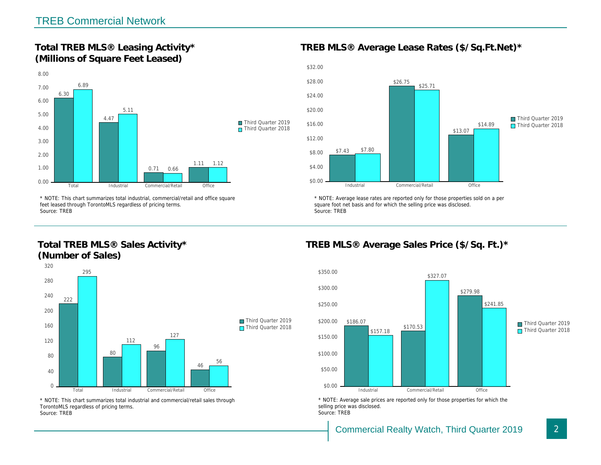Total TREB MLS® Leasing Activity\* (Millions of Square Feet Leased)

TREB MLS® Average Lease Rates (\$/So.

\* NOTE: This chart summarizes total industrial, commercial/retail and office square feet leased through TorontoMLS regardless of pricing terms. Source: TREB

Total TREB MLS® Sales Activity\* (Number of Sales)

\* NOTE: Average lease rates are reported only for those proper square foot net basis and for which the selling price was disclos Source: TREB

TREB MLS® Average Sales Price (\$/So.

\* NOTE: This chart summarizes total industrial and commercial/retail sales through TorontoMLS regardless of pricing terms. Source: TREB

\* NOTE: Average sale prices are reported only for those prope selling price was disclosed. Source: TREB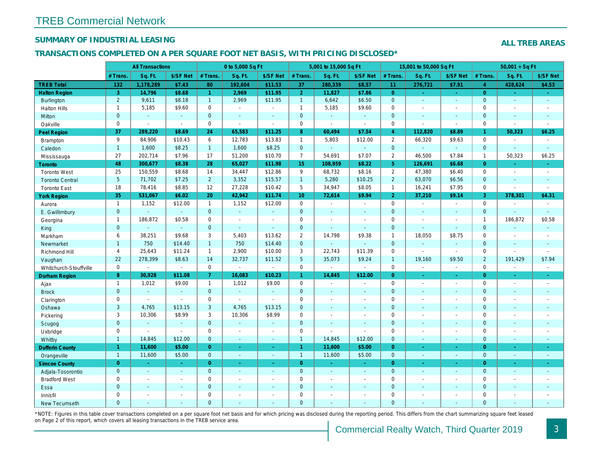## SUMMARY OF INDUSTRIAL LEASING

### TRANSACTIONS COMPLETED ON A PER SQUARE FOOT NET BASIS, WITH PRICING DISCLOSED\*

|                        |                 | <b>All Transactions</b> |                |                | 0 to 5,000 Sq Ft      |                          |                  | 5,001 to 15,000 Sq Ft |                          |                | 15,001 to 50,000 Sq Ft |                          |
|------------------------|-----------------|-------------------------|----------------|----------------|-----------------------|--------------------------|------------------|-----------------------|--------------------------|----------------|------------------------|--------------------------|
|                        | # Trans.        | Sq. Ft.                 | \$/SF Net      | # Trans.       | Sq. Ft.               | \$/SF Net                | # Trans.         | Sq. Ft.               | \$/SF Net                | # Trans.       | Sq. Ft.                | \$/SF Ne                 |
| <b>TREB Total</b>      | 132             | 1,178,289               | \$7.43         | 80             | 192,604               | \$11.53                  | 37               | 280,339               | \$8.57                   | 11             | 276,721                | \$7.91                   |
| <b>Halton Region</b>   | 3               | 14,796                  | \$8.68         | $\mathbf{1}$   | 2,969                 | \$11.95                  | 2 <sup>1</sup>   | 11,827                | \$7.86                   | $\overline{0}$ | $\omega$               | $\sim$                   |
| <b>Burlington</b>      | $\overline{2}$  | 9,611                   | \$8.18         | $\mathbf{1}$   | 2,969                 | \$11.95                  | $\mathbf{1}$     | 6,642                 | \$6.50                   | $\overline{0}$ | $\omega$               | $\blacksquare$           |
| <b>Halton Hills</b>    | $\mathbf{1}$    | 5,185                   | \$9.60         | $\mathbf 0$    | $\sim$                | $\blacksquare$           | $\mathbf{1}$     | 5,185                 | \$9.60                   | $\mathbf 0$    | $\sim$                 | $\blacksquare$           |
| Milton                 | $\mathbf{0}$    | $\sim$                  | $\sim$         | $\mathbf{0}$   | $\omega$              | $\blacksquare$           | $\mathbf 0$      | $\omega$              | $\sim$                   | $\mathbf{0}$   | $\blacksquare$         | $\blacksquare$           |
| Oakville               | $\mathbf 0$     | $\blacksquare$          | $\blacksquare$ | $\mathbf 0$    | $\tilde{\phantom{a}}$ | $\sim$                   | $\mathbf 0$      | $\mathbf{r}$          | $\blacksquare$           | $\mathbf{0}$   | $\blacksquare$         | $\sim$                   |
| Peel Region            | 37              | 289,220                 | \$8.69         | 24             | 65,583                | \$11.25                  | $\boldsymbol{8}$ | 60,494                | \$7.54                   | $\overline{4}$ | 112,820                | \$8.89                   |
| Brampton               | 9               | 84,906                  | \$10.43        | 6              | 12,783                | \$13.83                  | $\mathbf{1}$     | 5,803                 | \$12.00                  | $\overline{2}$ | 66,320                 | \$9.63                   |
| Caledon                | $\mathbf{1}$    | 1,600                   | \$8.25         | $\mathbf{1}$   | 1,600                 | \$8.25                   | $\mathbf{0}$     | $\omega$              | $\omega$                 | $\overline{0}$ | $\omega$               | $\blacksquare$           |
| Mississauga            | 27              | 202,714                 | \$7.96         | 17             | 51,200                | \$10.70                  | $\overline{7}$   | 54,691                | \$7.07                   | $\overline{2}$ | 46,500                 | \$7.84                   |
| <b>Toronto</b>         | 48              | 300,677                 | \$8.38         | 28             | 65,027                | \$11.98                  | 15 <sub>1</sub>  | 108,959               | \$8.22                   | 5 <sup>5</sup> | 126,691                | \$6.68                   |
| <b>Toronto West</b>    | 25              | 150,559                 | \$8.68         | 14             | 34,447                | \$12.86                  | 9                | 68,732                | \$8.16                   | $\overline{2}$ | 47,380                 | \$6.40                   |
| <b>Toronto Central</b> | $5\phantom{.0}$ | 71,702                  | \$7.25         | $2^{\circ}$    | 3,352                 | \$15.57                  | $\mathbf{1}$     | 5,280                 | \$10.25                  | $\overline{2}$ | 63,070                 | \$6.56                   |
| <b>Toronto East</b>    | 18              | 78,416                  | \$8.85         | 12             | 27,228                | \$10.42                  | 5                | 34,947                | \$8.05                   | $\overline{1}$ | 16,241                 | \$7.95                   |
| <b>York Region</b>     | 35              | 531,067                 | \$6.02         | 20             | 42.942                | \$11.74                  | 10 <sup>°</sup>  | 72,614                | \$9.94                   | $\overline{2}$ | 37,210                 | \$9.14                   |
| Aurora                 | $\mathbf{1}$    | 1,152                   | \$12.00        | $\mathbf{1}$   | 1,152                 | \$12.00                  | $\mathbf 0$      | $\blacksquare$        | $\blacksquare$           | $\mathbf 0$    | $\blacksquare$         | $\blacksquare$           |
| E. Gwillimbury         | $\mathbf{0}$    |                         | $\omega$       | $\mathbf{0}$   | $\omega$              | $\omega$                 | $\mathbf{0}$     | $\sim$                | $\sim$                   | $\mathbf{0}$   | $\omega$               | $\blacksquare$           |
| Georgina               | $\mathbf{1}$    | 186,872                 | \$0.58         | $\mathbf 0$    | $\sim$                | $\blacksquare$           | $\mathbf 0$      | $\blacksquare$        | $\overline{a}$           | $\mathbf 0$    | $\sim$                 | $\blacksquare$           |
| King                   | $\mathbf{0}$    | $\sim$                  | $\omega$       | $\mathbf{0}$   | $\sim$                | $\omega$                 | $\mathbf{0}$     | $\mathbf{r}$          | $\Delta$                 | $\mathbf{0}$   | $\mathbf{r}$           | $\sim$                   |
| Markham                | 6               | 38,251                  | \$9.68         | 3              | 5,403                 | \$13.62                  | $\overline{2}$   | 14,798                | \$9.38                   | $\overline{1}$ | 18,050                 | \$8.75                   |
| Newmarket              | $\mathbf{1}$    | 750                     | \$14.40        | $\mathbf{1}$   | 750                   | \$14.40                  | $\mathbf 0$      | ä,                    | $\mathbf{r}$             | $\mathbf{0}$   | $\omega$               | $\bullet$                |
| Richmond Hill          | 4               | 25,643                  | \$11.24        | $\mathbf{1}$   | 2,900                 | \$10.00                  | 3                | 22,743                | \$11.39                  | $\mathbf 0$    | $\blacksquare$         | $\blacksquare$           |
| Vaughan                | 22              | 278,399                 | \$8.63         | 14             | 32,737                | \$11.52                  | $5\phantom{.0}$  | 35,073                | \$9.24                   | $\overline{1}$ | 19,160                 | \$9.50                   |
| Whitchurch-Stouffville | 0               | $\sim$                  | $\mathbf{r}$   | $\mathbf 0$    | $\blacksquare$        | $\blacksquare$           | $\mathsf 0$      | $\blacksquare$        | $\blacksquare$           | $\mathbf 0$    | $\tilde{\phantom{a}}$  | $\blacksquare$           |
| Durham Region          | 8               | 30,928                  | \$11.08        | $\overline{7}$ | 16,083                | \$10.23                  | $\mathbf{1}$     | 14,845                | \$12.00                  | $\overline{0}$ | $\blacksquare$         | $\sigma$                 |
| Ajax                   | $\mathbf{1}$    | 1,012                   | \$9.00         | $\mathbf{1}$   | 1,012                 | \$9.00                   | $\mathbf 0$      | $\blacksquare$        | $\sim$                   | $\Omega$       | $\blacksquare$         | $\blacksquare$           |
| <b>Brock</b>           | $\mathbf{0}$    | $\omega$                | $\omega$       | $\mathbf{0}$   | $\omega$              | $\blacksquare$           | $\mathbf 0$      | $\blacksquare$        | $\sim$                   | $\mathbf{0}$   | $\blacksquare$         | $\blacksquare$           |
| Clarington             | 0               | $\sim$                  | $\omega$       | $\mathbf 0$    | $\tilde{\phantom{a}}$ | $\sim$                   | $\mathbf 0$      | $\blacksquare$        | $\blacksquare$           | $\mathbf 0$    | $\blacksquare$         | $\blacksquare$           |
| Oshawa                 | 3               | 4,765                   | \$13.15        | 3              | 4,765                 | \$13.15                  | $\mathbf{0}$     | ٠                     | $\overline{a}$           | $\mathbf{0}$   | $\sim$                 | $\sim$                   |
| Pickering              | 3               | 10,306                  | \$8.99         | 3              | 10,306                | \$8.99                   | $\mathsf 0$      | $\blacksquare$        | $\blacksquare$           | $\mathbf 0$    | $\blacksquare$         | $\blacksquare$           |
| Scugog                 | $\mathbf{0}$    | $\sim$                  | $\sim$         | $\mathbf{0}$   | ä,                    | $\blacksquare$           | $\mathbf{0}$     | $\omega$              | $\omega$                 | $\mathbf{0}$   | $\omega$               | $\blacksquare$           |
| Uxbridge               | $\mathbf 0$     | $\sim$                  | $\omega$       | $\mathbf 0$    | $\sim$                | $\sim$                   | $\mathbf 0$      | ÷,                    | $\blacksquare$           | $\mathbf 0$    | $\blacksquare$         | $\sim$                   |
| Whitby                 | $\mathbf{1}$    | 14,845                  | \$12.00        | $\mathbf 0$    | $\omega$              | $\omega$                 | $\mathbf{1}$     | 14,845                | \$12.00                  | $\mathbf{0}$   | $\blacksquare$         | $\sim$                   |
| <b>Dufferin County</b> | $\mathbf{1}$    | 11,600                  | \$5.00         | $\overline{0}$ | $\sim$                | $\sim$                   | $\mathbf{1}$     | 11,600                | \$5.00                   | $\overline{0}$ | $\sim$                 | $\sim$                   |
| Orangeville            | $\mathbf{1}$    | 11,600                  | \$5.00         | $\overline{0}$ | $\omega$              | $\omega$                 | $\mathbf{1}$     | 11,600                | \$5.00                   | $\mathbf{0}$   | $\omega$               | $\sim$                   |
| <b>Simcoe County</b>   | $\overline{0}$  | $\bullet$               | $\sim$         | $\overline{0}$ | $\blacksquare$        | ÷                        | $\mathbf{0}$     | $\blacksquare$        | $\sim$                   | $\overline{0}$ | $\blacksquare$         | $\sigma_{\rm c}$         |
| Adjala-Tosorontio      | $\mathbf{0}$    | $\sim$                  | $\sim$         | $\mathbf{0}$   | $\sim$                | $\sim$                   | $\mathbf{0}$     | $\blacksquare$        | $\sim$                   | $\overline{0}$ | $\blacksquare$         | $\sim$                   |
| <b>Bradford West</b>   | 0               | $\blacksquare$          | $\sim$         | $\mathbf 0$    | $\omega$              | $\blacksquare$           | $\mathbf 0$      | $\blacksquare$        | $\blacksquare$           | $\mathbf 0$    | $\blacksquare$         | $\blacksquare$           |
| Essa                   | $\mathbf{0}$    | $\sim$                  | $\sim$         | $\mathbf 0$    | $\sim$                | $\blacksquare$           | $\mathbf 0$      | $\sim$                | $\sim$                   | $\mathbf{0}$   | $\sim$                 | $\overline{\phantom{a}}$ |
| Innisfil               | $\mathbf 0$     | $\sim$                  | $\sim$         | $\mathbf 0$    | $\blacksquare$        | $\overline{\phantom{a}}$ | $\mathbf 0$      | $\blacksquare$        | $\overline{\phantom{a}}$ | $\mathbf 0$    | $\blacksquare$         | $\blacksquare$           |
| <b>New Tecumseth</b>   | $\Omega$        | $\sim$                  |                | $\Omega$       | ä,                    | $\sim$                   | $\mathbf{0}$     | $\blacksquare$        | $\blacksquare$           | $\Omega$       | $\sim$                 | $\sim$                   |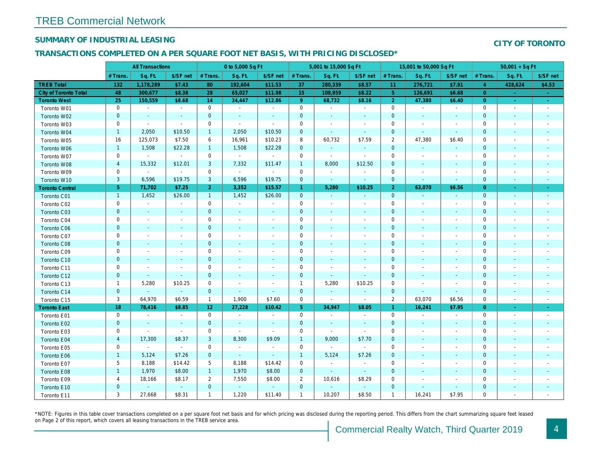## SUMMARY OF INDUSTRIAL LEASING

### TRANSACTIONS COMPLETED ON A PER SQUARE FOOT NET BASIS, WITH PRICING DISCLOSED\*

|                              | <b>All Transactions</b> |                          | 0 to 5,000 Sq Ft         |                 |                          |                          | 5,001 to 15,000 Sq Ft |                          |                          | 15,001 to 50,000 Sq Ft |                          |                          |
|------------------------------|-------------------------|--------------------------|--------------------------|-----------------|--------------------------|--------------------------|-----------------------|--------------------------|--------------------------|------------------------|--------------------------|--------------------------|
|                              | # Trans.                | Sq. Ft.                  | \$/SF net                | # Trans.        | Sq. Ft.                  | \$/SF net                | # Trans.              | Sq. Ft.                  | \$/SF net                | # Trans.               | Sq. Ft.                  | \$/SF ne                 |
| <b>TREB Total</b>            | 132                     | 1,178,289                | \$7.43                   | 80              | 192,604                  | \$11.53                  | 37                    | 280,339                  | \$8.57                   | 11                     | 276,721                  | \$7.91                   |
| <b>City of Toronto Total</b> | 48                      | 300,677                  | \$8.38                   | 28              | 65,027                   | \$11.98                  | 15 <sub>1</sub>       | 108,959                  | \$8.22                   | $5^{\circ}$            | 126,691                  | \$6.68                   |
| <b>Toronto West</b>          | 25                      | 150,559                  | \$8.68                   | 14              | 34,447                   | \$12.86                  | $9^{\circ}$           | 68,732                   | \$8.16                   | $\overline{2}$         | 47,380                   | \$6.40                   |
| Toronto W01                  | 0                       | $\sim$                   | $\sim$                   | $\mathbf 0$     | $\blacksquare$           | $\blacksquare$           | $\mathbf 0$           | $\blacksquare$           | $\blacksquare$           | $\mathbf 0$            | $\sim$                   | $\blacksquare$           |
| Toronto W02                  | $\pmb{0}$               | $\sim$                   | $\blacksquare$           | $\mathbf 0$     | $\blacksquare$           | $\blacksquare$           | $\mathbf 0$           | $\blacksquare$           | $\blacksquare$           | $\mathbf 0$            | $\sim$                   | $\sim$                   |
| Toronto W03                  | 0                       | $\sim$                   | $\sim$                   | $\mathbf 0$     | $\blacksquare$           | $\blacksquare$           | 0                     | $\blacksquare$           | $\blacksquare$           | 0                      |                          | $\overline{\phantom{a}}$ |
| Toronto W04                  | $\mathbf{1}$            | 2,050                    | \$10.50                  | $\mathbf{1}$    | 2,050                    | \$10.50                  | $\mathbf 0$           | $\blacksquare$           | $\blacksquare$           | 0                      | $\overline{\phantom{a}}$ | $\blacksquare$           |
| Toronto W05                  | 16                      | 125,073                  | \$7.50                   | 6               | 16,961                   | \$10.23                  | 8                     | 60,732                   | \$7.59                   | $\overline{c}$         | 47,380                   | \$6.40                   |
| Toronto W06                  | $\mathbf{1}$            | 1,508                    | \$22.28                  | $\mathbf{1}$    | 1,508                    | \$22.28                  | $\mathbf 0$           | $\blacksquare$           | $\blacksquare$           | $\mathbf 0$            | $\blacksquare$           | $\sim$                   |
| Toronto W07                  | $\mathbf 0$             | $\sim$                   | $\omega$                 | $\mathbf 0$     | $\blacksquare$           | $\blacksquare$           | $\mathbf 0$           | $\blacksquare$           | $\blacksquare$           | $\mathbf 0$            | $\overline{\phantom{a}}$ | $\overline{\phantom{a}}$ |
| Toronto W08                  | $\overline{4}$          | 15,332                   | \$12.01                  | 3               | 7,332                    | \$11.47                  | $\overline{1}$        | 8,000                    | \$12.50                  | $\mathbf 0$            | $\blacksquare$           | $\overline{\phantom{a}}$ |
| Toronto W09                  | 0                       | $\blacksquare$           | $\blacksquare$           | $\mathbf 0$     | $\blacksquare$           | $\sim$                   | $\mathbf 0$           | $\blacksquare$           | $\sim$                   | 0                      |                          | $\overline{\phantom{a}}$ |
| Toronto W10                  | 3                       | 6,596                    | \$19.75                  | 3               | 6,596                    | \$19.75                  | $\mathbf 0$           | $\blacksquare$           | $\blacksquare$           | $\mathbf 0$            |                          | $\blacksquare$           |
| <b>Toronto Central</b>       | $\overline{5}$          | 71,702                   | \$7.25                   | 2 <sup>1</sup>  | 3,352                    | \$15.57                  | $\mathbf{1}$          | 5,280                    | \$10.25                  | $\overline{2}$         | 63,070                   | \$6.56                   |
| Toronto C01                  | $\mathbf{1}$            | 1,452                    | \$26.00                  | $\mathbf{1}$    | 1,452                    | \$26.00                  | $\mathbf 0$           | $\blacksquare$           | $\blacksquare$           | $\mathbf{0}$           |                          | $\sim$                   |
| Toronto C02                  | $\mathbf 0$             | $\blacksquare$           | $\sim$                   | $\mathbf 0$     | $\blacksquare$           | $\blacksquare$           | $\mathbf 0$           | $\blacksquare$           | $\blacksquare$           | 0                      | $\overline{\phantom{a}}$ | $\sim$                   |
| Toronto C03                  | $\pmb{0}$               | $\blacksquare$           | $\blacksquare$           | $\mathbf 0$     | $\blacksquare$           | $\blacksquare$           | 0                     | $\blacksquare$           | $\blacksquare$           | $\mathbf 0$            | $\overline{\phantom{a}}$ | $\sim$                   |
| Toronto C04                  | $\mathbf 0$             | $\overline{\phantom{a}}$ |                          | $\mathbf 0$     | $\overline{a}$           | $\overline{\phantom{a}}$ | 0                     | $\overline{\phantom{a}}$ |                          | 0                      |                          | $\overline{\phantom{a}}$ |
| <b>Toronto C06</b>           | $\pmb{0}$               | $\blacksquare$           | $\blacksquare$           | $\mathbf 0$     | $\blacksquare$           | $\blacksquare$           | $\pmb{0}$             | $\blacksquare$           | $\blacksquare$           | $\pmb{0}$              | $\overline{\phantom{a}}$ | $\overline{\phantom{a}}$ |
| Toronto C07                  | $\mathsf 0$             | $\blacksquare$           |                          | $\mathsf 0$     | $\overline{a}$           | $\frac{1}{2}$            | $\mathsf{O}\xspace$   | $\blacksquare$           | $\blacksquare$           | 0                      |                          | $\overline{\phantom{a}}$ |
| Toronto C08                  | $\mathbf 0$             | $\blacksquare$           | ٠                        | $\mathbf 0$     | $\blacksquare$           | $\blacksquare$           | $\mathbf 0$           | $\blacksquare$           | $\blacksquare$           | $\mathbf 0$            | $\blacksquare$           | $\sim$                   |
| Toronto C09                  | $\mathbf 0$             | $\blacksquare$           | $\sim$                   | $\mathbf 0$     | $\blacksquare$           | $\blacksquare$           | $\mathbf 0$           | $\blacksquare$           | $\blacksquare$           | $\mathbf 0$            |                          |                          |
| Toronto C10                  | $\mathbf 0$             | $\blacksquare$           | $\blacksquare$           | $\mathbf 0$     | $\blacksquare$           | $\blacksquare$           | $\mathbf 0$           | $\blacksquare$           | $\blacksquare$           | $\mathbf 0$            | $\blacksquare$           |                          |
| Toronto C11                  | $\mathbf 0$             | $\blacksquare$           | $\blacksquare$           | $\mathsf 0$     | $\overline{a}$           | $\overline{\phantom{a}}$ | $\mathbf 0$           | $\blacksquare$           | $\overline{\phantom{a}}$ | 0                      |                          |                          |
| Toronto C12                  | $\pmb{0}$               | $\blacksquare$           | $\blacksquare$           | $\mathbf 0$     | $\blacksquare$           | $\blacksquare$           | $\pmb{0}$             | $\blacksquare$           | $\blacksquare$           | $\mathbf 0$            | $\blacksquare$           | $\overline{\phantom{a}}$ |
| Toronto C13                  | $\mathbf{1}$            | 5,280                    | \$10.25                  | $\mathbf 0$     | $\overline{a}$           | $\overline{\phantom{a}}$ | $\overline{1}$        | 5,280                    | \$10.25                  | $\mathbf 0$            |                          |                          |
| Toronto C14                  | $\mathbf 0$             | $\blacksquare$           | $\omega$                 | $\mathbf{0}$    | $\omega$                 | $\blacksquare$           | $\pmb{0}$             | $\blacksquare$           | $\blacksquare$           | $\mathbf 0$            | $\blacksquare$           | $\blacksquare$           |
| Toronto C15                  | 3                       | 64,970                   | \$6.59                   | $\mathbf{1}$    | 1,900                    | \$7.60                   | $\mathbf 0$           | $\blacksquare$           | $\blacksquare$           | $\overline{2}$         | 63,070                   | \$6.56                   |
| <b>Toronto East</b>          | 18                      | 78,416                   | \$8.85                   | 12 <sub>1</sub> | 27,228                   | \$10.42                  | 5 <sub>5</sub>        | 34,947                   | \$8.05                   | $\mathbf{1}$           | 16,241                   | \$7.95                   |
| Toronto E01                  | 0                       | $\blacksquare$           | $\overline{\phantom{a}}$ | 0               | $\blacksquare$           | $\blacksquare$           | $\mathbf 0$           | $\blacksquare$           | $\overline{\phantom{a}}$ | $\mathbf 0$            | $\overline{\phantom{a}}$ | $\sim$                   |
| Toronto E02                  | $\mathbf 0$             | $\blacksquare$           | $\blacksquare$           | $\mathbf{0}$    | $\blacksquare$           | $\blacksquare$           | $\mathbf 0$           | $\sim$                   | $\blacksquare$           | $\mathbf 0$            | $\blacksquare$           | $\sim$                   |
| Toronto E03                  | $\mathsf 0$             | $\blacksquare$           | $\sim$                   | $\mathsf 0$     | $\overline{\phantom{a}}$ | $\sim$                   | $\mathsf{O}\xspace$   | $\blacksquare$           | $\sim$                   | $\mathbf 0$            | $\overline{\phantom{a}}$ | $\overline{\phantom{a}}$ |
| Toronto E04                  | $\overline{4}$          | 17,300                   | \$8.37                   | 3               | 8,300                    | \$9.09                   | $\mathbf{1}$          | 9,000                    | \$7.70                   | $\mathbf 0$            | $\blacksquare$           | $\sim$                   |
| Toronto E05                  | $\mathbf 0$             | $\sim$                   | $\blacksquare$           | $\mathbf 0$     | $\blacksquare$           | $\blacksquare$           | $\mathsf{O}\xspace$   | $\sim$                   | $\blacksquare$           | $\mathbf 0$            | $\sim$                   | $\overline{\phantom{a}}$ |
| Toronto E06                  | $\mathbf{1}$            | 5,124                    | \$7.26                   | $\mathbf 0$     | $\omega$                 | $\blacksquare$           | $\mathbf{1}$          | 5,124                    | \$7.26                   | $\mathbf 0$            | $\blacksquare$           | $\sim$                   |
| Toronto E07                  | 5                       | 8,188                    | \$14.42                  | 5               | 8,188                    | \$14.42                  | $\mathbf 0$           | $\blacksquare$           | $\blacksquare$           | 0                      | $\overline{\phantom{a}}$ | $\overline{\phantom{a}}$ |
| Toronto E08                  | $\mathbf{1}$            | 1,970                    | \$8.00                   | $\mathbf{1}$    | 1,970                    | \$8.00                   | $\mathbf 0$           | $\blacksquare$           | $\blacksquare$           | $\mathbf 0$            | ٠                        | $\sim$                   |
| Toronto E09                  | 4                       | 18,166                   | \$8.17                   | $\overline{2}$  | 7,550                    | \$8.00                   | $\overline{2}$        | 10,616                   | \$8.29                   | 0                      |                          | $\overline{\phantom{a}}$ |
| Toronto E10                  | $\pmb{0}$               | $\blacksquare$           | $\sim$                   | $\mathbf 0$     | $\omega$                 | $\blacksquare$           | $\mathbf 0$           | $\blacksquare$           | $\sim$                   | $\mathbf 0$            | $\blacksquare$           | ٠                        |
| Toronto E11                  | 3                       | 27,668                   | \$8.31                   | $\mathbf{1}$    | 1,220                    | \$11.40                  | $\mathbf{1}$          | 10,207                   | \$8.50                   | $\overline{1}$         | 16,241                   | \$7.95                   |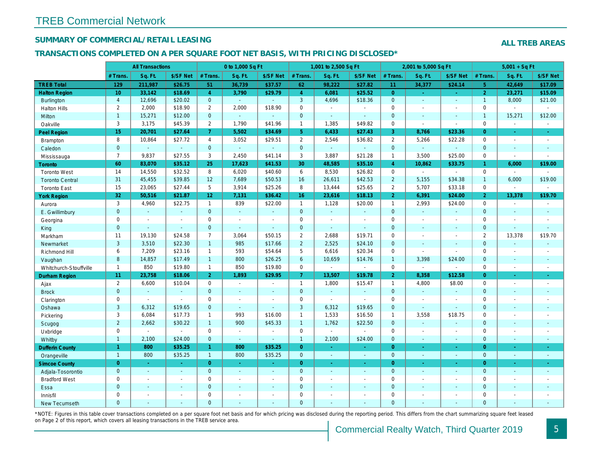## SUMMARY OF COMMERCIAL/RETAIL LEASING

### TRANSACTIONS COMPLETED ON A PER SQUARE FOOT NET BASIS, WITH PRICING DISCLOSED\*

|                        |                | <b>All Transactions</b> |                          | 0 to 1,000 Sq Ft      |                |                          |                     | 1,001 to 2,500 Sq Ft     |                  |                | 2,001 to 5,000 Sq Ft |                          |
|------------------------|----------------|-------------------------|--------------------------|-----------------------|----------------|--------------------------|---------------------|--------------------------|------------------|----------------|----------------------|--------------------------|
|                        | # Trans.       | Sq. Ft.                 | \$/SF Net                | # Trans.              | Sq. Ft.        | \$/SF Net                | # Trans.            | Sq. Ft.                  | \$/SF Net        | # Trans.       | Sq. Ft.              | \$/SF Ne                 |
| <b>TREB Total</b>      | 129            | 211,987                 | \$26.75                  | 51                    | 36,739         | \$37.57                  | 62                  | 98,222                   | \$27.82          | 11             | 34,377               | \$24.14                  |
| <b>Halton Region</b>   | 10             | 33,142                  | \$18.69                  | $\overline{4}$        | 3,790          | \$29.79                  | $\overline{4}$      | 6,081                    | \$25.52          | $\overline{0}$ | $\omega$             | $\sim$                   |
| <b>Burlington</b>      | $\overline{4}$ | 12,696                  | \$20.02                  | $\mathbf 0$           | ◆              |                          | $\mathbf{3}$        | 4,696                    | \$18.36          | $\mathbf{0}$   | $\omega$             | $\blacksquare$           |
| <b>Halton Hills</b>    | $\overline{2}$ | 2,000                   | \$18.90                  | $\mathbf{2}$          | 2,000          | \$18.90                  | $\mathbf 0$         | $\blacksquare$           | $\overline{a}$   | $\Omega$       | $\overline{a}$       | $\mathbf{r}$             |
| Milton                 | $\mathbf{1}$   | 15,271                  | \$12.00                  | $\mathbf 0$           | $\omega$       | $\blacksquare$           | $\pmb{0}$           | $\omega_{\rm c}$         | ÷.               | $\mathbf{0}$   | $\omega$             | $\blacksquare$           |
| Oakville               | 3              | 3,175                   | \$45.39                  | $\mathbf{2}^{\prime}$ | 1,790          | \$41.96                  | $\mathbf{1}$        | 1,385                    | \$49.82          | $\mathbf 0$    | $\sim$               | $\blacksquare$           |
| <b>Peel Region</b>     | 15             | 20,701                  | \$27.64                  | $\overline{7}$        | 5,502          | \$34.69                  | 5 <sup>5</sup>      | 6,433                    | \$27.43          | $\mathbf{3}$   | 8,766                | \$23.36                  |
| <b>Brampton</b>        | 8              | 10,864                  | \$27.72                  | 4                     | 3,052          | \$29.51                  | $\overline{2}$      | 2,546                    | \$36.82          | 2              | 5,266                | \$22.28                  |
| Caledon                | $\mathbf{0}$   | $\omega$                | $\omega$                 | $\mathbf 0$           | $\omega$       | $\omega$                 | $\mathbf{0}$        | $\omega_{\rm c}$         | $\sim$           | $\mathbf{0}$   | $\omega$             | $\blacksquare$           |
| Mississauga            | $\overline{7}$ | 9,837                   | \$27.55                  | 3                     | 2,450          | \$41.14                  | 3                   | 3,887                    | \$21.28          | $\overline{1}$ | 3,500                | \$25.00                  |
| <b>Toronto</b>         | 60             | 83,070                  | \$35.12                  | 25                    | 17,623         | \$41.53                  | 30                  | 48,585                   | \$35.10          | $\overline{4}$ | 10,862               | \$33.75                  |
| <b>Toronto West</b>    | 14             | 14,550                  | \$32.52                  | 8                     | 6,020          | \$40.60                  | 6                   | 8,530                    | \$26.82          | $\mathbf 0$    | $\omega$             | $\blacksquare$           |
| <b>Toronto Central</b> | 31             | 45,455                  | \$39.85                  | 12                    | 7,689          | \$50.53                  | 16                  | 26,611                   | \$42.53          | $\overline{2}$ | 5,155                | \$34.38                  |
| <b>Toronto East</b>    | 15             | 23,065                  | \$27.44                  | 5                     | 3,914          | \$25.26                  | 8                   | 13,444                   | \$25.65          | $\overline{2}$ | 5,707                | \$33.18                  |
| <b>York Region</b>     | 32             | 50,516                  | \$21.87                  | 12                    | 7,131          | \$36.42                  | 16                  | 23,616                   | \$18.13          | $\overline{2}$ | 6,391                | \$24.00                  |
| Aurora                 | 3              | 4,960                   | \$22.75                  | $\mathbf{1}$          | 839            | \$22.00                  | $\mathbf{1}$        | 1,128                    | \$20.00          | $\mathbf{1}$   | 2,993                | \$24.00                  |
| E. Gwillimbury         | $\overline{0}$ | $\omega$                | $\omega$                 | $\mathbf{0}$          | $\omega$       | $\mathbf{r}$             | $\mathbf{0}$        | $\omega$                 | $\omega$         | $\overline{0}$ | $\omega$             | $\sim$                   |
| Georgina               | 0              | $\blacksquare$          | $\blacksquare$           | 0                     | $\blacksquare$ | $\sim$                   | $\mathsf{O}\xspace$ | $\blacksquare$           | ÷,               | $\mathbf 0$    | $\sim$               | $\blacksquare$           |
| King                   | $\mathbf{0}$   | $\blacksquare$          | $\omega$                 | $\mathbf 0$           | $\omega$       | $\blacksquare$           | $\mathbf{0}$        | $\omega$                 | $\omega$         | $\mathbf{0}$   | $\omega$             | $\sim$                   |
| Markham                | 11             | 19,130                  | \$24.58                  | $\overline{7}$        | 3,064          | \$50.15                  | $\overline{2}$      | 2,688                    | \$19.71          | $\mathbf 0$    | $\blacksquare$       | $\mathbf{r}$             |
| Newmarket              | 3              | 3,510                   | \$22.30                  | $\mathbf{1}$          | 985            | \$17.66                  | $\overline{2}$      | 2,525                    | \$24.10          | $\mathbf{0}$   | $\Delta$             | $\blacksquare$           |
| Richmond Hill          | 6              | 7,209                   | \$23.16                  | $\mathbf{1}$          | 593            | \$54.64                  | 5                   | 6,616                    | \$20.34          | $\mathbf 0$    | $\blacksquare$       | $\blacksquare$           |
| Vaughan                | 8              | 14,857                  | \$17.49                  | 1                     | 800            | \$26.25                  | $6\overline{6}$     | 10,659                   | \$14.76          | $\mathbf{1}$   | 3,398                | \$24.00                  |
| Whitchurch-Stouffville | $\mathbf{1}$   | 850                     | \$19.80                  | $\mathbf{1}$          | 850            | \$19.80                  | $\mathsf{O}$        | $\blacksquare$           | $\blacksquare$   | $\mathbf 0$    | $\omega$             | $\blacksquare$           |
| <b>Durham Region</b>   | 11             | 23,758                  | \$18.06                  | 2 <sup>1</sup>        | 1,893          | \$29.95                  | $\mathbf{7}$        | 13,507                   | \$19.78          | $\overline{2}$ | 8,358                | \$12.58                  |
| Ajax                   | $\overline{2}$ | 6,600                   | \$10.04                  | $\mathbf 0$           | $\sim$         | $\overline{\phantom{a}}$ | $\mathbf{1}$        | 1,800                    | \$15.47          | $\mathbf{1}$   | 4,800                | \$8.00                   |
| <b>Brock</b>           | $\overline{0}$ | $\omega$                | $\sim$                   | $\overline{0}$        | $\omega$       | $\blacksquare$           | $\mathbf{0}$        | $\omega_{\rm c}$         | $\omega$         | $\overline{0}$ | $\omega$             | $\blacksquare$           |
| Clarington             | 0              | $\sim$                  | $\sim$                   | 0                     | $\sim$         |                          | $\mathsf{O}$        | $\overline{\phantom{a}}$ | $\blacksquare$   | $\mathbf 0$    | $\blacksquare$       | $\overline{\phantom{a}}$ |
| Oshawa                 | 3              | 6,312                   | \$19.65                  | $\mathbf{0}$          | $\sim$         | $\blacksquare$           | 3                   | 6,312                    | \$19.65          | $\mathbf{0}$   | $\blacksquare$       |                          |
| Pickering              | 3              | 6,084                   | \$17.73                  | $\mathbf{1}$          | 993            | \$16.00                  | $\mathbf{1}$        | 1,533                    | \$16.50          | $\mathbf{1}$   | 3,558                | \$18.75                  |
| Scugog                 | $\overline{2}$ | 2,662                   | \$30.22                  | 1                     | 900            | \$45.33                  | $\mathbf{1}$        | 1,762                    | \$22.50          | $\mathbf{0}$   | $\Delta$             | $\blacksquare$           |
| Uxbridge               | 0              | $\blacksquare$          | $\sim$                   | $\mathbf 0$           | $\blacksquare$ | $\sim$                   | $\mathsf{O}$        | $\blacksquare$           | $\blacksquare$   | $\mathbf 0$    | $\blacksquare$       | $\blacksquare$           |
| Whitby                 | $\mathbf{1}$   | 2,100                   | \$24.00                  | $\mathbf{0}$          | $\sim$         | $\blacksquare$           | $\mathbf{1}$        | 2,100                    | \$24.00          | $\mathbf{0}$   | $\blacksquare$       | $\blacksquare$           |
| <b>Dufferin County</b> | $\mathbf{1}$   | 800                     | \$35.25                  | $\mathbf{1}$          | 800            | \$35.25                  | $\overline{0}$      | ÷.                       | $\omega_{\rm c}$ | $\overline{0}$ | $\omega$             | $\omega_{\rm c}$         |
| Orangeville            | $\overline{1}$ | 800                     | \$35.25                  | $\overline{1}$        | 800            | \$35.25                  | $\mathbf{0}$        | $\omega$                 | $\blacksquare$   | $\mathbf{0}$   | $\omega$             | $\sim$                   |
| <b>Simcoe County</b>   | $\overline{0}$ | $\sim$                  | $\sim$                   | $\overline{0}$        | $\sim$         | $\sim$                   | $\overline{0}$      | $\blacksquare$           | ÷                | $\overline{0}$ | $\omega$             | $\sigma_{\rm c}$         |
| Adjala-Tosorontio      | $\overline{0}$ | $\sim$                  |                          | $\mathbf{0}$          | $\omega$       | $\blacksquare$           | $\mathbf{0}$        | $\mathbf{r}$             | $\blacksquare$   | $\mathbf{0}$   | $\sim$               | $\blacksquare$           |
| <b>Bradford West</b>   | 0              | $\blacksquare$          | $\blacksquare$           | 0                     | $\sim$         | $\sim$                   | $\mathsf{O}\xspace$ | $\blacksquare$           | $\blacksquare$   | $\mathbf 0$    | $\blacksquare$       | $\blacksquare$           |
| Essa                   | $\mathbf{0}$   | $\sim$                  | $\sim$                   | $\mathbf 0$           | $\blacksquare$ | $\blacksquare$           | $\mathbf 0$         | $\blacksquare$           | $\blacksquare$   | $\mathbf{0}$   | $\blacksquare$       |                          |
| Innisfil               | $\mathbf 0$    | $\blacksquare$          | $\overline{\phantom{a}}$ | $\mathbf 0$           | $\blacksquare$ | $\blacksquare$           | $\mathbf 0$         | $\blacksquare$           | $\blacksquare$   | $\mathbf 0$    | $\blacksquare$       | $\blacksquare$           |
| <b>New Tecumseth</b>   | $\Omega$       |                         |                          | $\mathbf{0}$          | ÷.             |                          | $\mathbf{0}$        | ä,                       | $\blacksquare$   | $\Omega$       | $\sim$               | $\sim$                   |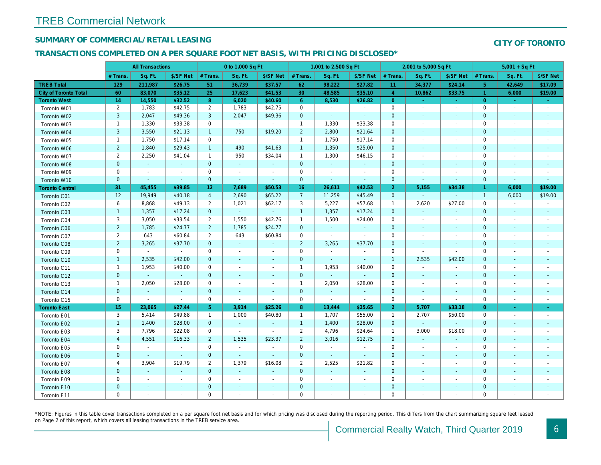## SUMMARY OF COMMERCIAL/RETAIL LEASING

### TRANSACTIONS COMPLETED ON A PER SQUARE FOOT NET BASIS, WITH PRICING DISCLOSED\*

|                              |                  | <b>All Transactions</b>  |                          |                | 0 to 1,000 Sq Ft      |                |                | 1,001 to 2,500 Sq Ft |                          |                | 2,001 to 5,000 Sq Ft     |                          |
|------------------------------|------------------|--------------------------|--------------------------|----------------|-----------------------|----------------|----------------|----------------------|--------------------------|----------------|--------------------------|--------------------------|
|                              | # Trans.         | Sq. Ft.                  | \$/SF Net                | # Trans.       | Sq. Ft.               | \$/SF Net      | # Trans.       | Sq. Ft.              | \$/SF Net                | # Trans.       | Sq. Ft.                  | \$/SF Ne                 |
| <b>TREB Total</b>            | 129              | 211,987                  | \$26.75                  | 51             | 36,739                | \$37.57        | 62             | 98,222               | \$27.82                  | 11             | 34,377                   | \$24.14                  |
| <b>City of Toronto Total</b> | 60               | 83,070                   | \$35.12                  | 25             | 17,623                | \$41.53        | 30             | 48,585               | \$35.10                  | $\overline{4}$ | 10,862                   | \$33.75                  |
| <b>Toronto West</b>          | 14               | 14,550                   | \$32.52                  | 8              | 6,020                 | \$40.60        | 6 <sup>1</sup> | 8,530                | \$26.82                  | $\overline{0}$ | $\omega$                 | $\sim$                   |
| Toronto W01                  | $\overline{2}$   | 1,783                    | \$42.75                  | $\overline{2}$ | 1,783                 | \$42.75        | $\mathbf 0$    | $\omega$             | $\sim$                   | $\mathbf 0$    | $\blacksquare$           | $\blacksquare$           |
| Toronto W02                  | $\mathbf{3}$     | 2,047                    | \$49.36                  | 3              | 2,047                 | \$49.36        | $\mathbf 0$    | $\blacksquare$       | $\sim$                   | $\mathbf{0}$   | $\blacksquare$           | $\sim$                   |
| Toronto W03                  | $\mathbf{1}$     | 1,330                    | \$33.38                  | 0              | $\sim$                | $\sim$         | $\mathbf{1}$   | 1,330                | \$33.38                  | 0              | $\blacksquare$           | $\blacksquare$           |
| Toronto W04                  | 3                | 3,550                    | \$21.13                  | $\mathbf{1}$   | 750                   | \$19.20        | $\overline{2}$ | 2,800                | \$21.64                  | $\mathbf{0}$   | $\sim$                   | $\blacksquare$           |
| Toronto W05                  | $\mathbf{1}$     | 1,750                    | \$17.14                  | $\mathbf 0$    | $\sim$                | $\mathbf{r}$   | $\mathbf{1}$   | 1,750                | \$17.14                  | $\mathbf 0$    | $\blacksquare$           | $\blacksquare$           |
| Toronto W06                  | $\overline{2}$   | 1,840                    | \$29.43                  | $\mathbf{1}$   | 490                   | \$41.63        | $\mathbf{1}$   | 1,350                | \$25.00                  | $\mathbf{0}$   | $\sim$                   | $\blacksquare$           |
| Toronto W07                  | $\overline{2}$   | 2,250                    | \$41.04                  | $\mathbf{1}$   | 950                   | \$34.04        | $\mathbf{1}$   | 1,300                | \$46.15                  | 0              | $\blacksquare$           | $\blacksquare$           |
| Toronto W08                  | $\mathbf{0}$     | $\omega$                 | $\sim$                   | $\mathbf{0}$   | $\sim$                | $\sim$         | $\mathbf{0}$   | $\blacksquare$       | $\blacksquare$           | $\mathbf{0}$   | $\sim$                   | $\overline{\phantom{a}}$ |
| Toronto W09                  | 0                | $\blacksquare$           | $\sim$                   | $\mathbf 0$    | $\sim$                | $\blacksquare$ | $\mathbf 0$    | $\omega$             | $\blacksquare$           | $\mathbf 0$    | $\blacksquare$           | $\blacksquare$           |
| Toronto W10                  | $\mathbf{0}$     | $\sim$                   | $\sim$                   | $\mathbf 0$    | $\omega$              | $\blacksquare$ | $\mathbf 0$    | $\blacksquare$       | $\sim$                   | $\mathbf 0$    | $\blacksquare$           | $\blacksquare$           |
| <b>Toronto Central</b>       | 31               | 45,455                   | \$39.85                  | 12             | 7,689                 | \$50.53        | 16             | 26,611               | \$42.53                  | $\overline{2}$ | 5,155                    | \$34.38                  |
| Toronto C01                  | 12               | 19,949                   | \$40.18                  | $\overline{4}$ | 2,690                 | \$65.22        | 7 <sup>7</sup> | 11,259               | \$45.49                  | $\overline{0}$ | $\omega$                 | $\sim$                   |
| Toronto C02                  | 6                | 8,868                    | \$49.13                  | $\overline{2}$ | 1,021                 | \$62.17        | 3              | 5,227                | \$57.68                  | $\mathbf{1}$   | 2,620                    | \$27.00                  |
| Toronto C03                  | $\mathbf{1}$     | 1,357                    | \$17.24                  | $\mathbf{0}$   | $\omega$ .            | $\omega$       | $\mathbf{1}$   | 1,357                | \$17.24                  | $\mathbf 0$    | $\blacksquare$           |                          |
| Toronto C04                  | 3                | 3,050                    | \$33.54                  | $\overline{2}$ | 1,550                 | \$42.76        | $\mathbf{1}$   | 1,500                | \$24.00                  | 0              | $\overline{\phantom{a}}$ | $\blacksquare$           |
| Toronto C06                  | $\overline{2}$   | 1,785                    | \$24.77                  | $\overline{2}$ | 1,785                 | \$24.77        | $\mathbf 0$    | $\blacksquare$       | $\omega$                 | $\mathbf 0$    | $\blacksquare$           | $\blacksquare$           |
| Toronto C07                  | $\overline{2}$   | 643                      | \$60.84                  | $\overline{2}$ | 643                   | \$60.84        | $\mathbf 0$    | $\mathbf{r}$         | $\overline{\phantom{a}}$ | $\mathbf 0$    | $\blacksquare$           | $\blacksquare$           |
| Toronto C08                  | $\overline{2}$   | 3,265                    | \$37.70                  | $\mathbf{0}$   | $\omega$              | $\blacksquare$ | $\overline{2}$ | 3,265                | \$37.70                  | $\mathbf 0$    | $\blacksquare$           | $\blacksquare$           |
| Toronto C09                  | $\mathbf 0$      | $\blacksquare$           | $\sim$                   | 0              | $\blacksquare$        | $\blacksquare$ | $\mathbf 0$    | $\blacksquare$       | $\blacksquare$           | $\mathbf{0}$   | $\blacksquare$           | $\blacksquare$           |
| Toronto C10                  | $\mathbf{1}$     | 2,535                    | \$42.00                  | $\mathbf{0}$   | $\blacksquare$        | $\sim$         | $\mathbf 0$    | $\omega$             | $\sim$                   | $\overline{1}$ | 2,535                    | \$42.00                  |
| Toronto C11                  | $\mathbf{1}$     | 1,953                    | \$40.00                  | $\mathbf 0$    | $\tilde{\phantom{a}}$ | $\blacksquare$ | $\mathbf{1}$   | 1,953                | \$40.00                  | $\mathbf 0$    | $\overline{\phantom{a}}$ | $\blacksquare$           |
| Toronto C12                  | $\mathbf{0}$     | $\omega$                 | $\omega$                 | $\mathbf{0}$   | $\blacksquare$        | $\blacksquare$ | $\mathbf 0$    | $\blacksquare$       | $\blacksquare$           | $\mathbf{0}$   | $\blacksquare$           | $\blacksquare$           |
| Toronto C13                  | $\mathbf{1}$     | 2,050                    | \$28.00                  | 0              | $\blacksquare$        | $\blacksquare$ | $\mathbf{1}$   | 2,050                | \$28.00                  | $\mathbf 0$    | $\blacksquare$           | $\blacksquare$           |
| Toronto C14                  | $\pmb{0}$        | $\omega$                 | $\omega$                 | $\mathbf{0}$   | $\blacksquare$        | $\blacksquare$ | $\mathbf 0$    | $\omega$             | $\omega$                 | $\mathbf{0}$   | $\blacksquare$           | $\blacksquare$           |
| Toronto C15                  | 0                | $\blacksquare$           | $\mathbf{r}$             | 0              | $\blacksquare$        | $\blacksquare$ | $\mathbf 0$    | $\blacksquare$       | $\sim$                   | $\mathbf 0$    | $\sim$                   | $\blacksquare$           |
| <b>Toronto East</b>          | 15 <sub>15</sub> | 23,065                   | \$27.44                  | 5 <sup>5</sup> | 3,914                 | \$25.26        | 8              | 13,444               | \$25.65                  | $\overline{2}$ | 5,707                    | \$33.18                  |
| Toronto E01                  | 3                | 5,414                    | \$49.88                  | $\mathbf{1}$   | 1,000                 | \$40.80        | $\mathbf{1}$   | 1,707                | \$55.00                  | $\overline{1}$ | 2,707                    | \$50.00                  |
| Toronto E02                  | $\mathbf{1}$     | 1,400                    | \$28.00                  | $\mathbf{0}$   | $\sim$                | $\blacksquare$ | $\mathbf{1}$   | 1,400                | \$28.00                  | $\mathbf{0}$   | $\omega$                 | $\bullet$                |
| Toronto E03                  | 3                | 7,796                    | \$22.08                  | 0              | $\sim$                | $\sim$         | $\overline{2}$ | 4,796                | \$24.64                  | $\overline{1}$ | 3,000                    | \$18.00                  |
| Toronto E04                  | $\overline{4}$   | 4,551                    | \$16.33                  | $\overline{2}$ | 1,535                 | \$23.37        | $\overline{2}$ | 3,016                | \$12.75                  | $\mathbf{0}$   | $\omega$                 | $\omega$                 |
| Toronto E05                  | 0                | $\blacksquare$           | $\blacksquare$           | $\mathbf 0$    | $\omega$              | $\blacksquare$ | $\mathbf 0$    | $\blacksquare$       | $\blacksquare$           | $\mathbf 0$    | $\sim$                   | $\blacksquare$           |
| Toronto E06                  | $\mathbf{0}$     | $\sim$                   | $\omega$                 | $\mathbf{0}$   | $\omega$              | $\mathcal{L}$  | $\mathbf 0$    | $\blacksquare$       | $\omega$                 | $\mathbf 0$    | $\blacksquare$           | $\sim$                   |
| Toronto E07                  | 4                | 3,904                    | \$19.79                  | $\overline{2}$ | 1,379                 | \$16.08        | $\overline{2}$ | 2,525                | \$21.82                  | 0              | $\overline{\phantom{a}}$ | $\overline{\phantom{a}}$ |
| Toronto E08                  | $\mathbf{0}$     | $\omega$                 | $\sim$                   | $\mathbf{0}$   | $\omega$              | $\omega$       | $\mathbf 0$    | $\omega$             | $\omega$                 | $\mathbf{0}$   | $\omega$                 | $\blacksquare$           |
| Toronto E09                  | 0                | $\blacksquare$           | $\sim$                   | $\mathbf 0$    | $\blacksquare$        | $\blacksquare$ | $\mathbf 0$    | $\blacksquare$       | $\blacksquare$           | 0              | $\blacksquare$           | $\blacksquare$           |
| Toronto E10                  | $\mathbf 0$      | $\sim$                   | $\sim$                   | $\mathbf 0$    | $\blacksquare$        | $\blacksquare$ | $\mathbf 0$    | $\sim$               | $\sim$                   | $\mathbf{0}$   | $\blacksquare$           | $\sim$                   |
| Toronto E11                  | 0                | $\overline{\phantom{a}}$ | $\overline{\phantom{a}}$ | $\mathbf 0$    | $\blacksquare$        | $\blacksquare$ | $\mathbf 0$    | $\blacksquare$       | $\overline{\phantom{a}}$ | $\mathbf 0$    | $\blacksquare$           | $\blacksquare$           |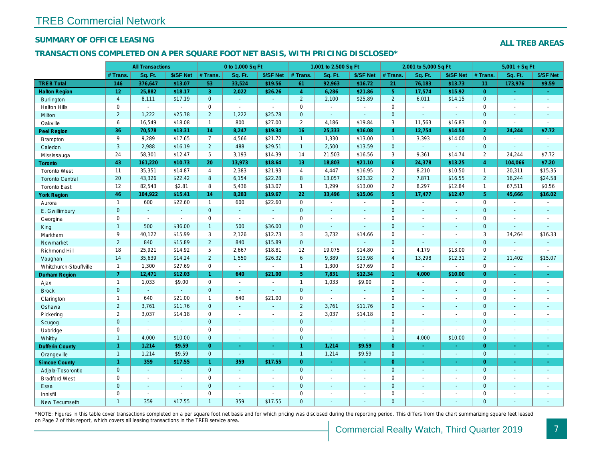## SUMMARY OF OFFICE LEASING

## TRANSACTIONS COMPLETED ON A PER SQUARE FOOT NET BASIS, WITH PRICING DISCLOSED\*

|                        |                 | <b>All Transactions</b> |                |                | 0 to 1,000 Sq Ft |                |                | 1,001 to 2,500 Sq Ft |                |                | 2,001 to 5,000 Sq Ft  |                          |
|------------------------|-----------------|-------------------------|----------------|----------------|------------------|----------------|----------------|----------------------|----------------|----------------|-----------------------|--------------------------|
|                        | # Trans.        | Sq. Ft.                 | \$/SF Net      | # Trans.       | Sq. Ft.          | \$/SF Net      | # Trans.       | Sq. Ft.              | \$/SF Net      | # Trans.       | Sq. Ft.               | \$/SF Ne                 |
| <b>TREB Total</b>      | 146             | 376,647                 | \$13.07        | 53             | 33,524           | \$19.56        | 61             | 92,963               | \$16.72        | 21             | 76,183                | \$13.73                  |
| <b>Halton Region</b>   | 12 <sup>°</sup> | 25,882                  | \$18.17        | 3 <sup>1</sup> | 2.022            | \$26.26        | $\overline{4}$ | 6,286                | \$21.86        | 5 <sup>5</sup> | 17,574                | \$15.92                  |
| <b>Burlington</b>      | $\overline{4}$  | 8,111                   | \$17.19        | $\mathbf{0}$   | $\omega$         | $\omega$       | $\overline{2}$ | 2,100                | \$25.89        | $\overline{2}$ | 6,011                 | \$14.15                  |
| <b>Halton Hills</b>    | 0               | $\blacksquare$          | $\blacksquare$ | $\mathbf 0$    | $\blacksquare$   | $\blacksquare$ | $\mathbf 0$    | $\blacksquare$       | $\omega$       | $\mathbf 0$    | $\omega$              |                          |
| Milton                 | $\overline{2}$  | 1,222                   | \$25.78        | $\overline{2}$ | 1,222            | \$25.78        | $\mathbf{0}$   | $\omega$             | $\omega$       | $\mathbf{0}$   | $\sim$                | $\blacksquare$           |
| Oakville               | 6               | 16,549                  | \$18.08        | $\mathbf{1}$   | 800              | \$27.00        | $\overline{2}$ | 4,186                | \$19.84        | 3              | 11,563                | \$16.83                  |
| <b>Peel Region</b>     | 36              | 70,578                  | \$13.31        | 14             | 8,247            | \$19.34        | 16             | 25,333               | \$16.08        | $\overline{4}$ | 12,754                | \$14.54                  |
| Brampton               | 9               | 9,289                   | \$17.65        | $\overline{7}$ | 4,566            | \$21.72        | $\mathbf{1}$   | 1,330                | \$13.00        | $\overline{1}$ | 3,393                 | \$14.00                  |
| Caledon                | 3               | 2,988                   | \$16.19        | $2^{\circ}$    | 488              | \$29.51        | $\mathbf{1}$   | 2,500                | \$13.59        | $\mathbf{0}$   | $\omega$              | $\blacksquare$           |
| Mississauga            | 24              | 58,301                  | \$12.47        | 5              | 3,193            | \$14.39        | 14             | 21,503               | \$16.56        | 3              | 9,361                 | \$14.74                  |
| <b>Toronto</b>         | 43              | 161,220                 | \$10.73        | 20             | 13,973           | \$18.64        | 13             | 18,803               | \$21.10        | $6^{\circ}$    | 24,378                | \$13.25                  |
| <b>Toronto West</b>    | 11              | 35,351                  | \$14.87        | $\overline{4}$ | 2,383            | \$21.93        | $\overline{4}$ | 4,447                | \$16.95        | $\overline{2}$ | 8,210                 | \$10.50                  |
| <b>Toronto Central</b> | 20              | 43,326                  | \$22.42        | 8              | 6,154            | \$22.28        | 8              | 13,057               | \$23.32        | $\overline{2}$ | 7,871                 | \$16.55                  |
| <b>Toronto East</b>    | 12              | 82,543                  | \$2.81         | 8              | 5,436            | \$13.07        | $\mathbf{1}$   | 1,299                | \$13.00        | $\overline{2}$ | 8,297                 | \$12.84                  |
| <b>York Region</b>     | 46              | 104,922                 | \$15.41        | 14             | 8,283            | \$19.67        | 22             | 33,496               | \$15.06        | 5 <sup>5</sup> | 17,477                | \$12.47                  |
| Aurora                 | $\mathbf{1}$    | 600                     | \$22.60        | $\mathbf{1}$   | 600              | \$22.60        | $\mathbf 0$    | $\blacksquare$       | $\sim$         | $\mathbf 0$    | $\omega$              | $\blacksquare$           |
| E. Gwillimbury         | $\mathbf{0}$    | $\omega$                | $\omega$       | $\Omega$       | $\omega$         | $\mathbf{r}$   | $\overline{0}$ | ä,                   | ä,             | $\Omega$       | $\mathbf{r}$          | $\blacksquare$           |
| Georgina               | 0               | $\sim$                  | $\sim$         | $\mathbf 0$    | $\sim$           | $\sim$         | $\mathbf 0$    | $\blacksquare$       | $\sim$         | $\mathbf 0$    | $\blacksquare$        | $\blacksquare$           |
| King                   | $\mathbf{1}$    | 500                     | \$36.00        | $\mathbf{1}$   | 500              | \$36.00        | $\mathbf{0}$   | $\blacksquare$       | $\blacksquare$ | $\mathbf{0}$   | $\blacksquare$        | $\sim$                   |
| Markham                | 9               | 40,122                  | \$15.99        | 3              | 2,126            | \$12.73        | 3              | 3,732                | \$14.66        | $\mathbf 0$    | $\blacksquare$        | $\blacksquare$           |
| Newmarket              | $\overline{2}$  | 840                     | \$15.89        | $\overline{2}$ | 840              | \$15.89        | $\mathbf{0}$   | ä,                   |                | $\mathbf{0}$   | $\omega$              |                          |
| Richmond Hill          | 18              | 25,921                  | \$14.92        | 5              | 2,667            | \$18.81        | 12             | 19,075               | \$14.80        | $\mathbf{1}$   | 4,179                 | \$13.00                  |
| Vaughan                | 14              | 35,639                  | \$14.24        | $\overline{2}$ | 1,550            | \$26.32        | $6\phantom{1}$ | 9,389                | \$13.98        | $\overline{4}$ | 13,298                | \$12.31                  |
| Whitchurch-Stouffville | $\mathbf{1}$    | 1,300                   | \$27.69        | $\mathbf 0$    | $\sim$           | $\sim$         | $\mathbf{1}$   | 1,300                | \$27.69        | $\mathbf 0$    | $\blacksquare$        | $\blacksquare$           |
| Durham Region          | 7 <sup>1</sup>  | 12,471                  | \$12.03        | $\mathbf{1}$   | 640              | \$21.00        | 5 <sup>5</sup> | 7,831                | \$12.34        | 1 <sup>1</sup> | 4,000                 | \$10.00                  |
| Ajax                   | $\mathbf{1}$    | 1,033                   | \$9.00         | $\mathbf 0$    | $\sim$           | $\blacksquare$ | $\mathbf{1}$   | 1,033                | \$9.00         | $\Omega$       | $\sim$                | $\sim$                   |
| <b>Brock</b>           | $\mathbf{0}$    | $\omega$                | $\omega$       | $\mathbf{0}$   | $\sim$           | $\omega$       | $\mathbf{0}$   | $\omega$             | $\omega$       | $\mathbf{0}$   | $\omega$              | $\blacksquare$           |
| Clarington             | $\mathbf{1}$    | 640                     | \$21.00        | $\mathbf{1}$   | 640              | \$21.00        | $\mathbf 0$    | $\blacksquare$       | $\blacksquare$ | $\mathbf 0$    | $\sim$                | $\blacksquare$           |
| Oshawa                 | $\overline{2}$  | 3,761                   | \$11.76        | $\mathbf{0}$   | $\sim$           | $\blacksquare$ | $\overline{2}$ | 3,761                | \$11.76        | $\mathbf{0}$   | $\sim$                | $\blacksquare$           |
| Pickering              | $\overline{2}$  | 3,037                   | \$14.18        | $\mathbf 0$    | $\blacksquare$   | $\blacksquare$ | $\overline{2}$ | 3,037                | \$14.18        | $\mathbf 0$    | $\sim$                | $\overline{\phantom{a}}$ |
| Scugog                 | $\mathbf{0}$    | $\sim$                  | $\sim$         | $\mathbf{0}$   | $\omega$         | $\sim$         | $\mathbf{0}$   | $\omega$             | $\blacksquare$ | $\mathbf{0}$   | $\sim$                | $\blacksquare$           |
| Uxbridge               | $\mathbf 0$     | $\sim$                  | $\omega$       | $\mathbf 0$    | $\overline{a}$   | $\blacksquare$ | $\mathsf 0$    | ÷,                   | $\blacksquare$ | $\mathbf 0$    | $\tilde{\phantom{a}}$ | $\blacksquare$           |
| Whitby                 | $\mathbf{1}$    | 4,000                   | \$10.00        | $\mathbf{0}$   | $\Delta$         | $\sim$         | $\mathbf 0$    | $\blacksquare$       | $\sim$         | $\mathbf{1}$   | 4,000                 | \$10.00                  |
| <b>Dufferin County</b> | $\mathbf{1}$    | 1,214                   | \$9.59         | $\overline{0}$ | $\omega$         | $\omega$       | $\mathbf{1}$   | 1,214                | \$9.59         | $\overline{0}$ | $\sim$                | $\sim$                   |
| Orangeville            | $\mathbf{1}$    | 1,214                   | \$9.59         | $\overline{0}$ | $\omega$         | $\omega$       | $\mathbf{1}$   | 1,214                | \$9.59         | $\overline{0}$ | $\omega$              | $\bullet$ .              |
| <b>Simcoe County</b>   | $\mathbf{1}$    | 359                     | \$17.55        | $\mathbf{1}$   | 359              | \$17.55        | $\overline{0}$ | $\omega$             | $\sim$         | $\overline{0}$ | $\omega$              | $\omega_{\rm c}$         |
| Adjala-Tosorontio      | $\mathbf{0}$    | $\sim$                  |                | $\mathbf{0}$   | $\omega$         | ٠              | $\mathbf 0$    | $\blacksquare$       | $\blacksquare$ | $\mathbf 0$    | $\blacksquare$        | $\sim$                   |
| <b>Bradford West</b>   | 0               | $\blacksquare$          | $\sim$         | $\mathbf 0$    | $\blacksquare$   | $\blacksquare$ | $\mathbf 0$    | $\blacksquare$       | $\sim$         | $\mathbf 0$    | $\blacksquare$        | $\blacksquare$           |
| Essa                   | $\mathbf{0}$    | $\sim$                  |                | $\overline{0}$ | $\sim$           | $\blacksquare$ | $\mathbf{0}$   |                      | $\blacksquare$ | $\mathbf{0}$   | $\omega$              |                          |
| Innisfil               | $\mathbf 0$     | $\sim$                  | $\sim$         | $\Omega$       | $\sim$           | $\sim$         | $\mathbf 0$    | ä,                   | $\blacksquare$ | $\mathbf 0$    | $\sim$                | $\blacksquare$           |
| <b>New Tecumseth</b>   | $\overline{1}$  | 359                     | \$17.55        | $\mathbf{1}$   | 359              | \$17.55        | $\mathbf{0}$   |                      |                | $\Omega$       |                       |                          |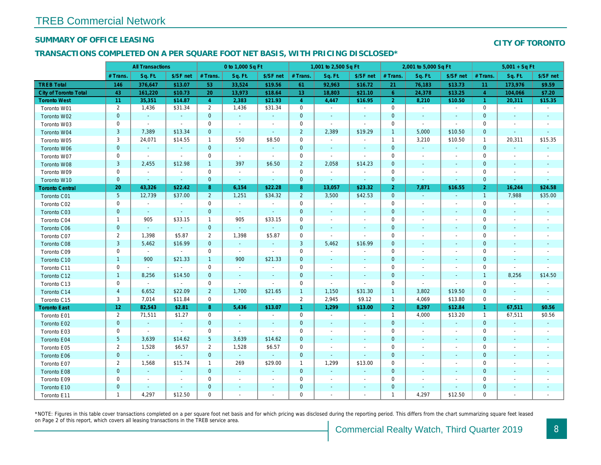## SUMMARY OF OFFICE LEASING

## TRANSACTIONS COMPLETED ON A PER SQUARE FOOT NET BASIS, WITH PRICING DISCLOSED\*

|                              | <b>All Transactions</b> |                |                          | 0 to 1,000 Sq Ft |                |                          | 1,001 to 2,500 Sq Ft |                |                          | 2,001 to 5,000 Sq Ft |                          |                          |
|------------------------------|-------------------------|----------------|--------------------------|------------------|----------------|--------------------------|----------------------|----------------|--------------------------|----------------------|--------------------------|--------------------------|
|                              | # Trans.                | Sq. Ft.        | \$/SF net                | # Trans.         | Sq. Ft.        | \$/SF net                | # Trans.             | Sq. Ft.        | \$/SF net                | # Trans.             | Sq. Ft.                  | \$/SF ne                 |
| <b>TREB Total</b>            | 146                     | 376,647        | \$13.07                  | 53               | 33,524         | \$19.56                  | 61                   | 92,963         | \$16.72                  | 21                   | 76,183                   | \$13.73                  |
| <b>City of Toronto Total</b> | 43                      | 161,220        | \$10.73                  | 20               | 13,973         | \$18.64                  | 13 <sup>°</sup>      | 18,803         | \$21.10                  | 6                    | 24,378                   | \$13.25                  |
| <b>Toronto West</b>          | 11                      | 35,351         | \$14.87                  | $\overline{4}$   | 2,383          | \$21.93                  | $\overline{4}$       | 4,447          | \$16.95                  | $\overline{2}$       | 8,210                    | \$10.50                  |
| Toronto W01                  | $\overline{2}$          | 1,436          | \$31.34                  | $\overline{2}$   | 1,436          | \$31.34                  | $\mathbf 0$          | $\blacksquare$ | $\blacksquare$           | 0                    | $\blacksquare$           | $\sim$                   |
| Toronto W02                  | $\mathbf 0$             | $\sim$         | $\sim$                   | $\mathbf 0$      | $\sim$         | $\blacksquare$           | $\mathbf 0$          | $\sim$         | $\blacksquare$           | $\mathbf 0$          | $\sim$                   | $\sim$                   |
| Toronto W03                  | 0                       | $\sim$         | $\blacksquare$           | $\mathbf 0$      | $\blacksquare$ | $\blacksquare$           | $\mathbf 0$          | $\sim$         | $\blacksquare$           | $\mathbf 0$          | $\sim$                   | $\sim$                   |
| Toronto W04                  | $\mathsf 3$             | 7,389          | \$13.34                  | $\mathbf{0}$     | $\omega$       | $\blacksquare$           | $\overline{2}$       | 2,389          | \$19.29                  | $\mathbf{1}$         | 5,000                    | \$10.50                  |
| Toronto W05                  | 3                       | 24,071         | \$14.55                  | $\mathbf{1}$     | 550            | \$8.50                   | $\mathbf 0$          | $\blacksquare$ | $\blacksquare$           | $\overline{1}$       | 3,210                    | \$10.50                  |
| Toronto W06                  | $\pmb{0}$               | $\blacksquare$ | $\blacksquare$           | $\mathbf 0$      | $\sim$         | $\blacksquare$           | 0                    | $\blacksquare$ | $\blacksquare$           | $\mathbf 0$          | $\blacksquare$           | $\blacksquare$           |
| Toronto W07                  | $\mathbf 0$             | $\sim$         | $\sim$                   | $\mathbf 0$      | $\sim$         | $\blacksquare$           | 0                    | $\blacksquare$ | $\blacksquare$           | 0                    | $\overline{\phantom{a}}$ | $\sim$                   |
| Toronto W08                  | 3                       | 2,455          | \$12.98                  | $\mathbf{1}$     | 397            | \$6.50                   | $\overline{2}$       | 2,058          | \$14.23                  | $\pmb{0}$            | $\blacksquare$           | $\sim$                   |
| Toronto W09                  | $\mathbf 0$             | $\blacksquare$ | $\blacksquare$           | $\mathbf 0$      | $\blacksquare$ | $\overline{\phantom{a}}$ | $\mathbf 0$          | $\blacksquare$ | $\overline{\phantom{a}}$ | $\mathbf 0$          |                          | $\overline{\phantom{a}}$ |
| Toronto W10                  | $\pmb{0}$               | $\blacksquare$ | $\sim$                   | $\mathbf{0}$     | $\blacksquare$ | $\blacksquare$           | $\mathbf 0$          | $\sim$         | $\sim$                   | $\mathbf 0$          | $\blacksquare$           | $\blacksquare$           |
| <b>Toronto Central</b>       | 20                      | 43,326         | \$22.42                  | 8                | 6,154          | \$22.28                  | 8                    | 13,057         | \$23.32                  | $\overline{2}$       | 7,871                    | \$16.55                  |
| Toronto C01                  | $\overline{5}$          | 12,739         | \$37.00                  | $\overline{2}$   | 1,251          | \$34.32                  | $\overline{2}$       | 3,500          | \$42.53                  | $\mathbf 0$          | $\blacksquare$           | $\sim$                   |
| Toronto C02                  | $\mathbf 0$             | $\blacksquare$ | $\blacksquare$           | $\mathbf 0$      | $\blacksquare$ | $\blacksquare$           | $\mathbf 0$          | $\blacksquare$ | $\blacksquare$           | $\mathbf 0$          | $\overline{\phantom{a}}$ | $\overline{\phantom{a}}$ |
| Toronto C03                  | $\pmb{0}$               | $\blacksquare$ | $\blacksquare$           | $\mathbf 0$      | $\blacksquare$ | $\blacksquare$           | $\mathbf 0$          | $\blacksquare$ | $\blacksquare$           | $\mathbf 0$          |                          | $\blacksquare$           |
| Toronto C04                  | $\mathbf{1}$            | 905            | \$33.15                  | $\mathbf{1}$     | 905            | \$33.15                  | $\mathbf 0$          | $\blacksquare$ |                          | $\mathbf 0$          |                          |                          |
| <b>Toronto C06</b>           | $\pmb{0}$               | $\omega$       | $\sim$                   | $\overline{0}$   | $\omega$       | $\omega$                 | $\mathbf 0$          | $\blacksquare$ | $\blacksquare$           | $\pmb{0}$            | $\blacksquare$           | $\overline{\phantom{a}}$ |
| Toronto C07                  | $\overline{2}$          | 1,398          | \$5.87                   | $\overline{2}$   | 1,398          | \$5.87                   | $\mathsf{O}\xspace$  | $\sim$         | $\sim$                   | 0                    | $\sim$                   | $\overline{\phantom{a}}$ |
| Toronto C08                  | $\mathsf 3$             | 5,462          | \$16.99                  | $\mathbf{0}$     | $\omega$       | $\blacksquare$           | $\mathbf{3}$         | 5,462          | \$16.99                  | $\mathbf 0$          | $\sim$                   | $\blacksquare$           |
| Toronto C09                  | 0                       | $\sim$         | $\blacksquare$           | $\mathbf 0$      | $\sim$         | $\sim$                   | $\mathbf 0$          | $\blacksquare$ |                          | $\mathbf 0$          | $\overline{\phantom{a}}$ | $\overline{\phantom{a}}$ |
| Toronto C10                  | $\mathbf{1}$            | 900            | \$21.33                  | $\mathbf{1}$     | 900            | \$21.33                  | $\mathbf 0$          | $\sim$         | $\blacksquare$           | $\mathbf 0$          | $\blacksquare$           | $\sim$                   |
| Toronto C11                  | 0                       | $\blacksquare$ | $\blacksquare$           | $\mathbf 0$      | $\blacksquare$ | $\overline{\phantom{a}}$ | $\mathbf 0$          | $\blacksquare$ | $\overline{\phantom{a}}$ | 0                    | $\overline{\phantom{a}}$ | $\overline{\phantom{a}}$ |
| Toronto C12                  | $\mathbf{1}$            | 8,256          | \$14.50                  | $\mathbf{0}$     | $\blacksquare$ | $\blacksquare$           | $\mathbf 0$          | $\blacksquare$ | $\blacksquare$           | 0                    | $\overline{\phantom{a}}$ | $\sim$                   |
| Toronto C13                  | 0                       | $\blacksquare$ | $\blacksquare$           | 0                | $\sim$         | $\blacksquare$           | 0                    | $\blacksquare$ | $\blacksquare$           | 0                    | $\blacksquare$           |                          |
| Toronto C14                  | $\overline{\mathbf{4}}$ | 6,652          | \$22.09                  | $\overline{2}$   | 1,700          | \$21.65                  | $\mathbf{1}$         | 1,150          | \$31.30                  | $\overline{1}$       | 3,802                    | \$19.50                  |
| Toronto C15                  | 3                       | 7,014          | \$11.84                  | $\mathbf 0$      | $\omega$       | $\blacksquare$           | $\overline{2}$       | 2,945          | \$9.12                   | $\overline{1}$       | 4,069                    | \$13.80                  |
| <b>Toronto East</b>          | 12                      | 82,543         | \$2.81                   | 8                | 5,436          | \$13.07                  | $\mathbf{1}$         | 1,299          | \$13.00                  | 2 <sup>1</sup>       | 8,297                    | \$12.84                  |
| Toronto E01                  | $\overline{2}$          | 71,511         | \$1.27                   | $\mathbf 0$      | $\blacksquare$ | $\overline{\phantom{a}}$ | $\mathbf 0$          | $\blacksquare$ | $\blacksquare$           | $\overline{1}$       | 4,000                    | \$13.20                  |
| Toronto E02                  | $\pmb{0}$               | $\omega$       | $\sim$                   | $\mathbf{0}$     | $\sim$         | $\blacksquare$           | $\mathbf 0$          | $\sim$         | $\blacksquare$           | $\mathbf 0$          | $\sim$                   | $\sim$                   |
| Toronto E03                  | 0                       | $\sim$         | $\sim$                   | 0                | $\blacksquare$ | $\blacksquare$           | 0                    | $\blacksquare$ | $\blacksquare$           | 0                    | $\overline{\phantom{a}}$ | $\sim$                   |
| Toronto E04                  | $\sqrt{5}$              | 3,639          | \$14.62                  | $5\phantom{.0}$  | 3,639          | \$14.62                  | $\mathbf 0$          | $\blacksquare$ | $\blacksquare$           | $\mathbf 0$          | $\overline{\phantom{a}}$ | $\sim$                   |
| Toronto E05                  | $\overline{2}$          | 1,528          | \$6.57                   | 2                | 1,528          | \$6.57                   | $\mathbf 0$          | $\blacksquare$ | $\overline{\phantom{a}}$ | $\mathbf 0$          | $\overline{\phantom{a}}$ | $\overline{\phantom{a}}$ |
| Toronto E06                  | $\mathbf 0$             | $\omega$       | $\Delta$                 | $\mathbf{0}$     | $\omega$       | $\blacksquare$           | $\mathbf 0$          | $\sim$         | $\blacksquare$           | $\mathbf 0$          | $\sim$                   | $\sim$                   |
| Toronto E07                  | $\overline{2}$          | 1,568          | \$15.74                  | $\mathbf{1}$     | 269            | \$29.00                  | $\mathbf{1}$         | 1,299          | \$13.00                  | 0                    |                          | $\overline{\phantom{a}}$ |
| Toronto E08                  | $\pmb{0}$               | $\omega$       | $\sim$                   | $\mathbf{0}$     | $\blacksquare$ | $\blacksquare$           | $\mathbf 0$          | $\blacksquare$ | $\blacksquare$           | $\mathbf 0$          | $\overline{\phantom{a}}$ | $\overline{\phantom{a}}$ |
| Toronto E09                  | 0                       | $\blacksquare$ | $\overline{\phantom{a}}$ | 0                | $\blacksquare$ | $\overline{\phantom{a}}$ | 0                    | $\blacksquare$ | $\blacksquare$           | 0                    | $\overline{\phantom{a}}$ | $\overline{\phantom{a}}$ |
| Toronto E10                  | $\pmb{0}$               | $\sim$         | $\sim$                   | $\mathbf 0$      | $\blacksquare$ | $\blacksquare$           | $\pmb{0}$            | $\blacksquare$ | $\blacksquare$           | $\mathbf 0$          | $\blacksquare$           | $\overline{\phantom{a}}$ |
| Toronto E11                  | $\mathbf{1}$            | 4,297          | \$12.50                  | $\mathbf 0$      | $\blacksquare$ | $\blacksquare$           | 0                    | $\blacksquare$ | $\blacksquare$           | $\mathbf{1}$         | 4,297                    | \$12.50                  |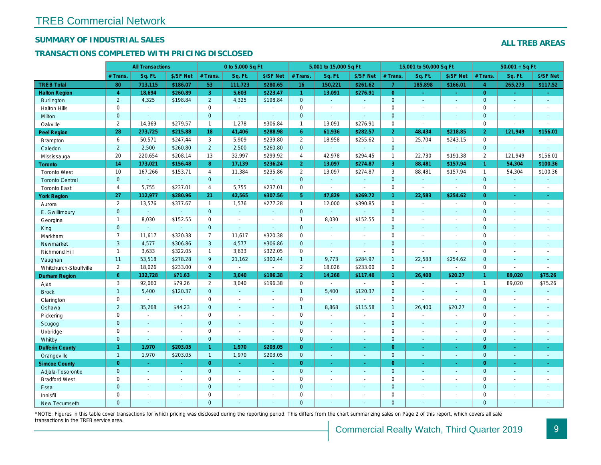## SUMMARY OF INDUSTRIAL SALES

## TRANSACTIONS COMPLETED WITH PRICING DISCLOSED

|                        |                       | <b>All Transactions</b>  |                          |                | 0 to 5,000 Sq Ft |                |                     | 5,001 to 15,000 Sq Ft |                  |                | 15,001 to 50,000 Sq Ft   |                  |
|------------------------|-----------------------|--------------------------|--------------------------|----------------|------------------|----------------|---------------------|-----------------------|------------------|----------------|--------------------------|------------------|
|                        | # Trans.              | Sq. Ft.                  | \$/SF Net                | # Trans.       | Sq. Ft.          | \$/SF Net      | # Trans.            | Sq. Ft.               | \$/SF Net        | # Trans.       | Sq. Ft.                  | \$/SF Ne         |
| <b>TREB Total</b>      | 80                    | 713,115                  | \$186.07                 | 53             | 111,723          | \$280.65       | 16                  | 150,221               | \$261.62         | $\overline{7}$ | 185,898                  | \$166.0          |
| <b>Halton Region</b>   | $\overline{4}$        | 18,694                   | \$260.89                 | 3              | 5,603            | \$223.47       | $\mathbf{1}$        | 13,091                | \$276.91         | $\overline{0}$ | $\sim$                   | $\sim$           |
| <b>Burlington</b>      | $\overline{2}$        | 4,325                    | \$198.84                 | $\overline{2}$ | 4,325            | \$198.84       | $\mathbf{0}$        | $\blacksquare$        | $\omega$         | $\mathbf{0}$   | $\blacksquare$           | $\blacksquare$   |
| <b>Halton Hills</b>    | 0                     | $\sim$                   | $\sim$                   | $\mathbf 0$    | $\blacksquare$   |                | $\mathsf{O}$        | $\blacksquare$        | $\overline{a}$   | $\Omega$       | $\sim$                   | $\mathbf{r}$     |
| Milton                 | $\mathbf{0}$          | $\sim$                   | $\sim$                   | $\mathbf 0$    | $\omega$         | $\blacksquare$ | $\mathbf 0$         | $\blacksquare$        | $\blacksquare$   | $\mathbf{0}$   | $\blacksquare$           | $\blacksquare$   |
| Oakville               | $\overline{2}$        | 14,369                   | \$279.57                 | $\mathbf{1}$   | 1,278            | \$306.84       | $\mathbf{1}$        | 13,091                | \$276.91         | $\mathbf 0$    | $\overline{\phantom{a}}$ | $\blacksquare$   |
| <b>Peel Region</b>     | 28                    | 273,725                  | \$215.88                 | 18             | 41,406           | \$288.98       | 6 <sup>°</sup>      | 61,936                | \$282.57         | $\overline{2}$ | 48,434                   | \$218.85         |
| <b>Brampton</b>        | 6                     | 50,571                   | \$247.44                 | 3              | 5,909            | \$239.80       | $\overline{2}$      | 18,958                | \$255.62         | $\mathbf{1}$   | 25,704                   | \$243.15         |
| Caledon                | $\overline{2}$        | 2,500                    | \$260.80                 | $2^{\circ}$    | 2,500            | \$260.80       | $\overline{0}$      | $\blacksquare$        | $\omega$         | $\mathbf 0$    | $\omega$                 | $\blacksquare$   |
| Mississauga            | 20                    | 220,654                  | \$208.14                 | 13             | 32,997           | \$299.92       | $\overline{4}$      | 42,978                | \$294.45         | $\mathbf{1}$   | 22,730                   | \$191.38         |
| <b>Toronto</b>         | 14                    | 173,021                  | \$156.48                 | 8              | 17,139           | \$236.24       | 2 <sup>1</sup>      | 13,097                | \$274.87         | $\mathbf{3}$   | 88,481                   | \$157.94         |
| <b>Toronto West</b>    | 10                    | 167,266                  | \$153.71                 | 4              | 11,384           | \$235.86       | $\overline{2}$      | 13,097                | \$274.87         | 3              | 88,481                   | \$157.94         |
| <b>Toronto Central</b> | $\mathbf{0}$          |                          | $\omega$                 | $\overline{0}$ | $\omega$         |                | $\mathbf{0}$        | $\omega$              | $\blacksquare$   | $\mathbf{0}$   | $\omega$                 | $\blacksquare$   |
| <b>Toronto East</b>    | $\overline{4}$        | 5,755                    | \$237.01                 | $\overline{4}$ | 5,755            | \$237.01       | $\mathbf 0$         | $\blacksquare$        | $\blacksquare$   | $\mathbf 0$    | $\omega$                 | $\sim$           |
| <b>York Region</b>     | 27                    | 112,977                  | \$280.96                 | 21             | 42,565           | \$307.56       | 5 <sup>5</sup>      | 47,829                | \$269.72         | $\mathbf{1}$   | 22,583                   | \$254.62         |
| Aurora                 | $\overline{2}$        | 13,576                   | \$377.67                 | $\mathbf{1}$   | 1,576            | \$277.28       | $\mathbf{1}$        | 12,000                | \$390.85         | $\mathbf 0$    | $\blacksquare$           | $\sim$           |
| E. Gwillimbury         | $\mathbf{0}$          | $\mathbf{r}$             | $\omega$                 | $\overline{0}$ | $\Delta$         | $\blacksquare$ | $\mathbf{0}$        | $\blacksquare$        | $\blacksquare$   | $\mathbf{0}$   | $\omega$                 | $\blacksquare$   |
| Georgina               | $\mathbf{1}$          | 8,030                    | \$152.55                 | 0              | $\blacksquare$   | $\blacksquare$ | $\mathbf{1}$        | 8,030                 | \$152.55         | $\mathbf 0$    | $\blacksquare$           | $\blacksquare$   |
| King                   | $\mathbf{0}$          | $\sim$                   | $\sim$                   | $\mathbf 0$    | $\mathbf{r}$     | $\sim$         | $\mathbf 0$         | $\blacksquare$        | $\overline{a}$   | $\mathbf{0}$   | $\sim$                   | $\blacksquare$   |
| Markham                | $\overline{7}$        | 11,617                   | \$320.38                 | $\overline{7}$ | 11,617           | \$320.38       | $\mathbf 0$         | $\blacksquare$        | $\overline{a}$   | $\mathbf 0$    | $\blacksquare$           | $\blacksquare$   |
| Newmarket              | 3                     | 4,577                    | \$306.86                 | 3              | 4,577            | \$306.86       | $\mathbf{0}$        | ä,                    | $\overline{a}$   | $\mathbf{0}$   | $\overline{a}$           | $\blacksquare$   |
| Richmond Hill          | $\mathbf{1}$          | 3,633                    | \$322.05                 | $\mathbf{1}$   | 3,633            | \$322.05       | $\mathbf 0$         | $\blacksquare$        | ä,               | 0              | $\blacksquare$           | $\blacksquare$   |
| Vaughan                | 11                    | 53,518                   | \$278.28                 | 9              | 21,162           | \$300.44       | $\mathbf{1}$        | 9,773                 | \$284.97         | $\overline{1}$ | 22,583                   | \$254.62         |
| Whitchurch-Stouffville | $\mathbf{2}^{\prime}$ | 18,026                   | \$233.00                 | $\mathbf 0$    | $\blacksquare$   | $\sim$         | $\overline{2}$      | 18,026                | \$233.00         | $\mathbf 0$    | $\overline{\phantom{a}}$ | $\blacksquare$   |
| <b>Durham Region</b>   | 6                     | 132,728                  | \$71.63                  | 2 <sup>1</sup> | 3,040            | \$196.38       | 2 <sup>1</sup>      | 14,268                | \$117.40         | 1 <sup>1</sup> | 26,400                   | \$20.27          |
| Ajax                   | 3                     | 92,060                   | \$79.26                  | $\mathbf{2}$   | 3,040            | \$196.38       | $\mathsf{O}$        | $\blacksquare$        | $\blacksquare$   | $\mathbf 0$    | $\blacksquare$           | $\blacksquare$   |
| <b>Brock</b>           | $\mathbf{1}$          | 5,400                    | \$120.37                 | $\overline{0}$ | $\omega$         | ä,             | $\overline{1}$      | 5,400                 | \$120.37         | $\mathbf{0}$   | $\Delta$                 | $\sim$           |
| Clarington             | 0                     |                          | $\sim$                   | $\mathbf 0$    | $\sim$           | $\blacksquare$ | $\mathsf{O}\xspace$ | $\blacksquare$        |                  | $\mathbf 0$    | $\blacksquare$           | $\blacksquare$   |
| Oshawa                 | $\overline{2}$        | 35,268                   | \$44.23                  | $\mathbf{0}$   | $\blacksquare$   | ٠              | $\mathbf{1}$        | 8,868                 | \$115.58         | $\mathbf{1}$   | 26,400                   | \$20.27          |
| Pickering              | 0                     | $\sim$                   |                          | 0              | $\sim$           | $\blacksquare$ | $\mathbf 0$         | $\blacksquare$        | $\blacksquare$   | $\mathbf 0$    | $\sim$                   | $\blacksquare$   |
| Scugog                 | $\overline{0}$        | $\sim$                   | $\sim$                   | $\overline{0}$ | $\omega$         | $\blacksquare$ | $\mathbf{0}$        | $\omega$              | $\blacksquare$   | $\mathbf{0}$   | $\blacksquare$           | $\blacksquare$   |
| Uxbridge               | 0                     | $\overline{\phantom{a}}$ | $\overline{\phantom{a}}$ | $\mathbf 0$    | $\blacksquare$   |                | 0                   | $\overline{a}$        | $\overline{a}$   | $\mathbf 0$    | $\sim$                   | $\blacksquare$   |
| Whitby                 | $\mathbf{0}$          | $\sim$                   | $\sim$                   | $\mathbf 0$    | $\sim$           | $\blacksquare$ | $\mathbf{0}$        | $\blacksquare$        | $\sim$           | $\mathbf{0}$   | $\blacksquare$           | $\sim$           |
| <b>Dufferin County</b> | $\mathbf{1}$          | 1,970                    | \$203.05                 | $\mathbf{1}$   | 1,970            | \$203.05       | $\overline{0}$      | ÷.                    | ×.               | $\overline{0}$ | $\sim$                   | <b>A</b>         |
| Orangeville            | $\overline{1}$        | 1,970                    | \$203.05                 | $\mathbf{1}$   | 1,970            | \$203.05       | $\overline{0}$      | $\omega$              | $\omega_{\rm c}$ | $\mathbf{0}$   | $\Box$                   | $\omega_{\rm c}$ |
| <b>Simcoe County</b>   | $\overline{0}$        | $\sim$                   | $\sim$                   | $\overline{0}$ | $\omega$         | $\omega$       | $\overline{0}$      | ä,                    | $\omega$         | $\overline{0}$ | $\omega$                 | $\sim$           |
| Adjala-Tosorontio      | $\mathbf{0}$          | $\sim$                   | $\sim$                   | $\overline{0}$ | $\omega$         | $\sim$         | $\mathbf{0}$        | $\blacksquare$        | $\blacksquare$   | $\mathbf{0}$   | $\Delta$                 | $\sim$           |
| <b>Bradford West</b>   | 0                     | $\blacksquare$           | $\blacksquare$           | 0              | $\sim$           | $\sim$         | $\mathsf{O}\xspace$ | $\blacksquare$        | $\blacksquare$   | $\mathbf 0$    | $\blacksquare$           | $\blacksquare$   |
| Essa                   | $\mathbf 0$           |                          | $\sim$                   | $\mathbf 0$    |                  | $\blacksquare$ | $\mathbf 0$         | ä,                    | ä,               | $\mathbf 0$    | $\sim$                   |                  |
| Innisfil               | 0                     | $\sim$                   | $\sim$                   | 0              | $\blacksquare$   | $\blacksquare$ | $\mathbf 0$         | ä,                    | $\blacksquare$   | $\mathbf 0$    | $\sim$                   | $\blacksquare$   |
| <b>New Tecumseth</b>   | $\Omega$              |                          |                          | $\Omega$       |                  |                | $\mathbf{0}$        |                       |                  | $\Omega$       |                          |                  |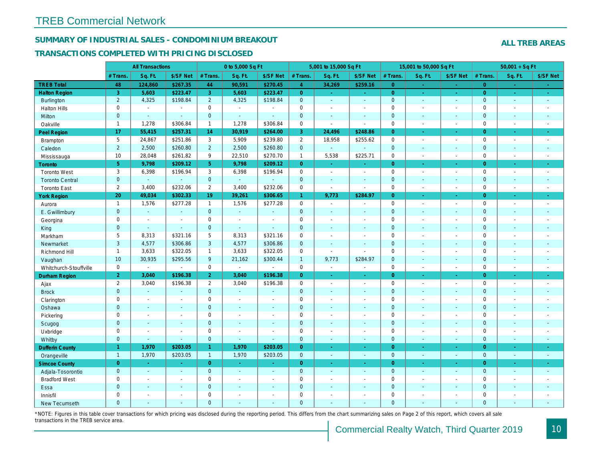## SUMMARY OF INDUSTRIAL SALES - CONDOMINIUM BREAKOUT

#### TRANSACTIONS COMPLETED WITH PRICING DISCLOSED

|                        |                     | <b>All Transactions</b> |                       |                | 0 to 5,000 Sq Ft |                |                | 5,001 to 15,000 Sq Ft |                          |                | 15,001 to 50,000 Sq Ft |                  |
|------------------------|---------------------|-------------------------|-----------------------|----------------|------------------|----------------|----------------|-----------------------|--------------------------|----------------|------------------------|------------------|
|                        | # Trans.            | Sq. Ft.                 | \$/SF Net             | # Trans.       | Sq. Ft.          | \$/SF Net      | # Trans.       | Sq. Ft.               | \$/SF Net                | # Trans.       | Sq. Ft.                | \$/SF Ne         |
| <b>TREB Total</b>      | 48                  | 124,860                 | \$267.35              | 44             | 90,591           | \$270.45       | $\overline{4}$ | 34,269                | \$259.16                 | $\overline{0}$ | a.                     | $\sim$           |
| <b>Halton Region</b>   | 3                   | 5,603                   | \$223.47              | 3              | 5,603            | \$223.47       | $\overline{0}$ | $\omega_{\rm c}$      | $\omega_{\rm{eff}}$      | $\overline{0}$ | $\bullet$              | $\sim$           |
| <b>Burlington</b>      | $\overline{2}$      | 4,325                   | \$198.84              | $\overline{2}$ | 4,325            | \$198.84       | $\mathbf{0}$   | $\omega$              | $\blacksquare$           | $\mathbf 0$    | $\blacksquare$         | $\sim$           |
| <b>Halton Hills</b>    | $\mathbf 0$         | $\blacksquare$          | $\blacksquare$        | $\mathbf 0$    | $\sim$           |                | $\mathbf 0$    | $\blacksquare$        | $\blacksquare$           | $\mathbf 0$    | L.                     | $\blacksquare$   |
| Milton                 | $\mathbf{0}$        | $\blacksquare$          | $\blacksquare$        | $\mathbf 0$    | $\omega$         | $\blacksquare$ | $\pmb{0}$      | $\blacksquare$        | $\blacksquare$           | $\mathbf{0}$   | $\blacksquare$         | $\sim$           |
| Oakville               | $\mathbf{1}$        | 1,278                   | \$306.84              | $\mathbf{1}$   | 1,278            | \$306.84       | 0              | $\blacksquare$        | $\sim$                   | $\mathbf 0$    | $\sim$                 | $\sim$           |
| Peel Region            | 17                  | 55,415                  | \$257.31              | 14             | 30,919           | \$264.00       | 3              | 24,496                | \$248.86                 | $\overline{0}$ | ×.                     | $\bullet$ .      |
| Brampton               | $5\phantom{.0}$     | 24,867                  | \$251.86              | 3              | 5,909            | \$239.80       | $\overline{2}$ | 18,958                | \$255.62                 | $\mathbf 0$    | $\blacksquare$         | $\sim$           |
| Caledon                | $\overline{2}$      | 2,500                   | \$260.80              | $\overline{2}$ | 2,500            | \$260.80       | $\mathbf 0$    | $\omega$              | $\omega$                 | $\mathbf 0$    | $\blacksquare$         | $\sim$           |
| Mississauga            | 10                  | 28,048                  | \$261.82              | 9              | 22,510           | \$270.70       | $\mathbf{1}$   | 5,538                 | \$225.71                 | $\mathbf 0$    | $\sim$                 | $\sim$           |
| <b>Toronto</b>         | 5 <sup>5</sup>      | 9,798                   | \$209.12              | 5              | 9,798            | \$209.12       | $\overline{0}$ | $\omega$              | ä,                       | $\Omega$       | ÷.                     | $\omega_{\rm c}$ |
| <b>Toronto West</b>    | 3                   | 6,398                   | \$196.94              | 3              | 6,398            | \$196.94       | 0              | $\blacksquare$        | $\blacksquare$           | $\mathbf 0$    | $\blacksquare$         | $\sim$           |
| <b>Toronto Central</b> | $\mathbf{0}$        | $\omega$                | $\sim$                | $\mathbf{0}$   | $\omega$         |                | $\mathbf 0$    | $\blacksquare$        | $\blacksquare$           | $\mathbf 0$    | $\blacksquare$         | $\blacksquare$   |
| <b>Toronto East</b>    | $\overline{2}$      | 3,400                   | \$232.06              | $\overline{2}$ | 3,400            | \$232.06       | $\pmb{0}$      | $\blacksquare$        | $\blacksquare$           | $\mathbf 0$    | $\sim$                 | $\sim$           |
| <b>York Region</b>     | 20                  | 49,034                  | \$302.33              | 19             | 39,261           | \$306.65       | $\mathbf{1}$   | 9,773                 | \$284.97                 | $\overline{0}$ | $\blacksquare$         | $\bullet$ .      |
| Aurora                 | $\mathbf{1}$        | 1,576                   | \$277.28              | $\mathbf{1}$   | 1,576            | \$277.28       | 0              | $\sim$                | $\blacksquare$           | $\mathbf 0$    | $\blacksquare$         | $\sim$           |
| E. Gwillimbury         | $\mathbf{0}$        | $\omega$                | $\omega$              | $\mathbf{0}$   | $\omega$         | $\sim$         | $\mathbf 0$    | $\blacksquare$        | $\blacksquare$           | $\mathbf{0}$   | $\blacksquare$         | $\blacksquare$   |
| Georgina               | $\mathbf 0$         | $\blacksquare$          | $\blacksquare$        | $\mathbf 0$    | $\blacksquare$   | $\sim$         | $\pmb{0}$      | $\blacksquare$        | $\blacksquare$           | $\mathbf 0$    | $\blacksquare$         | $\blacksquare$   |
| King                   | $\overline{0}$      | $\blacksquare$          | $\blacksquare$        | $\mathbf{0}$   | $\sim$           | $\sim$         | $\mathbf 0$    | $\sim$                | $\blacksquare$           | $\mathbf 0$    | $\blacksquare$         | $\sim$           |
| Markham                | 5                   | 8,313                   | \$321.16              | 5              | 8,313            | \$321.16       | $\mathbf 0$    | $\blacksquare$        | $\overline{\phantom{a}}$ | $\mathbf 0$    | $\blacksquare$         | $\blacksquare$   |
| Newmarket              | 3                   | 4,577                   | \$306.86              | 3              | 4,577            | \$306.86       | $\mathbf{0}$   | $\blacksquare$        | $\blacksquare$           | $\mathbf{0}$   | ÷.                     | $\blacksquare$   |
| Richmond Hill          | $\mathbf{1}$        | 3,633                   | \$322.05              | $\mathbf{1}$   | 3,633            | \$322.05       | $\mathbf 0$    | $\blacksquare$        | $\blacksquare$           | $\mathbf 0$    | $\blacksquare$         | $\blacksquare$   |
| Vaughan                | 10                  | 30,935                  | \$295.56              | 9              | 21,162           | \$300.44       | $\mathbf{1}$   | 9,773                 | \$284.97                 | $\mathbf{0}$   | $\blacksquare$         | $\sim$           |
| Whitchurch-Stouffville | $\mathbf 0$         | $\blacksquare$          | $\blacksquare$        | $\mathbf 0$    | $\mathbf{r}$     | $\sim$         | $\mathbf 0$    | $\blacksquare$        | $\blacksquare$           | $\mathbf 0$    | ÷,                     | $\sim$           |
| Durham Region          | $\overline{2}$      | 3,040                   | \$196.38              | 2 <sup>1</sup> | 3,040            | \$196.38       | $\overline{0}$ | $\frac{1}{\sqrt{2}}$  | $\blacksquare$           | $\overline{0}$ | $\blacksquare$         | $\bullet$        |
| Ajax                   | $\overline{2}$      | 3,040                   | \$196.38              | $\overline{2}$ | 3,040            | \$196.38       | $\pmb{0}$      | $\blacksquare$        | $\blacksquare$           | $\mathbf 0$    | $\blacksquare$         | $\sim$           |
| <b>Brock</b>           | $\overline{0}$      | $\blacksquare$          | $\sim$                | $\mathbf{0}$   | $\omega$         |                | $\mathbf 0$    | $\omega$              | $\blacksquare$           | $\mathbf 0$    | $\blacksquare$         | $\blacksquare$   |
| Clarington             | $\mathsf{O}\xspace$ | $\tilde{\phantom{a}}$   | $\tilde{\phantom{a}}$ | $\mathbf 0$    | $\blacksquare$   |                | $\pmb{0}$      | $\overline{a}$        | $\blacksquare$           | $\mathbf 0$    | ÷,                     | $\blacksquare$   |
| Oshawa                 | $\mathbf{0}$        | $\blacksquare$          | $\blacksquare$        | $\mathbf{0}$   | $\omega$         | $\blacksquare$ | $\mathbf 0$    | $\blacksquare$        | $\blacksquare$           | $\mathbf{0}$   | $\blacksquare$         | $\blacksquare$   |
| Pickering              | $\mathbf 0$         | $\sim$                  | $\sim$                | $\mathbf 0$    | $\sim$           |                | $\pmb{0}$      | $\blacksquare$        | $\blacksquare$           | $\mathbf 0$    | L.                     | $\blacksquare$   |
| Scugog                 | $\mathbf{0}$        | $\sim$                  | $\sim$                | $\mathbf{0}$   | $\Delta$         | $\sim$         | $\mathbf 0$    | $\omega$              | $\blacksquare$           | $\mathbf{0}$   | $\omega$               | $\blacksquare$   |
| Uxbridge               | $\mathbf 0$         | $\blacksquare$          | $\blacksquare$        | 0              | $\sim$           |                | $\mathbf 0$    | $\blacksquare$        | $\overline{\phantom{a}}$ | $\mathbf 0$    | L.                     | $\blacksquare$   |
| Whitby                 | $\mathbf{0}$        | $\sim$                  | $\sim$                | $\mathbf{0}$   | $\sim$           | $\sim$         | $\mathbf 0$    | $\blacksquare$        | $\blacksquare$           | $\mathbf{0}$   | $\blacksquare$         | $\sim$           |
| <b>Dufferin County</b> | $\mathbf{1}$        | 1,970                   | \$203.05              | $\mathbf{1}$   | 1,970            | \$203.05       | $\overline{0}$ | $\omega$              | ×.                       | $\overline{0}$ | ×.                     | $\sim$           |
| Orangeville            | $\overline{1}$      | 1,970                   | \$203.05              | $\mathbf{1}$   | 1,970            | \$203.05       | $\mathbf{0}$   | $\omega$              | $\omega$                 | $\mathbf 0$    | $\omega$               | $\sim$           |
| <b>Simcoe County</b>   | $\overline{0}$      | $\omega$                | $\omega$              | $\overline{0}$ | $\sim$           | $\omega$       | $\overline{0}$ | ä,                    | $\omega$                 | $\overline{0}$ | $\blacksquare$         | $\sigma_{\rm c}$ |
| Adjala-Tosorontio      | $\mathbf{0}$        | $\sim$                  | $\sim$                | $\mathbf{0}$   | $\sim$           | $\sim$         | $\mathbf 0$    | $\Delta$              | $\blacksquare$           | $\mathbf 0$    | $\blacksquare$         | $\sim$           |
| <b>Bradford West</b>   | $\mathbf 0$         | $\sim$                  | $\omega$              | $\mathbf 0$    | $\blacksquare$   | $\blacksquare$ | $\pmb{0}$      | $\blacksquare$        | $\blacksquare$           | $\mathbf 0$    | $\overline{a}$         | $\blacksquare$   |
| Essa                   | $\mathbf{0}$        | $\sim$                  | $\sim$                | $\mathbf{0}$   |                  | $\sim$         | $\pmb{0}$      | $\blacksquare$        | $\blacksquare$           | $\mathbf 0$    | $\blacksquare$         |                  |
| Innisfil               | $\mathbf 0$         | $\blacksquare$          | $\blacksquare$        | $\mathbf 0$    | $\blacksquare$   | $\blacksquare$ | $\pmb{0}$      | $\blacksquare$        | $\blacksquare$           | $\mathbf 0$    | $\blacksquare$         | $\blacksquare$   |
| <b>New Tecumseth</b>   | $\Omega$            |                         |                       | $\Omega$       |                  |                | $\Omega$       |                       |                          | $\Omega$       |                        |                  |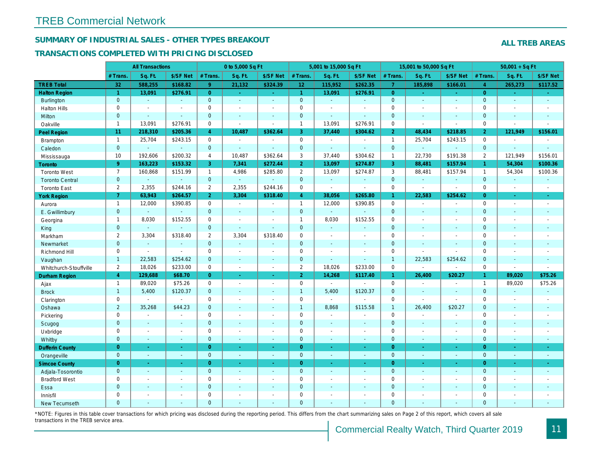## SUMMARY OF INDUSTRIAL SALES - OTHER TYPES BREAKOUT

#### TRANSACTIONS COMPLETED WITH PRICING DISCLOSED

|                        |                      | <b>All Transactions</b> |                |                | 0 to 5,000 Sq Ft |                          |                | 5,001 to 15,000 Sq Ft    |                          |                | 15,001 to 50,000 Sq Ft   |                          |
|------------------------|----------------------|-------------------------|----------------|----------------|------------------|--------------------------|----------------|--------------------------|--------------------------|----------------|--------------------------|--------------------------|
|                        | # Trans.             | Sq. Ft.                 | \$/SF Net      | # Trans.       | Sq. Ft.          | \$/SF Net                | # Trans.       | Sq. Ft.                  | \$/SF Net                | # Trans.       | Sq. Ft.                  | \$/SF Ne                 |
| <b>TREB Total</b>      | 32                   | 588,255                 | \$168.82       | 9 <sup>°</sup> | 21,132           | \$324.39                 | 12             | 115,952                  | \$262.35                 | $\overline{7}$ | 185,898                  | \$166.0'                 |
| <b>Halton Region</b>   | $\blacktriangleleft$ | 13,091                  | \$276.91       | $\overline{0}$ | $\omega$         | $\sim$                   | $\mathbf{1}$   | 13,091                   | \$276.91                 | $\overline{0}$ | $\blacksquare$           | $\omega_{\rm c}$         |
| <b>Burlington</b>      | $\mathbf{0}$         | $\sim$                  | $\omega$       | $\overline{0}$ | $\omega$         | $\omega$                 | $\mathbf{0}$   | $\sim$                   | $\omega$                 | $\mathbf{0}$   | $\omega$                 | $\sim$                   |
| <b>Halton Hills</b>    | $\mathbf 0$          | $\sim$                  | $\blacksquare$ | $\Omega$       | $\sim$           |                          | $\mathbf 0$    | $\blacksquare$           | $\sim$                   | $\mathbf 0$    | ÷,                       | $\blacksquare$           |
| Milton                 | $\overline{0}$       | $\blacksquare$          | $\omega$       | $\overline{0}$ | $\blacksquare$   | $\blacksquare$           | $\mathbf 0$    | $\omega$                 | $\sim$                   | $\mathbf{0}$   | $\blacksquare$           | $\blacksquare$           |
| Oakville               | $\mathbf{1}$         | 13,091                  | \$276.91       | $\mathbf 0$    | $\blacksquare$   | $\blacksquare$           | $\mathbf{1}$   | 13,091                   | \$276.91                 | $\mathbf 0$    | $\sim$                   | $\blacksquare$           |
| Peel Region            | 11                   | 218,310                 | \$205.36       | $\overline{4}$ | 10,487           | \$362.64                 | 3              | 37,440                   | \$304.62                 | $\overline{2}$ | 48,434                   | \$218.85                 |
| <b>Brampton</b>        | $\mathbf{1}$         | 25,704                  | \$243.15       | $\mathbf{0}$   | $\sim$           | $\sim$                   | $\mathbf 0$    | $\sim$                   | $\overline{\phantom{a}}$ | $\mathbf{1}$   | 25,704                   | \$243.15                 |
| Caledon                | $\mathbf{0}$         | $\omega$                | $\omega$       | $\overline{0}$ | $\omega$         | $\sim$                   | $\mathbf{0}$   | $\omega$                 | ۰                        | $\mathbf{0}$   | $\omega$                 | $\omega$                 |
| Mississauga            | 10                   | 192,606                 | \$200.32       | $\overline{4}$ | 10,487           | \$362.64                 | 3              | 37,440                   | \$304.62                 | $\overline{1}$ | 22,730                   | \$191.38                 |
| Toronto                | 9 <sup>°</sup>       | 163,223                 | \$153.32       | 3              | 7,341            | \$272.44                 | 2 <sup>1</sup> | 13,097                   | \$274.87                 | 3              | 88,481                   | \$157.94                 |
| <b>Toronto West</b>    | $\overline{7}$       | 160,868                 | \$151.99       | $\mathbf{1}$   | 4,986            | \$285.80                 | $\mathbf{2}$   | 13,097                   | \$274.87                 | 3              | 88,481                   | \$157.94                 |
| <b>Toronto Central</b> | $\mathbf{0}$         | ÷.                      | $\mathbf{r}$   | $\overline{0}$ | $\omega$         | $\mathbf{r}$             | $\mathbf{0}$   | $\omega$                 | $\Delta$                 | $\mathbf{0}$   | $\omega$                 | $\sim$                   |
| <b>Toronto East</b>    | $\overline{2}$       | 2,355                   | \$244.16       | $\overline{2}$ | 2,355            | \$244.16                 | 0              | $\blacksquare$           | $\sim$                   | $\mathbf 0$    | $\sim$                   | $\blacksquare$           |
| <b>York Region</b>     | $\overline{7}$       | 63,943                  | \$264.57       | $\overline{2}$ | 3,304            | \$318.40                 | $\overline{4}$ | 38,056                   | \$265.80                 | 1.             | 22,583                   | \$254.62                 |
| Aurora                 | $\overline{1}$       | 12,000                  | \$390.85       | $\Omega$       | $\sim$           | $\sim$                   | $\mathbf{1}$   | 12,000                   | \$390.85                 | $\mathbf 0$    | $\blacksquare$           | $\sim$                   |
| E. Gwillimbury         | $\mathbf{0}$         | $\omega$                | $\blacksquare$ | $\mathbf 0$    | $\sim$           |                          | $\mathbf{0}$   | $\omega$                 | $\blacksquare$           | $\mathbf{0}$   | ÷,                       | $\blacksquare$           |
| Georgina               | $\mathbf{1}$         | 8,030                   | \$152.55       | $\mathbf 0$    | $\blacksquare$   | $\blacksquare$           | $\mathbf{1}$   | 8,030                    | \$152.55                 | $\mathbf 0$    | $\sim$                   | $\blacksquare$           |
| King                   | $\overline{0}$       | $\omega$                | $\omega$       | $\overline{0}$ | $\sim$           | $\sim$                   | $\mathbf{0}$   | $\sim$                   | ÷.                       | $\mathbf{0}$   | $\blacksquare$           | $\sim$                   |
| Markham                | $\overline{2}$       | 3,304                   | \$318.40       | $\overline{2}$ | 3,304            | \$318.40                 | $\pmb{0}$      | $\blacksquare$           | $\overline{\phantom{a}}$ | $\mathbf 0$    | $\blacksquare$           | $\blacksquare$           |
| Newmarket              | $\mathbf{0}$         | $\blacksquare$          | $\blacksquare$ | $\overline{0}$ | $\omega$         | $\sim$                   | $\mathbf 0$    | $\overline{\phantom{a}}$ | $\blacksquare$           | $\mathbf{0}$   | $\blacksquare$           | $\blacksquare$           |
| Richmond Hill          | $\mathbf 0$          | $\blacksquare$          | $\blacksquare$ | $\mathbf 0$    | $\sim$           | $\overline{\phantom{a}}$ | $\mathbf 0$    | $\blacksquare$           | $\blacksquare$           | $\mathbf 0$    | $\sim$                   | ÷                        |
| Vaughan                | $\mathbf{1}$         | 22,583                  | \$254.62       | $\mathbf 0$    | $\sim$           | $\sim$                   | $\pmb{0}$      | $\mathbf{u}$             | $\sim$                   | $\overline{1}$ | 22,583                   | \$254.62                 |
| Whitchurch-Stouffville | 2                    | 18,026                  | \$233.00       | $\mathbf 0$    | $\sim$           | $\sim$                   | $\mathbf{2}$   | 18,026                   | \$233.00                 | $\mathbf 0$    | $\overline{\phantom{a}}$ | $\blacksquare$           |
| <b>Durham Region</b>   | $\overline{4}$       | 129,688                 | \$68.70        | $\Omega$       | $\omega$         | $\sim$                   | 2 <sup>1</sup> | 14,268                   | \$117.40                 | $\mathbf{1}$   | 26,400                   | \$20.27                  |
| Ajax                   | $\mathbf{1}$         | 89,020                  | \$75.26        | 0              | $\blacksquare$   | $\blacksquare$           | $\mathsf 0$    | $\mathbf{r}$             | $\sim$                   | $\mathbf 0$    | $\sim$                   | $\sim$                   |
| <b>Brock</b>           | $\mathbf{1}$         | 5,400                   | \$120.37       | $\overline{0}$ | $\sim$           | $\sim$                   | $\mathbf{1}$   | 5,400                    | \$120.37                 | $\mathbf{0}$   | $\blacksquare$           | $\sim$                   |
| Clarington             | $\mathbf 0$          |                         | $\blacksquare$ | $\mathbf 0$    | $\sim$           |                          | $\mathbf 0$    | $\blacksquare$           | $\sim$                   | $\mathbf 0$    | L.                       | $\blacksquare$           |
| Oshawa                 | $\overline{2}$       | 35,268                  | \$44.23        | $\overline{0}$ | $\blacksquare$   | $\blacksquare$           | $\mathbf{1}$   | 8,868                    | \$115.58                 | $\mathbf{1}$   | 26,400                   | \$20.27                  |
| Pickering              | $\mathbf 0$          | $\sim$                  | $\blacksquare$ | $\mathbf 0$    | $\sim$           | $\overline{\phantom{a}}$ | $\mathbf 0$    | $\blacksquare$           | $\blacksquare$           | $\mathbf 0$    | $\overline{\phantom{a}}$ | $\blacksquare$           |
| Scugog                 | $\mathbf{0}$         | $\blacksquare$          | $\blacksquare$ | $\overline{0}$ | $\sim$           | $\sim$                   | $\mathbf 0$    | $\blacksquare$           | $\blacksquare$           | $\mathbf{0}$   | $\blacksquare$           | $\sim$                   |
| Uxbridge               | 0                    | $\blacksquare$          | $\blacksquare$ | 0              | $\sim$           | $\sim$                   | $\mathbf 0$    | $\blacksquare$           | $\overline{\phantom{a}}$ | $\mathbf 0$    | ÷,                       | $\overline{\phantom{a}}$ |
| Whitby                 | $\mathbf{0}$         | $\sim$                  | $\sim$         | $\mathbf 0$    | $\sim$           | $\sim$                   | $\mathbf{0}$   | $\blacksquare$           | $\blacksquare$           | $\mathbf{0}$   | $\blacksquare$           | $\sim$                   |
| <b>Dufferin County</b> | $\overline{0}$       | $\sim$                  | $\sim$         | $\overline{0}$ | $\sim$           | $\sim$                   | $\overline{0}$ | $\blacksquare$           | $\sim$                   | $\overline{0}$ | ×.                       | $\sim$                   |
| Orangeville            | $\mathbf{0}$         | $\sim$                  | ¥.             | $\mathbf 0$    | $\omega$         | $\omega$                 | $\mathbf 0$    | $\omega$                 | $\omega$ .               | $\mathbf{0}$   | $\omega$                 | $\sim$                   |
| <b>Simcoe County</b>   | $\overline{0}$       | $\sim$                  | $\omega$       | $\overline{0}$ | $\sim$           | $\sim$                   | $\overline{0}$ | $\omega$                 | $\omega$                 | $\overline{0}$ | $\blacksquare$           | $\sim$                   |
| Adjala-Tosorontio      | $\mathbf{0}$         | $\omega$                | $\blacksquare$ | $\overline{0}$ | $\sim$           | $\sim$                   | $\mathbf 0$    | $\sim$                   | ä,                       | $\mathbf{0}$   | $\mathbf{r}$             | $\sim$                   |
| <b>Bradford West</b>   | $\mathbf 0$          | $\sim$                  | $\blacksquare$ | $\mathbf 0$    | $\sim$           | $\blacksquare$           | $\mathbf 0$    | $\sim$                   | $\blacksquare$           | $\mathbf 0$    | $\blacksquare$           | $\sim$                   |
| Essa                   | $\mathbf{0}$         |                         | $\blacksquare$ | $\mathbf 0$    |                  |                          | $\mathbf 0$    | $\sim$                   | $\sim$                   | $\mathbf 0$    | $\blacksquare$           |                          |
| Innisfil               | $\mathbf 0$          | $\blacksquare$          | $\blacksquare$ | $\mathbf 0$    | $\sim$           | $\sim$                   | $\mathbf 0$    | $\blacksquare$           | $\sim$                   | $\mathbf 0$    | L.                       | $\blacksquare$           |
| <b>New Tecumseth</b>   | $\Omega$             |                         |                | $\Omega$       |                  |                          | $\Omega$       |                          |                          | $\Omega$       |                          |                          |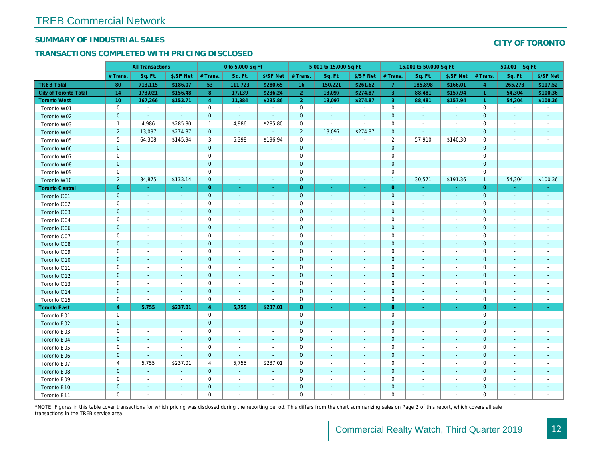## SUMMARY OF INDUSTRIAL SALES

## TRANSACTIONS COMPLETED WITH PRICING DISCLOSED

|                              |                 | <b>All Transactions</b>  |                          |                | 0 to 5,000 Sq Ft         |                          |                | 5,001 to 15,000 Sq Ft    |                          |                | 15,001 to 50,000 Sq Ft   |                          |
|------------------------------|-----------------|--------------------------|--------------------------|----------------|--------------------------|--------------------------|----------------|--------------------------|--------------------------|----------------|--------------------------|--------------------------|
|                              | # Trans.        | Sq. Ft.                  | \$/SF Net                | # Trans.       | Sq. Ft.                  | \$/SF Net                | # Trans.       | Sq. Ft.                  | \$/SF Net                | # Trans.       | Sq. Ft.                  | \$/SF Ne                 |
| <b>TREB Total</b>            | 80              | 713,115                  | \$186.07                 | 53             | 111,723                  | \$280.65                 | 16             | 150,221                  | \$261.62                 | $\overline{7}$ | 185,898                  | \$166.0                  |
| <b>City of Toronto Total</b> | 14              | 173,021                  | \$156.48                 | 8              | 17,139                   | \$236.24                 | $\overline{2}$ | 13,097                   | \$274.87                 | $\overline{3}$ | 88,481                   | \$157.94                 |
| <b>Toronto West</b>          | 10 <sup>°</sup> | 167,266                  | \$153.71                 | $\overline{4}$ | 11,384                   | \$235.86                 | $\overline{2}$ | 13,097                   | \$274.87                 | $\mathbf{3}$   | 88,481                   | \$157.94                 |
| Toronto W01                  | $\mathbf 0$     | $\sim$                   | $\blacksquare$           | $\mathbf 0$    | $\sim$                   | $\blacksquare$           | $\mathbf 0$    | $\blacksquare$           | $\omega$                 | $\mathbf 0$    | $\blacksquare$           | $\blacksquare$           |
| Toronto W02                  | $\mathbf 0$     | $\sim$                   | $\sim$                   | $\mathbf 0$    | $\sim$                   | $\blacksquare$           | $\mathbf 0$    | $\blacksquare$           | $\sim$                   | $\mathbf 0$    | $\blacksquare$           | $\blacksquare$           |
| Toronto W03                  | $\mathbf{1}$    | 4,986                    | \$285.80                 | $\mathbf 1$    | 4,986                    | \$285.80                 | 0              | $\omega$                 | $\omega$                 | 0              | $\blacksquare$           | $\blacksquare$           |
| Toronto W04                  | $\overline{2}$  | 13,097                   | \$274.87                 | $\mathbf{0}$   | $\omega$                 | $\omega$                 | $\overline{2}$ | 13,097                   | \$274.87                 | $\mathbf 0$    | $\Delta$                 | $\sim$                   |
| Toronto W05                  | 5               | 64,308                   | \$145.94                 | 3              | 6,398                    | \$196.94                 | $\mathbf 0$    | $\mathbf{r}$             | $\blacksquare$           | $\overline{2}$ | 57,910                   | \$140.30                 |
| Toronto W06                  | $\pmb{0}$       | $\sim$                   | $\sim$                   | $\mathbf 0$    | $\blacksquare$           | $\blacksquare$           | $\mathbf 0$    | $\blacksquare$           | $\overline{\phantom{a}}$ | $\mathbf 0$    | $\blacksquare$           |                          |
| Toronto W07                  | 0               | $\blacksquare$           | $\overline{\phantom{a}}$ | 0              | $\overline{\phantom{a}}$ | $\overline{\phantom{a}}$ | 0              | $\overline{\phantom{a}}$ | $\blacksquare$           | 0              | $\overline{\phantom{a}}$ | $\overline{\phantom{a}}$ |
| Toronto W08                  | $\mathbf{0}$    | $\sim$                   | $\sim$                   | $\mathbf{0}$   | $\sim$                   | $\sim$                   | $\mathbf 0$    | $\blacksquare$           | $\sim$                   | $\mathbf 0$    | $\blacksquare$           | $\sim$                   |
| Toronto W09                  | 0               | $\sim$                   | $\sim$                   | $\mathbf 0$    | $\tilde{\phantom{a}}$    | $\blacksquare$           | $\mathbf 0$    | $\sim$                   | $\blacksquare$           | $\mathbf 0$    | $\blacksquare$           | $\blacksquare$           |
| Toronto W10                  | $\overline{2}$  | 84,875                   | \$133.14                 | $\mathbf 0$    | $\blacksquare$           | $\sim$                   | $\mathbf 0$    | $\blacksquare$           | $\blacksquare$           | $\mathbf{1}$   | 30,571                   | \$191.36                 |
| <b>Toronto Central</b>       | $\mathbf{0}$    | $\sim$                   | $\sim$                   | $\overline{0}$ | $\blacksquare$           | $\blacksquare$           | $\overline{0}$ | $\sim$                   | $\sim$                   | $\overline{0}$ | $\sim$                   | $\sim$                   |
| Toronto C01                  | $\mathbf{0}$    | $\sim$                   | $\sim$                   | $\mathbf{0}$   | $\sim$                   | $\sim$                   | $\mathbf{0}$   | $\blacksquare$           | $\sim$                   | $\overline{0}$ | $\sim$                   | $\sim$                   |
| Toronto C02                  | $\mathbf 0$     | $\sim$                   | $\sim$                   | $\mathbf 0$    | $\blacksquare$           | $\blacksquare$           | $\mathsf 0$    | $\overline{a}$           | $\overline{a}$           | $\mathbf 0$    | ÷,                       | $\blacksquare$           |
| Toronto C03                  | $\mathbf 0$     | $\blacksquare$           | $\blacksquare$           | $\overline{0}$ | ä,                       | $\blacksquare$           | $\mathbf 0$    | ٠                        | ٠                        | $\mathbf{0}$   | $\blacksquare$           | $\blacksquare$           |
| Toronto C04                  | 0               | $\blacksquare$           | $\overline{\phantom{a}}$ | $\mathbf 0$    | $\blacksquare$           | $\blacksquare$           | $\mathbf 0$    | $\blacksquare$           | $\sim$                   | $\mathbf 0$    | $\blacksquare$           | $\blacksquare$           |
| Toronto C06                  | $\mathbf 0$     | $\blacksquare$           |                          | $\mathbf 0$    | $\blacksquare$           | $\blacksquare$           | $\mathbf 0$    | ÷,                       | $\blacksquare$           | $\mathbf 0$    | $\blacksquare$           | $\blacksquare$           |
| Toronto C07                  | $\mathbf 0$     |                          |                          | $\mathbf 0$    | ÷,                       | $\blacksquare$           | $\mathbf 0$    |                          | $\sim$                   | $\mathbf 0$    | J.                       | $\blacksquare$           |
| Toronto C08                  | $\mathbf{0}$    | $\sim$                   | $\sim$                   | $\mathbf 0$    | $\blacksquare$           | $\blacksquare$           | $\mathbf 0$    | ٠                        | $\blacksquare$           | $\mathbf{0}$   | $\blacksquare$           | $\blacksquare$           |
| Toronto C09                  | 0               | $\overline{\phantom{a}}$ | $\overline{\phantom{a}}$ | $\mathbf 0$    | $\blacksquare$           | $\blacksquare$           | $\mathbf 0$    | $\overline{\phantom{a}}$ | $\overline{\phantom{a}}$ | 0              | $\overline{\phantom{a}}$ | $\overline{\phantom{a}}$ |
| Toronto C10                  | $\pmb{0}$       | $\sim$                   | $\sim$                   | $\mathbf 0$    | $\blacksquare$           | $\blacksquare$           | $\mathbf 0$    | $\blacksquare$           | $\blacksquare$           | $\mathbf 0$    | $\blacksquare$           | $\blacksquare$           |
| Toronto C11                  | $\mathbf 0$     | $\sim$                   | $\sim$                   | $\mathbf 0$    | $\sim$                   | $\blacksquare$           | $\mathbf 0$    | $\sim$                   | $\blacksquare$           | $\mathbf 0$    | $\blacksquare$           | $\overline{\phantom{a}}$ |
| Toronto C12                  | $\mathbf{0}$    | $\sim$                   | $\sim$                   | $\overline{0}$ | $\sim$                   | $\blacksquare$           | $\mathbf{0}$   | $\sim$                   | $\omega$                 | $\mathbf{0}$   | $\sim$                   | $\sim$                   |
| Toronto C13                  | 0               | $\sim$                   | $\overline{\phantom{a}}$ | $\mathbf 0$    | $\sim$                   | $\blacksquare$           | $\pmb{0}$      | $\overline{\phantom{a}}$ | $\sim$                   | 0              | $\blacksquare$           | $\overline{\phantom{a}}$ |
| Toronto C14                  | $\mathbf 0$     | $\sim$                   | $\sim$                   | $\mathbf 0$    | $\sim$                   | $\blacksquare$           | $\mathbf 0$    | $\blacksquare$           | $\blacksquare$           | $\mathbf 0$    | $\blacksquare$           | $\sim$                   |
| Toronto C15                  | 0               | $\blacksquare$           | $\blacksquare$           | $\mathbf 0$    | $\blacksquare$           | $\blacksquare$           | $\mathbf 0$    | $\blacksquare$           | $\blacksquare$           | $\mathbf 0$    | $\overline{\phantom{a}}$ | $\sim$                   |
| <b>Toronto East</b>          | $\overline{4}$  | 5,755                    | \$237.01                 | $\overline{4}$ | 5,755                    | \$237.01                 | $\overline{0}$ | $\omega$                 | $\omega$                 | $\overline{0}$ | $\omega$                 | $\sim$                   |
| Toronto E01                  | 0               | $\sim$                   | $\sim$                   | $\mathbf 0$    | $\omega$                 | $\blacksquare$           | $\mathbf 0$    | $\sim$                   | $\blacksquare$           | $\mathbf 0$    | $\blacksquare$           | $\sim$                   |
| Toronto E02                  | $\mathbf 0$     | $\sim$                   | $\sim$                   | $\mathbf{0}$   | $\blacksquare$           | $\blacksquare$           | $\mathbf 0$    | $\blacksquare$           | $\sim$                   | $\mathbf{0}$   | $\blacksquare$           | $\sim$                   |
| Toronto E03                  | 0               | $\blacksquare$           | $\sim$                   | 0              | $\blacksquare$           | $\overline{\phantom{a}}$ | $\mathbf 0$    | $\blacksquare$           | $\blacksquare$           | $\mathbf 0$    | $\blacksquare$           | $\blacksquare$           |
| Toronto E04                  | $\mathbf{0}$    | $\sim$                   | $\sim$                   | $\mathbf{0}$   | $\blacksquare$           | $\blacksquare$           | $\mathbf 0$    | $\omega$                 | $\blacksquare$           | $\mathbf{0}$   | $\blacksquare$           | $\blacksquare$           |
| Toronto E05                  | 0               | $\blacksquare$           | $\blacksquare$           | $\mathbf 0$    | $\overline{\phantom{a}}$ | $\blacksquare$           | $\mathbf 0$    | $\blacksquare$           | $\blacksquare$           | $\mathbf 0$    | $\blacksquare$           | $\overline{\phantom{a}}$ |
| Toronto E06                  | $\mathbf{0}$    |                          | $\sim$                   | $\mathbf 0$    | $\blacksquare$           | $\blacksquare$           | $\mathbf 0$    | ÷,                       | ÷,                       | $\mathbf{0}$   | $\blacksquare$           | $\blacksquare$           |
| Toronto E07                  | 4               | 5,755                    | \$237.01                 | 4              | 5,755                    | \$237.01                 | 0              | $\blacksquare$           | $\blacksquare$           | 0              | $\blacksquare$           | $\blacksquare$           |
| Toronto E08                  | $\mathbf{0}$    | $\omega$                 | $\omega$                 | $\mathbf 0$    | $\sim$                   | $\blacksquare$           | $\mathbf 0$    |                          | $\omega$                 | $\mathbf{0}$   | $\omega$                 |                          |
| Toronto E09                  | 0               | $\blacksquare$           | $\sim$                   | $\mathbf 0$    | $\blacksquare$           | $\blacksquare$           | $\mathbf 0$    | $\blacksquare$           | $\blacksquare$           | $\mathbf 0$    | $\blacksquare$           | $\blacksquare$           |
| Toronto E10                  | $\mathbf 0$     |                          |                          | $\mathbf 0$    | $\blacksquare$           | $\blacksquare$           | $\mathbf 0$    |                          |                          | $\mathbf 0$    | $\blacksquare$           |                          |
| Toronto E11                  | $\mathbf 0$     | $\blacksquare$           | $\sim$                   | $\mathbf 0$    | $\blacksquare$           | $\blacksquare$           | $\mathbf 0$    | $\blacksquare$           | $\blacksquare$           | $\mathbf 0$    | $\blacksquare$           | $\blacksquare$           |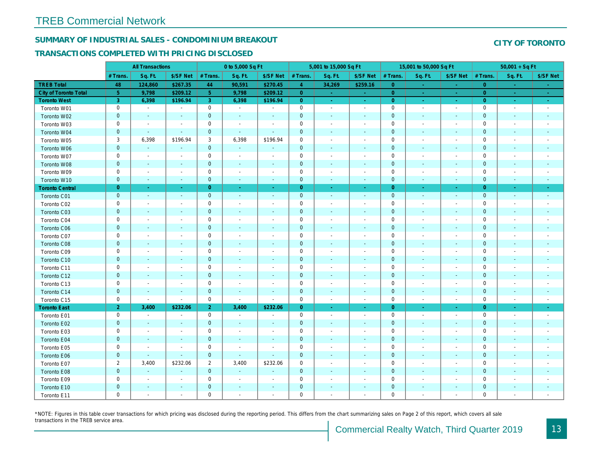# SUMMARY OF INDUSTRIAL SALES - CONDOMINIUM BREAKOUT

## TRANSACTIONS COMPLETED WITH PRICING DISCLOSED

|                        | <b>All Transactions</b> |                          | 0 to 5,000 Sq Ft         |                |                          |                          | 5,001 to 15,000 Sq Ft |                          |                          | 15,001 to 50,000 Sq Ft |                          |                          |
|------------------------|-------------------------|--------------------------|--------------------------|----------------|--------------------------|--------------------------|-----------------------|--------------------------|--------------------------|------------------------|--------------------------|--------------------------|
|                        | # Trans.                | Sq. Ft.                  | \$/SF Net                | # Trans.       | Sq. Ft.                  | \$/SF Net                | # Trans.              | Sq. Ft.                  | \$/SF Net                | # Trans.               | Sq. Ft.                  | \$/SF Ne                 |
| <b>TREB Total</b>      | 48                      | 124,860                  | \$267.35                 | 44             | 90,591                   | \$270.45                 | $\overline{4}$        | 34,269                   | \$259.16                 | $\overline{0}$         | $\blacksquare$           | $\sim$                   |
| City of Toronto Total  | 5 <sub>5</sub>          | 9,798                    | \$209.12                 | $\sqrt{5}$     | 9,798                    | \$209.12                 | $\overline{0}$        | $\sim$                   | $\sim$                   | $\overline{0}$         | ÷                        | $\sim$                   |
| <b>Toronto West</b>    | 3                       | 6,398                    | \$196.94                 | 3              | 6,398                    | \$196.94                 | $\overline{0}$        | $\sim$                   | $\omega_{\rm c}$         | $\overline{0}$         | $\omega$                 | $\omega_{\rm{eff}}$      |
| Toronto W01            | 0                       | $\sim$                   | $\sim$                   | $\mathbf 0$    | $\sim$                   | $\blacksquare$           | $\mathsf 0$           | $\sim$                   | $\blacksquare$           | $\mathbf 0$            | $\blacksquare$           | $\blacksquare$           |
| Toronto W02            | $\mathbf 0$             | $\blacksquare$           | $\sim$                   | $\mathbf 0$    | $\blacksquare$           | $\blacksquare$           | $\mathbf 0$           | $\blacksquare$           | ÷,                       | $\mathbf 0$            | $\blacksquare$           | $\blacksquare$           |
| Toronto W03            | 0                       | $\overline{\phantom{a}}$ | $\blacksquare$           | $\mathbf 0$    | $\overline{\phantom{a}}$ | $\blacksquare$           | $\mathbf 0$           | $\blacksquare$           | $\overline{\phantom{a}}$ | $\mathbf 0$            | $\overline{\phantom{a}}$ | $\blacksquare$           |
| Toronto W04            | $\mathbf 0$             | $\sim$                   | $\sim$                   | $\mathbf 0$    | $\sim$                   | $\sim$                   | $\mathbf 0$           | $\blacksquare$           | $\blacksquare$           | $\mathbf{0}$           | $\blacksquare$           | $\blacksquare$           |
| Toronto W05            | 3                       | 6,398                    | \$196.94                 | 3              | 6,398                    | \$196.94                 | $\mathsf{O}\xspace$   | $\blacksquare$           | $\blacksquare$           | $\mathbf 0$            | $\blacksquare$           | $\blacksquare$           |
| Toronto W06            | $\mathbf 0$             | $\blacksquare$           | $\sim$                   | $\mathbf 0$    | $\blacksquare$           | $\frac{1}{2}$            | $\pmb{0}$             | $\overline{\phantom{a}}$ | $\sim$                   | $\mathbf 0$            | $\blacksquare$           | $\blacksquare$           |
| Toronto W07            | 0                       | $\sim$                   | $\overline{\phantom{a}}$ | $\mathbf 0$    | $\blacksquare$           | $\overline{\phantom{a}}$ | $\mathbf 0$           | $\blacksquare$           | $\blacksquare$           | $\mathbf 0$            | $\blacksquare$           | $\blacksquare$           |
| Toronto W08            | $\mathbf{0}$            | $\sim$                   | $\sim$                   | $\mathbf 0$    | $\sim$                   | $\sim$                   | $\mathbf 0$           | $\blacksquare$           | $\blacksquare$           | $\mathbf 0$            | $\blacksquare$           | $\blacksquare$           |
| Toronto W09            | 0                       | $\blacksquare$           | $\overline{\phantom{a}}$ | $\mathbf 0$    | $\blacksquare$           | $\sim$                   | $\mathsf{O}\xspace$   | $\blacksquare$           | $\blacksquare$           | $\mathbf 0$            | $\blacksquare$           | $\blacksquare$           |
| Toronto W10            | $\mathbf{0}$            | $\sim$                   | $\sim$                   | $\mathbf 0$    | $\sim$                   | $\sim$                   | $\mathbf 0$           | $\blacksquare$           | $\omega$                 | $\mathbf 0$            | $\sim$                   | $\sim$                   |
| <b>Toronto Central</b> | $\overline{0}$          | $\sim$                   | $\sim$                   | $\mathbf{0}$   | $\sim$                   | $\sim$                   | $\overline{0}$        | $\sim$                   | $\blacksquare$           | $\overline{0}$         | $\bullet$                | $\sim$                   |
| Toronto C01            | $\mathbf{0}$            | $\sim$                   | $\sim$                   | $\mathbf 0$    | $\omega$                 | $\sim$                   | $\mathbf 0$           | $\omega$                 | $\sim$                   | $\mathbf 0$            | $\omega$                 | $\sim$                   |
| Toronto C02            | 0                       | $\overline{\phantom{a}}$ | $\overline{a}$           | $\mathbf 0$    | $\blacksquare$           | $\blacksquare$           | $\mathbf 0$           | $\blacksquare$           | $\blacksquare$           | $\mathbf 0$            | $\blacksquare$           | $\blacksquare$           |
| Toronto C03            | $\mathbf 0$             | $\overline{\phantom{a}}$ | $\sim$                   | $\mathbf 0$    | $\blacksquare$           | $\blacksquare$           | $\mathbf 0$           | $\blacksquare$           | $\blacksquare$           | $\mathbf{0}$           | $\blacksquare$           | ٠                        |
| Toronto C04            | 0                       | $\overline{\phantom{a}}$ |                          | $\mathbf 0$    | $\blacksquare$           | $\blacksquare$           | $\mathbf 0$           | $\overline{a}$           | $\overline{a}$           | $\mathbf 0$            | $\overline{\phantom{a}}$ | $\blacksquare$           |
| Toronto C06            | $\pmb{0}$               | $\sim$                   | $\blacksquare$           | $\mathbf 0$    | $\blacksquare$           | $\blacksquare$           | $\mathbf 0$           | $\blacksquare$           | $\blacksquare$           | $\mathbf 0$            | $\blacksquare$           | ٠                        |
| Toronto C07            | 0                       | $\sim$                   | $\sim$                   | $\mathsf 0$    | $\sim$                   | $\blacksquare$           | $\mathsf 0$           | $\blacksquare$           | $\blacksquare$           | $\mathbf 0$            | ÷,                       | $\blacksquare$           |
| Toronto C08            | $\mathbf 0$             | $\blacksquare$           | $\blacksquare$           | $\mathbf 0$    | $\blacksquare$           | $\blacksquare$           | $\mathbf 0$           | $\blacksquare$           | $\blacksquare$           | $\mathbf{0}$           | $\blacksquare$           | $\blacksquare$           |
| Toronto C09            | 0                       | $\overline{\phantom{a}}$ |                          | $\mathbf 0$    | $\blacksquare$           |                          | $\mathbf 0$           | $\overline{a}$           | $\overline{a}$           | $\mathbf 0$            | $\overline{\phantom{a}}$ |                          |
| Toronto C10            | $\mathbf 0$             | $\blacksquare$           | $\blacksquare$           | $\mathbf 0$    | $\blacksquare$           | $\blacksquare$           | $\mathbf 0$           | $\blacksquare$           | $\blacksquare$           | $\mathbf 0$            | $\blacksquare$           | ٠                        |
| Toronto C11            | 0                       | $\blacksquare$           | $\sim$                   | $\mathsf 0$    | $\blacksquare$           | $\blacksquare$           | $\mathsf 0$           | ÷,                       | $\blacksquare$           | $\mathbf 0$            | $\sim$                   | $\blacksquare$           |
| Toronto C12            | $\mathbf 0$             | $\sim$                   | $\sim$                   | $\mathbf 0$    | $\blacksquare$           | $\blacksquare$           | $\mathbf 0$           | $\blacksquare$           | $\blacksquare$           | $\mathbf{0}$           | $\blacksquare$           | $\blacksquare$           |
| Toronto C13            | 0                       | $\blacksquare$           | $\blacksquare$           | $\mathsf 0$    | $\blacksquare$           | $\overline{\phantom{a}}$ | $\mathsf 0$           | $\overline{\phantom{a}}$ | $\blacksquare$           | $\mathbf 0$            | $\blacksquare$           | $\blacksquare$           |
| Toronto C14            | $\mathbf 0$             | $\sim$                   | $\sim$                   | $\pmb{0}$      | $\blacksquare$           | $\blacksquare$           | $\mathbf 0$           | $\blacksquare$           | $\blacksquare$           | $\mathbf 0$            | $\blacksquare$           | $\sim$                   |
| Toronto C15            | 0                       | $\sim$                   | $\sim$                   | $\mathbf 0$    | $\sim$                   | $\sim$                   | $\mathbf 0$           | $\blacksquare$           | $\blacksquare$           | $\mathbf 0$            | $\blacksquare$           | $\sim$                   |
| <b>Toronto East</b>    | $\overline{2}$          | 3,400                    | \$232.06                 | 2 <sup>1</sup> | 3,400                    | \$232.06                 | $\overline{0}$        | $\omega$                 | $\omega_{\rm c}$         | $\overline{0}$         | $\omega$                 | $\omega_{\rm c}$         |
| Toronto E01            | 0                       | $\sim$                   | $\blacksquare$           | $\mathbf 0$    | $\sim$                   | $\sim$                   | $\mathsf 0$           | $\blacksquare$           | $\blacksquare$           | $\mathbf 0$            | $\sim$                   | $\sim$                   |
| Toronto E02            | $\mathbf 0$             | $\sim$                   | $\sim$                   | $\mathbf 0$    | $\sim$                   | $\sim$                   | $\mathbf 0$           | $\blacksquare$           | $\blacksquare$           | $\mathbf 0$            | $\blacksquare$           | $\sim$                   |
| Toronto E03            | 0                       | $\overline{\phantom{a}}$ | $\overline{\phantom{a}}$ | $\mathbf 0$    | $\sim$                   | $\overline{\phantom{a}}$ | $\mathbf 0$           | $\overline{a}$           | $\blacksquare$           | $\mathbf 0$            | $\overline{\phantom{a}}$ | $\overline{\phantom{a}}$ |
| Toronto E04            | $\mathbf{0}$            | $\blacksquare$           | $\sim$                   | $\mathbf 0$    | $\sim$                   | $\sim$                   | $\mathbf 0$           | $\overline{\phantom{a}}$ | $\blacksquare$           | $\mathbf{0}$           | $\sim$                   | $\blacksquare$           |
| Toronto E05            | 0                       | $\overline{\phantom{a}}$ | $\overline{\phantom{a}}$ | $\mathbf 0$    | $\blacksquare$           | $\overline{\phantom{a}}$ | $\mathbf 0$           | $\blacksquare$           | $\blacksquare$           | 0                      | $\blacksquare$           | $\blacksquare$           |
| Toronto E06            | $\mathbf 0$             | $\sim$                   | $\sim$                   | $\mathbf 0$    | $\blacksquare$           | $\blacksquare$           | $\mathbf 0$           | $\sim$                   | $\blacksquare$           | $\mathbf{0}$           | $\sim$                   | $\blacksquare$           |
| Toronto E07            | $\overline{2}$          | 3,400                    | \$232.06                 | $\overline{2}$ | 3,400                    | \$232.06                 | $\mathbf 0$           | $\overline{\phantom{a}}$ | $\blacksquare$           | 0                      | $\overline{\phantom{a}}$ | $\overline{\phantom{a}}$ |
| Toronto E08            | $\mathbf 0$             | $\omega$                 | $\sim$                   | $\mathbf 0$    | $\blacksquare$           | $\blacksquare$           | $\mathbf 0$           | $\blacksquare$           | $\blacksquare$           | $\mathbf{0}$           | $\sim$                   | $\blacksquare$           |
| Toronto E09            | 0                       | $\blacksquare$           | $\overline{\phantom{a}}$ | $\mathbf 0$    | $\blacksquare$           | $\overline{\phantom{a}}$ | $\mathbf 0$           | $\overline{\phantom{a}}$ | $\blacksquare$           | $\mathbf 0$            | $\overline{\phantom{a}}$ | $\overline{\phantom{a}}$ |
| Toronto E10            | $\mathbf 0$             | $\blacksquare$           |                          | $\pmb{0}$      | $\blacksquare$           | $\blacksquare$           | $\mathbf 0$           | $\overline{\phantom{a}}$ | ÷,                       | $\mathbf 0$            | $\blacksquare$           |                          |
| Toronto E11            | 0                       | $\blacksquare$           | $\overline{\phantom{a}}$ | $\mathbf 0$    | $\blacksquare$           | $\blacksquare$           | $\mathbf 0$           | $\overline{a}$           | $\overline{a}$           | $\mathbf 0$            | $\blacksquare$           | $\blacksquare$           |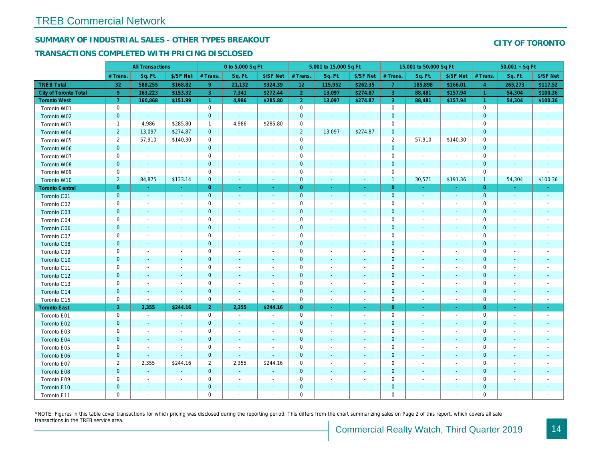# SUMMARY OF INDUSTRIAL SALES - OTHER TYPES BREAKOUT

## TRANSACTIONS COMPLETED WITH PRICING DISCLOSED

|                        |                | <b>All Transactions</b>  |                          |                | 0 to 5,000 Sq Ft         |                          |                 | 5,001 to 15,000 Sq Ft    |                          |                | 15,001 to 50,000 Sq Ft   |                          |
|------------------------|----------------|--------------------------|--------------------------|----------------|--------------------------|--------------------------|-----------------|--------------------------|--------------------------|----------------|--------------------------|--------------------------|
|                        | # Trans.       | Sq. Ft.                  | \$/SF Net                | # Trans.       | Sq. Ft.                  | \$/SF Net                | # Trans.        | Sq. Ft.                  | \$/SF Net                | # Trans.       | Sq. Ft.                  | \$/SF Ne                 |
| <b>TREB Total</b>      | 32             | 588,255                  | \$168.82                 | 9 <sup>°</sup> | 21,132                   | \$324.39                 | 12 <sub>2</sub> | 115,952                  | \$262.35                 | $\overline{7}$ | 185,898                  | \$166.0                  |
| City of Toronto Total  | 9              | 163,223                  | \$153.32                 | 3              | 7,341                    | \$272.44                 | $\overline{2}$  | 13,097                   | \$274.87                 | $\mathbf{3}$   | 88,481                   | \$157.94                 |
| <b>Toronto West</b>    | $\overline{7}$ | 160,868                  | \$151.99                 | $\mathbf{1}$   | 4,986                    | \$285.80                 | 2 <sup>1</sup>  | 13,097                   | \$274.87                 | $\mathbf{3}$   | 88,481                   | \$157.94                 |
| Toronto W01            | $\mathbf 0$    | $\blacksquare$           | $\sim$                   | $\mathbf 0$    | $\sim$                   | $\blacksquare$           | $\mathbf 0$     | $\sim$                   | $\blacksquare$           | $\mathbf 0$    | $\sim$                   | $\sim$                   |
| Toronto W02            | $\mathbf 0$    | $\sim$                   | $\sim$                   | $\mathbf{0}$   | $\sim$                   | ٠                        | $\mathbf 0$     | $\blacksquare$           | $\sim$                   | $\mathbf 0$    | $\blacksquare$           | $\sim$                   |
| Toronto W03            | $\mathbf{1}$   | 4,986                    | \$285.80                 | $\mathbf{1}$   | 4,986                    | \$285.80                 | $\mathbf 0$     | $\blacksquare$           | $\blacksquare$           | 0              | $\blacksquare$           | $\overline{\phantom{a}}$ |
| Toronto W04            | $\overline{2}$ | 13,097                   | \$274.87                 | $\mathbf 0$    | $\omega$                 | $\blacksquare$           | $\overline{2}$  | 13,097                   | \$274.87                 | $\mathbf 0$    | $\blacksquare$           | $\blacksquare$           |
| Toronto W05            | 2              | 57,910                   | \$140.30                 | $\mathbf 0$    | $\sim$                   | $\blacksquare$           | $\mathbf 0$     | $\blacksquare$           | $\blacksquare$           | $\overline{2}$ | 57,910                   | \$140.30                 |
| Toronto W06            | $\mathbf{0}$   | $\sim$                   | $\sim$                   | $\mathbf{0}$   | $\blacksquare$           | $\blacksquare$           | $\mathbf 0$     | $\blacksquare$           | $\blacksquare$           | $\mathbf 0$    | $\blacksquare$           |                          |
| Toronto W07            | 0              | $\blacksquare$           | $\overline{\phantom{a}}$ | $\mathbf 0$    | $\blacksquare$           | $\blacksquare$           | $\mathbf 0$     | $\blacksquare$           | $\blacksquare$           | $\mathbf 0$    | $\blacksquare$           | $\blacksquare$           |
| Toronto W08            | $\mathbf 0$    | $\blacksquare$           | $\blacksquare$           | $\mathbf 0$    | $\blacksquare$           | $\blacksquare$           | $\mathbf 0$     | $\blacksquare$           | $\blacksquare$           | $\mathbf{0}$   | $\blacksquare$           |                          |
| Toronto W09            | 0              | $\blacksquare$           | $\blacksquare$           | $\mathbf 0$    | $\overline{\phantom{a}}$ | $\overline{\phantom{a}}$ | $\mathbf 0$     | $\overline{\phantom{a}}$ | $\overline{\phantom{a}}$ | $\mathbf 0$    | $\blacksquare$           | $\overline{\phantom{a}}$ |
| Toronto W10            | $\overline{2}$ | 84,875                   | \$133.14                 | $\mathbf 0$    | $\blacksquare$           | $\blacksquare$           | $\mathbf 0$     | $\blacksquare$           | $\sim$                   | $\mathbf{1}$   | 30,571                   | \$191.36                 |
| <b>Toronto Central</b> | $\overline{0}$ | $\sim$                   | $\sim$                   | $\overline{0}$ | $\blacksquare$           | $\blacksquare$           | $\overline{0}$  | $\omega$                 | $\omega$                 | $\overline{0}$ | $\sim$                   | $\sim$                   |
| Toronto C01            | $\pmb{0}$      | $\blacksquare$           | $\sim$                   | $\mathbf{0}$   | $\blacksquare$           | $\blacksquare$           | $\mathbf 0$     | $\blacksquare$           | $\blacksquare$           | $\mathbf 0$    | $\blacksquare$           | $\sim$                   |
| Toronto C02            | 0              | $\blacksquare$           |                          | $\mathbf 0$    | $\blacksquare$           | $\blacksquare$           | $\mathbf 0$     | $\overline{a}$           | $\overline{a}$           | $\mathbf 0$    | ÷,                       | $\overline{\phantom{a}}$ |
| Toronto C03            | $\mathbf{0}$   | $\sim$                   | $\sim$                   | $\mathbf{0}$   | $\frac{1}{2}$            | $\blacksquare$           | $\mathbf{0}$    | $\blacksquare$           | $\blacksquare$           | $\mathbf 0$    | $\blacksquare$           | $\blacksquare$           |
| Toronto C04            | 0              | $\sim$                   |                          | $\mathbf 0$    | $\blacksquare$           | $\blacksquare$           | $\mathbf 0$     | $\sim$                   | $\sim$                   | $\mathbf 0$    | $\blacksquare$           | $\blacksquare$           |
| Toronto C06            | $\pmb{0}$      | $\sim$                   | $\sim$                   | $\mathbf 0$    | $\sim$                   | $\blacksquare$           | $\mathbf 0$     | $\blacksquare$           | $\omega$                 | $\mathbf{0}$   | $\blacksquare$           | $\blacksquare$           |
| Toronto C07            | 0              | $\overline{\phantom{a}}$ | $\overline{\phantom{a}}$ | $\mathbf 0$    | $\blacksquare$           | $\blacksquare$           | $\mathbf 0$     | $\blacksquare$           | $\blacksquare$           | $\mathbf 0$    | $\blacksquare$           | $\blacksquare$           |
| Toronto C08            | $\pmb{0}$      | $\sim$                   | $\sim$                   | $\mathbf 0$    | $\blacksquare$           | $\blacksquare$           | $\mathbf 0$     | $\blacksquare$           | $\blacksquare$           | $\mathbf 0$    | $\blacksquare$           | $\blacksquare$           |
| Toronto C09            | 0              | $\sim$                   | $\overline{\phantom{a}}$ | $\mathbf 0$    | $\sim$                   | $\blacksquare$           | $\mathbf 0$     | $\sim$                   | $\sim$                   | $\mathbf 0$    | $\sim$                   | $\overline{\phantom{a}}$ |
| Toronto C10            | $\mathbf{0}$   | $\sim$                   | $\sim$                   | $\mathbf 0$    | $\sim$                   | $\blacksquare$           | $\mathbf 0$     | $\omega$                 | $\sim$                   | $\mathbf{0}$   | $\sim$                   | $\sim$                   |
| Toronto C11            | 0              | $\overline{\phantom{a}}$ | $\overline{\phantom{a}}$ | $\mathbf 0$    | $\sim$                   | $\blacksquare$           | $\pmb{0}$       | $\blacksquare$           | $\blacksquare$           | 0              | $\blacksquare$           | $\blacksquare$           |
| Toronto C12            | $\mathbf{0}$   | $\sim$                   | $\sim$                   | $\mathbf 0$    | $\sim$                   | $\blacksquare$           | $\mathbf 0$     | $\sim$                   | $\sim$                   | $\mathbf 0$    | $\sim$                   | $\sim$                   |
| Toronto C13            | 0              | $\overline{\phantom{a}}$ | $\overline{\phantom{a}}$ | 0              | $\blacksquare$           | $\overline{\phantom{a}}$ | 0               | $\overline{\phantom{a}}$ | $\blacksquare$           | 0              | $\overline{\phantom{a}}$ | $\overline{\phantom{a}}$ |
| Toronto C14            | $\mathbf{0}$   | $\sim$                   | $\sim$                   | $\mathbf{0}$   | $\sim$                   | $\blacksquare$           | $\mathbf 0$     | $\sim$                   | $\sim$                   | $\mathbf{0}$   | $\sim$                   | $\sim$                   |
| Toronto C15            | 0              | $\blacksquare$           | $\blacksquare$           | $\mathbf 0$    | $\blacksquare$           | $\blacksquare$           | $\mathbf 0$     | $\overline{\phantom{a}}$ | $\blacksquare$           | $\mathbf 0$    | $\overline{\phantom{a}}$ | $\blacksquare$           |
| <b>Toronto East</b>    | 2 <sub>1</sub> | 2,355                    | \$244.16                 | 2 <sup>1</sup> | 2,355                    | \$244.16                 | $\overline{0}$  | $\blacksquare$           | $\bullet$                | $\overline{0}$ | $\blacksquare$           | $\sim$                   |
| Toronto E01            | 0              | $\sim$                   | $\sim$                   | $\mathbf 0$    | $\sim$                   | $\blacksquare$           | $\mathbf 0$     | $\blacksquare$           | $\blacksquare$           | $\mathbf 0$    | $\blacksquare$           | $\sim$                   |
| Toronto E02            | $\mathbf{0}$   | $\sim$                   | $\sim$                   | $\mathbf{0}$   | $\overline{\phantom{a}}$ | $\sim$                   | $\mathbf 0$     | $\sim$                   | $\sim$                   | $\mathbf 0$    | $\sim$                   | $\sim$                   |
| Toronto E03            | 0              | $\blacksquare$           | $\sim$                   | $\mathbf 0$    | $\blacksquare$           | $\blacksquare$           | $\mathbf 0$     | $\blacksquare$           | $\blacksquare$           | $\mathbf 0$    | $\blacksquare$           | $\blacksquare$           |
| Toronto E04            | $\mathbf{0}$   | $\sim$                   | $\sim$                   | $\mathbf 0$    | $\blacksquare$           | $\blacksquare$           | $\mathbf 0$     | $\blacksquare$           | $\blacksquare$           | $\mathbf{0}$   | $\blacksquare$           | $\blacksquare$           |
| Toronto E05            | 0              | $\overline{\phantom{a}}$ | $\blacksquare$           | $\mathbf 0$    | $\overline{\phantom{a}}$ | $\blacksquare$           | $\mathbf 0$     | $\overline{\phantom{a}}$ | $\blacksquare$           | $\mathbf 0$    | $\overline{\phantom{a}}$ | $\overline{\phantom{a}}$ |
| Toronto E06            | $\mathbf 0$    |                          | $\blacksquare$           | $\mathbf 0$    | $\blacksquare$           | $\blacksquare$           | $\mathbf 0$     |                          |                          | $\mathbf 0$    | $\blacksquare$           | $\overline{\phantom{a}}$ |
| Toronto E07            | $\overline{2}$ | 2,355                    | \$244.16                 | $\overline{2}$ | 2,355                    | \$244.16                 | 0               | $\blacksquare$           | $\blacksquare$           | $\mathbf 0$    | $\blacksquare$           | $\sim$                   |
| Toronto E08            | $\pmb{0}$      | $\omega$                 |                          | $\mathbf 0$    | $\sim$                   | $\blacksquare$           | $\mathbf 0$     | $\sim$                   | $\omega$                 | $\mathbf{0}$   | $\blacksquare$           | $\blacksquare$           |
| Toronto E09            | 0              | $\blacksquare$           | $\sim$                   | $\mathbf 0$    | $\blacksquare$           | $\blacksquare$           | $\mathbf 0$     | $\blacksquare$           | $\blacksquare$           | $\mathbf 0$    | $\blacksquare$           | $\blacksquare$           |
| Toronto E10            | $\mathbf 0$    |                          |                          | $\mathbf 0$    | $\blacksquare$           | $\blacksquare$           | $\mathbf 0$     |                          |                          | $\mathbf 0$    | $\overline{\phantom{a}}$ |                          |
| Toronto E11            | $\mathbf 0$    | $\blacksquare$           | $\sim$                   | $\mathbf 0$    | $\blacksquare$           | $\blacksquare$           | $\mathbf 0$     | $\blacksquare$           | $\blacksquare$           | $\mathbf 0$    | $\blacksquare$           | $\blacksquare$           |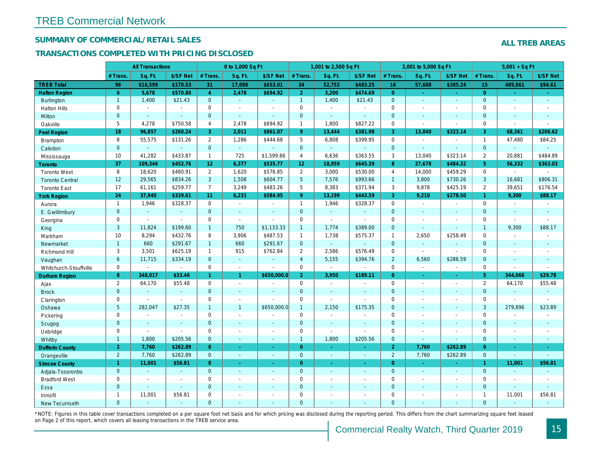## SUMMARY OF COMMERCIAL/RETAIL SALES

## TRANSACTIONS COMPLETED WITH PRICING DISCLOSED

|                        |                | <b>All Transactions</b>  |                          |                       | 0 to 1,000 Sq Ft |                |                     | 1,001 to 2,500 Sq Ft |                          |                | 2,001 to 5,000 Sq Ft     |                  |
|------------------------|----------------|--------------------------|--------------------------|-----------------------|------------------|----------------|---------------------|----------------------|--------------------------|----------------|--------------------------|------------------|
|                        | # Trans.       | Sq. Ft.                  | \$/SF Net                | # Trans.              | Sq. Ft.          | \$/SF Net      | # Trans.            | Sq. Ft.              | \$/SF Net                | # Trans.       | Sq. Ft.                  | \$/SF Ne         |
| <b>TREB Total</b>      | 96             | 616,599                  | \$170.53                 | 31                    | 17,098           | \$653.01       | 34                  | 52,752               | \$483.25                 | 16             | 57,688                   | \$385.24         |
| <b>Halton Region</b>   | 6 <sup>°</sup> | 5,678                    | \$570.80                 | $\overline{4}$        | 2,478            | \$694.92       | 2 <sup>1</sup>      | 3,200                | \$474.69                 | $\overline{0}$ | $\omega$                 | $\omega_{\rm c}$ |
| <b>Burlington</b>      | $\mathbf{1}$   | 1,400                    | \$21.43                  | $\mathbf{0}$          | $\sim$           | $\blacksquare$ | $\mathbf{1}$        | 1,400                | \$21.43                  | $\mathbf{0}$   | $\blacksquare$           | $\blacksquare$   |
| <b>Halton Hills</b>    | 0              | $\sim$                   | $\sim$                   | $\mathbf 0$           | $\blacksquare$   |                | $\mathbf 0$         | $\blacksquare$       | $\blacksquare$           | $\Omega$       | $\sim$                   | $\mathbf{r}$     |
| Milton                 | $\mathbf{0}$   | $\sim$                   | $\sim$                   | $\mathbf 0$           | $\omega$         | $\blacksquare$ | $\mathbf 0$         | $\omega_{\rm c}$     | $\blacksquare$           | $\mathbf{0}$   | $\blacksquare$           | $\blacksquare$   |
| Oakville               | 5              | 4,278                    | \$750.58                 | $\overline{4}$        | 2,478            | \$694.92       | $\mathbf{1}$        | 1,800                | \$827.22                 | $\mathbf 0$    | $\blacksquare$           | $\blacksquare$   |
| <b>Peel Region</b>     | 18             | 96,857                   | \$260.24                 | 3                     | 2,011            | \$861.07       | 9 <sup>°</sup>      | 13,444               | \$381.98                 | 3              | 13,040                   | \$323.14         |
| <b>Brampton</b>        | 8              | 55,575                   | \$131.26                 | $\overline{2}$        | 1,286            | \$444.68       | 5                   | 6,808                | \$399.95                 | $\mathbf 0$    | $\blacksquare$           | $\blacksquare$   |
| Caledon                | $\mathbf{0}$   | $\omega$                 | $\sim$                   | $\mathbf 0$           | $\omega$         |                | $\mathbf 0$         | $\omega_{\rm c}$     | $\omega$                 | $\mathbf 0$    | $\sim$                   | $\blacksquare$   |
| Mississauga            | 10             | 41,282                   | \$433.87                 | $\mathbf{1}$          | 725              | \$1,599.86     | $\overline{4}$      | 6,636                | \$363.55                 | 3              | 13,040                   | \$323.14         |
| <b>Toronto</b>         | 37             | 109,346                  | \$452.76                 | 12 <sup>2</sup>       | 6,377            | \$535.77       | 12 <sub>2</sub>     | 18,959               | \$645.39                 | 8              | 27,678                   | \$484.32         |
| <b>Toronto West</b>    | 8              | 18,620                   | \$480.91                 | $\mathbf{2}^{\prime}$ | 1,620            | \$576.85       | $\overline{2}$      | 3,000                | \$530.00                 | $\overline{4}$ | 14,000                   | \$459.29         |
| <b>Toronto Central</b> | 12             | 29,565                   | \$834.26                 | 3                     | 1,508            | \$604.77       | $5\overline{)}$     | 7,576                | \$993.66                 | $\overline{1}$ | 3,800                    | \$730.26         |
| <b>Toronto East</b>    | 17             | 61,161                   | \$259.77                 | $\overline{7}$        | 3,249            | \$483.26       | 5                   | 8,383                | \$371.94                 | 3              | 9,878                    | \$425.19         |
| <b>York Region</b>     | 24             | 37,940                   | \$339.61                 | 11                    | 6,231            | \$584.95       | 9 <sup>°</sup>      | 13,199               | \$443.59                 | $\overline{3}$ | 9,210                    | \$278.50         |
| Aurora                 | $\overline{1}$ | 1,946                    | \$328.37                 | $\mathbf 0$           | $\sim$           | $\blacksquare$ | $\mathbf{1}$        | 1,946                | \$328.37                 | $\mathbf 0$    | $\omega$                 | $\blacksquare$   |
| E. Gwillimbury         | $\mathbf{0}$   | $\omega$                 | $\omega$                 | $\mathbf{0}$          | $\sim$           |                | $\mathbf{0}$        | $\Box$               | $\blacksquare$           | $\mathbf{0}$   | $\omega$                 | $\blacksquare$   |
| Georgina               | 0              | $\sim$                   | $\sim$                   | 0                     | $\mathbf{r}$     |                | $\mathsf{O}\xspace$ | $\blacksquare$       | $\blacksquare$           | $\mathbf 0$    | $\blacksquare$           | $\blacksquare$   |
| King                   | 3              | 11,824                   | \$199.60                 | $\mathbf{1}$          | 750              | \$1,133.33     | $\mathbf{1}$        | 1,774                | \$389.00                 | $\mathbf{0}$   | $\omega$                 | $\blacksquare$   |
| Markham                | 10             | 8,294                    | \$432.76                 | 8                     | 3,906            | \$487.53       | $\mathbf{1}$        | 1,738                | \$575.37                 | $\mathbf{1}$   | 2,650                    | \$258.49         |
| Newmarket              | $\mathbf{1}$   | 660                      | \$291.67                 | $\mathbf{1}$          | 660              | \$291.67       | $\mathbf{0}$        | ä,                   | $\overline{\phantom{a}}$ | $\mathbf{0}$   | $\omega$                 | $\sim$           |
| Richmond Hill          | 3              | 3,501                    | \$625.19                 | $\mathbf{1}$          | 915              | \$762.84       | $\overline{2}$      | 2,586                | \$576.49                 | 0              | $\sim$                   | $\blacksquare$   |
| Vaughan                | $6\phantom{a}$ | 11,715                   | \$334.19                 | $\mathbf{0}$          | $\omega$         | $\overline{a}$ | $\overline{4}$      | 5,155                | \$394.76                 | $\overline{2}$ | 6,560                    | \$286.59         |
| Whitchurch-Stouffville | 0              |                          | $\blacksquare$           | $\mathbf 0$           | $\mathbf{r}$     |                | $\mathsf{O}$        | $\blacksquare$       | $\sim$                   | $\mathbf 0$    | $\overline{\phantom{a}}$ | $\sim$           |
| <b>Durham Region</b>   | 8              | 348,017                  | \$33.46                  |                       | $\mathbf{1}$     | \$650,000.0    | 2 <sup>1</sup>      | 3,950                | \$189.11                 | $\overline{0}$ | $\bullet$                | $\bullet$        |
| Ajax                   | $\overline{2}$ | 64,170                   | \$55.48                  | 0                     | $\sim$           |                | $\mathbf 0$         | $\blacksquare$       | $\overline{a}$           | $\mathbf 0$    | $\blacksquare$           | $\sim$           |
| <b>Brock</b>           | $\overline{0}$ | $\sim$                   | $\sim$                   | $\overline{0}$        | $\mathbf{r}$     | $\blacksquare$ | $\mathbf{0}$        | $\blacksquare$       | ä,                       | $\mathbf{0}$   | $\omega$                 | $\blacksquare$   |
| Clarington             | 0              |                          | $\blacksquare$           | 0                     | $\sim$           |                | $\mathsf{O}$        | $\overline{a}$       | ÷,                       | $\mathbf 0$    | ÷,                       | $\blacksquare$   |
| Oshawa                 | 5              | 282,047                  | \$27.35                  | $\mathbf{1}$          | $\mathbf{1}$     | \$650,000.0    | $\mathbf{1}$        | 2,150                | \$175.35                 | $\mathbf{0}$   | $\blacksquare$           | $\blacksquare$   |
| Pickering              | 0              | $\sim$                   | $\overline{\phantom{a}}$ | 0                     | $\sim$           |                | $\mathsf{O}$        | $\blacksquare$       | $\blacksquare$           | $\mathbf 0$    | $\sim$                   | $\blacksquare$   |
| Scugog                 | $\mathbf{0}$   | $\sim$                   | $\sim$                   | $\overline{0}$        | $\omega$         | $\blacksquare$ | $\mathbf{0}$        | $\blacksquare$       | $\blacksquare$           | $\mathbf{0}$   | $\blacksquare$           | $\blacksquare$   |
| Uxbridge               | 0              | $\overline{\phantom{a}}$ | $\blacksquare$           | $\mathbf 0$           | $\blacksquare$   | $\blacksquare$ | $\mathbf 0$         | $\blacksquare$       | $\overline{a}$           | $\mathbf 0$    | ÷,                       | $\blacksquare$   |
| Whitby                 | $\mathbf{1}$   | 1,800                    | \$205.56                 | $\mathbf{0}$          | $\blacksquare$   | $\sim$         | $\mathbf{1}$        | 1,800                | \$205.56                 | $\mathbf{0}$   | $\blacksquare$           | $\blacksquare$   |
| <b>Dufferin County</b> | $\overline{2}$ | 7,760                    | \$262.89                 | $\overline{0}$        | ÷.               | $\sim$         | $\overline{0}$      | ×.                   | $\overline{\phantom{a}}$ | $\overline{2}$ | 7,760                    | \$262.89         |
| Orangeville            | $\overline{2}$ | 7,760                    | \$262.89                 | $\overline{0}$        | $\omega$         | $\omega$       | $\mathbf{0}$        | $\omega$             | $\omega_{\rm c}$         | $\overline{2}$ | 7,760                    | \$262.89         |
| <b>Simcoe County</b>   | $\mathbf{1}$   | 11,001                   | \$56.81                  | $\overline{0}$        | $\omega$         | Ξ              | $\overline{0}$      | $\omega$             | $\omega_{\rm c}$         | $\overline{0}$ | $\omega$                 | $\omega$         |
| Adjala-Tosorontio      | $\mathbf{0}$   | $\sim$                   |                          | $\overline{0}$        | $\mathbf{r}$     | $\blacksquare$ | $\mathbf{0}$        | $\blacksquare$       | $\blacksquare$           | $\mathbf{0}$   | $\Delta$                 | $\sim$           |
| <b>Bradford West</b>   | 0              | $\blacksquare$           | $\sim$                   | 0                     | $\sim$           | $\sim$         | $\mathsf{O}\xspace$ | $\blacksquare$       | $\blacksquare$           | $\mathbf 0$    | $\blacksquare$           | $\blacksquare$   |
| Essa                   | $\mathbf{0}$   | $\sim$                   | $\sim$                   | $\mathbf 0$           | $\blacksquare$   | $\blacksquare$ | $\mathbf 0$         | ä,                   | ä,                       | $\mathbf 0$    | $\sim$                   |                  |
| Innisfil               | $\mathbf{1}$   | 11,001                   | \$56.81                  | 0                     | $\blacksquare$   | $\blacksquare$ | $\mathbf 0$         | ä,                   | $\blacksquare$           | $\mathbf 0$    | $\sim$                   | $\blacksquare$   |
| <b>New Tecumseth</b>   | $\Omega$       |                          |                          | $\Omega$              |                  |                | $\mathbf{0}$        |                      |                          | $\Omega$       |                          |                  |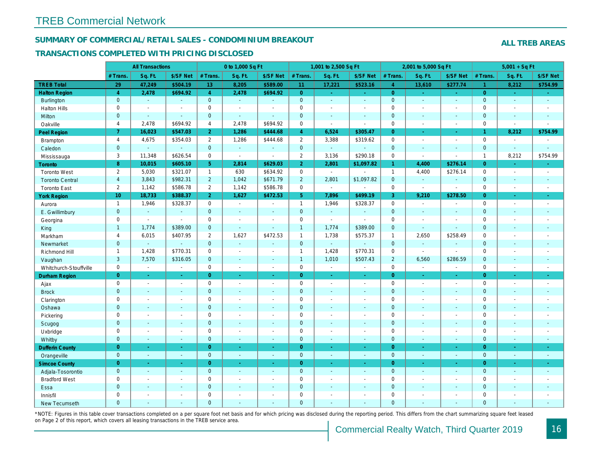## SUMMARY OF COMMERCIAL/RETAIL SALES - CONDOMINIUM BREAKOUT

## TRANSACTIONS COMPLETED WITH PRICING DISCLOSED

|                        |                 | <b>All Transactions</b> |                       |                | 0 to 1,000 Sq Ft |                          |                | 1,001 to 2,500 Sq Ft  |                  |                | 2,001 to 5,000 Sq Ft |                          |
|------------------------|-----------------|-------------------------|-----------------------|----------------|------------------|--------------------------|----------------|-----------------------|------------------|----------------|----------------------|--------------------------|
|                        | # Trans         | Sq. Ft.                 | \$/SF Net             | # Trans.       | Sq. Ft.          | \$/SF Net                | # Trans.       | Sq. Ft.               | \$/SF Net        | # Trans.       | Sq. Ft.              | \$/SF Ne                 |
| <b>TREB Total</b>      | 29              | 47,249                  | \$504.19              | 13             | 8,205            | \$589.00                 | 11             | 17,221                | \$523.16         | $\overline{4}$ | 13,610               | \$277.74                 |
| <b>Halton Region</b>   | $\overline{4}$  | 2,478                   | \$694.92              | $\overline{4}$ | 2,478            | \$694.92                 | $\overline{0}$ | ÷.                    | ÷.               | $\overline{0}$ | $\omega$             | $\sim$                   |
| Burlington             | $\mathbf{0}$    | $\omega$                | $\Delta$              | $\mathbf{0}$   | $\omega$         | $\Delta$                 | $\mathbf{0}$   | $\Box$                | $\blacksquare$   | $\mathbf{0}$   | $\mathbf{r}$         | $\sim$                   |
| <b>Halton Hills</b>    | $\mathbf 0$     | $\omega$                | $\tilde{\phantom{a}}$ | $\mathbf 0$    | $\sim$           |                          | $\pmb{0}$      | $\blacksquare$        | $\blacksquare$   | $\mathbf 0$    | $\overline{a}$       | $\blacksquare$           |
| Milton                 | $\mathbf{0}$    | $\omega$                | $\omega$              | $\mathbf{0}$   | ÷.               | $\sim$                   | $\mathbf 0$    | $\omega$              | $\blacksquare$   | $\mathbf 0$    | $\omega$             | $\sim$                   |
| Oakville               | $\overline{4}$  | 2,478                   | \$694.92              | $\overline{4}$ | 2.478            | \$694.92                 | $\pmb{0}$      | $\sim$                | $\sim$           | $\mathbf 0$    | $\overline{a}$       | $\blacksquare$           |
| Peel Region            | $\overline{7}$  | 16,023                  | \$547.03              | $\overline{2}$ | 1,286            | \$444.68                 | $\overline{4}$ | 6,524                 | \$305.47         | $\overline{0}$ | $\blacksquare$       | $\sigma_{\rm c}$         |
| Brampton               | $\overline{4}$  | 4,675                   | \$354.03              | $\overline{2}$ | 1,286            | \$444.68                 | $\overline{2}$ | 3,388                 | \$319.62         | $\mathbf 0$    | $\blacksquare$       | $\blacksquare$           |
| Caledon                | $\mathbf{0}$    | $\omega$                | $\blacksquare$        | $\mathbf{0}$   | $\omega$         | $\blacksquare$           | $\mathbf{0}$   | $\omega_{\rm c}$      | $\omega$         | $\mathbf 0$    | $\omega$             | $\sim$                   |
| Mississauga            | 3               | 11,348                  | \$626.54              | $\mathbf 0$    | $\blacksquare$   | $\blacksquare$           | $\overline{2}$ | 3,136                 | \$290.18         | $\mathbf 0$    | $\sim$               | $\blacksquare$           |
| Toronto                | $\bf8$          | 10,015                  | \$605.10              | 5              | 2,814            | \$629.03                 | $\overline{2}$ | 2,801                 | \$1,097.82       | $\mathbf{1}$   | 4,400                | \$276.1                  |
| <b>Toronto West</b>    | $\overline{2}$  | 5,030                   | \$321.07              | $\mathbf{1}$   | 630              | \$634.92                 | $\mathbf 0$    | $\omega$              | $\overline{a}$   | $\mathbf{1}$   | 4,400                | \$276.14                 |
| <b>Toronto Central</b> | $\overline{4}$  | 3,843                   | \$982.31              | $\overline{2}$ | 1,042            | \$671.79                 | $\overline{2}$ | 2,801                 | \$1,097.82       | $\mathbf 0$    | $\omega$             | $\blacksquare$           |
| <b>Toronto East</b>    | $\overline{2}$  | 1,142                   | \$586.78              | $\overline{2}$ | 1,142            | \$586.78                 | 0              | $\blacksquare$        | $\sim$           | $\mathbf 0$    | $\blacksquare$       | $\blacksquare$           |
| <b>York Region</b>     | 10 <sup>°</sup> | 18,733                  | \$388.37              | $\overline{2}$ | 1,627            | \$472.53                 | 5 <sup>5</sup> | 7,896                 | \$499.19         | 3              | 9,210                | \$278.50                 |
| Aurora                 | $\mathbf{1}$    | 1,946                   | \$328.37              | $\mathbf 0$    | $\sim$           | $\sim$                   | $\mathbf{1}$   | 1,946                 | \$328.37         | $\mathbf 0$    | $\blacksquare$       | $\sim$                   |
| E. Gwillimbury         | $\mathbf{0}$    | $\omega$                | $\blacksquare$        | $\mathbf{0}$   | $\sim$           |                          | $\mathbf 0$    | $\omega$              | $\blacksquare$   | $\mathbf{0}$   | $\blacksquare$       | $\blacksquare$           |
| Georgina               | $\mathbf 0$     | $\blacksquare$          | $\blacksquare$        | $\Omega$       | $\sim$           | $\sim$                   | $\pmb{0}$      | $\blacksquare$        | $\sim$           | $\mathbf 0$    | $\blacksquare$       | $\blacksquare$           |
| King                   | $\mathbf{1}$    | 1,774                   | \$389.00              | $\mathbf{0}$   | $\sim$           |                          | $\mathbf{1}$   | 1,774                 | \$389.00         | $\mathbf 0$    | $\blacksquare$       | $\blacksquare$           |
| Markham                | $\overline{4}$  | 6,015                   | \$407.95              | $\overline{2}$ | 1,627            | \$472.53                 | $\mathbf{1}$   | 1,738                 | \$575.37         | $\mathbf{1}$   | 2,650                | \$258.49                 |
| Newmarket              | $\mathbf{0}$    | $\omega$                | $\sim$                | $\mathbf{0}$   | $\Delta$         | $\sim$                   | $\pmb{0}$      | $\omega$              | $\blacksquare$   | $\mathbf 0$    | $\omega$             | $\blacksquare$           |
| Richmond Hill          | $\mathbf{1}$    | 1,428                   | \$770.31              | $\mathbf 0$    | $\sim$           | $\overline{\phantom{a}}$ | $\mathbf{1}$   | 1,428                 | \$770.31         | $\mathbf 0$    | $\blacksquare$       | $\overline{\phantom{a}}$ |
| Vaughan                | 3               | 7,570                   | \$316.05              | $\mathbf{0}$   | $\sim$           | $\sim$                   | $\overline{1}$ | 1,010                 | \$507.43         | $\overline{2}$ | 6,560                | \$286.59                 |
| Whitchurch-Stouffville | $\mathbf 0$     | $\blacksquare$          | $\blacksquare$        | $\mathbf 0$    | $\blacksquare$   | $\blacksquare$           | $\mathbf 0$    | $\blacksquare$        | $\blacksquare$   | $\mathbf 0$    | $\blacksquare$       | $\blacksquare$           |
| <b>Durham Region</b>   | $\overline{0}$  | $\omega$                | $\omega$              | $\overline{0}$ | $\omega$         | $\omega$                 | $\overline{0}$ | $\omega$              | $\omega_{\rm c}$ | $\overline{0}$ | $\sim$               | $\omega$                 |
| Ajax                   | $\mathbf 0$     | $\sim$                  | $\blacksquare$        | $\mathbf 0$    | $\sim$           | $\sim$                   | $\pmb{0}$      | $\sim$                | $\blacksquare$   | $\mathbf 0$    | $\blacksquare$       | $\sim$                   |
| <b>Brock</b>           | $\mathbf{0}$    | $\omega$                | $\blacksquare$        | $\mathbf 0$    | $\omega$         | $\sim$                   | $\mathbf 0$    | $\omega$              | $\omega$         | $\mathbf 0$    | $\omega$             | $\sim$                   |
| Clarington             | $\mathbf 0$     | $\blacksquare$          | $\blacksquare$        | $\mathbf 0$    |                  |                          | $\pmb{0}$      | $\blacksquare$        | $\sim$           | $\mathbf 0$    | L.                   | $\blacksquare$           |
| Oshawa                 | $\overline{0}$  | $\sim$                  | $\sim$                | $\mathbf{0}$   |                  |                          | $\mathbf 0$    | $\blacksquare$        | $\blacksquare$   | $\mathbf{0}$   | $\blacksquare$       | $\blacksquare$           |
| Pickering              | $\mathbf 0$     | $\blacksquare$          | $\blacksquare$        | $\mathbf 0$    | $\sim$           |                          | $\pmb{0}$      | $\tilde{\phantom{a}}$ | $\blacksquare$   | $\mathbf 0$    | ÷,                   | $\blacksquare$           |
| Scugog                 | $\mathbf{0}$    | $\blacksquare$          | $\blacksquare$        | $\mathbf{0}$   | $\sim$           | $\sim$                   | $\mathbf 0$    | $\blacksquare$        | $\blacksquare$   | $\mathbf 0$    | $\blacksquare$       | $\blacksquare$           |
| Uxbridge               | $\mathbf 0$     | $\sim$                  | $\sim$                | $\mathbf 0$    | ÷.               | $\sim$                   | $\pmb{0}$      | $\blacksquare$        | $\blacksquare$   | $\mathbf 0$    | L.                   | $\blacksquare$           |
| Whitby                 | $\overline{0}$  | $\blacksquare$          | $\sim$                | $\mathbf{0}$   | $\sim$           | $\blacksquare$           | $\mathbf 0$    | $\blacksquare$        | $\blacksquare$   | $\mathbf{0}$   | $\blacksquare$       | $\sim$                   |
| <b>Dufferin County</b> | $\overline{0}$  | $\sim$                  | $\sim$                | $\overline{0}$ | ÷.               | $\blacksquare$           | $\overline{0}$ | $\blacksquare$        | $\blacksquare$   | $\overline{0}$ | ×.                   | $\sim$                   |
| Orangeville            | $\mathbf{0}$    | $\omega$                | $\sim$                | $\mathbf{0}$   | $\omega$         | $\sim$                   | $\mathbf{0}$   | $\omega$              | $\blacksquare$   | $\mathbf{0}$   | $\omega$             | $\sim$                   |
| <b>Simcoe County</b>   | $\overline{0}$  | $\sim$                  | $\omega$              | $\overline{0}$ | $\sim$           | $\sim$                   | $\overline{0}$ | $\blacksquare$        | $\blacksquare$   | $\overline{0}$ | $\blacksquare$       | $\sigma_{\rm c}$         |
| Adjala-Tosorontio      | $\mathbf{0}$    | $\sim$                  | $\sim$                | $\mathbf 0$    | $\sim$           | $\sim$                   | $\mathbf 0$    | $\omega$              | $\blacksquare$   | $\mathbf 0$    | $\omega$             | $\sim$                   |
| <b>Bradford West</b>   | $\mathbf 0$     | $\sim$                  | $\blacksquare$        | $\mathbf 0$    | $\sim$           | $\sim$                   | $\pmb{0}$      | $\blacksquare$        | $\blacksquare$   | $\mathbf 0$    | $\blacksquare$       | $\sim$                   |
| Essa                   | $\mathbf{0}$    | $\sim$                  | $\sim$                | $\mathbf{0}$   |                  | $\sim$                   | $\pmb{0}$      | $\blacksquare$        | $\blacksquare$   | $\mathbf 0$    | $\blacksquare$       |                          |
| Innisfil               | $\mathbf 0$     | $\blacksquare$          | $\blacksquare$        | $\mathbf 0$    | $\sim$           | $\sim$                   | $\pmb{0}$      | $\blacksquare$        | $\blacksquare$   | $\mathbf 0$    | $\blacksquare$       | $\blacksquare$           |
| <b>New Tecumseth</b>   | $\Omega$        |                         |                       | $\Omega$       |                  |                          | $\Omega$       |                       |                  | $\overline{0}$ |                      |                          |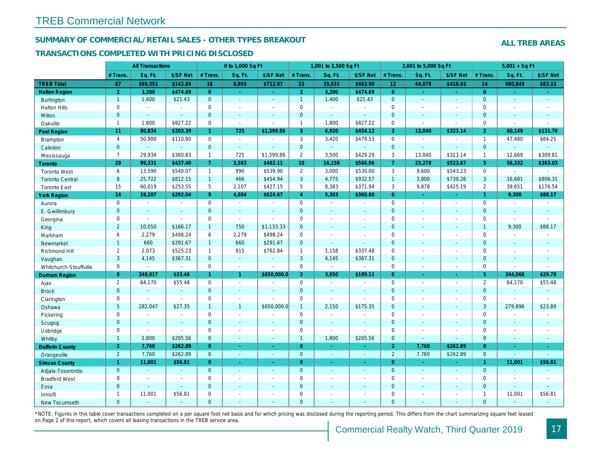## SUMMARY OF COMMERCIAL/RETAIL SALES - OTHER TYPES BREAKOUT

### TRANSACTIONS COMPLETED WITH PRICING DISCLOSED

|                        |                | <b>All Transactions</b> |                |                      | 0 to 1,000 Sq Ft |                          |                     | 1,001 to 2,500 Sq Ft |                |                 | 2,001 to 5,000 Sq Ft |                |
|------------------------|----------------|-------------------------|----------------|----------------------|------------------|--------------------------|---------------------|----------------------|----------------|-----------------|----------------------|----------------|
|                        | # Trans.       | Sq. Ft.                 | \$/SF Net      | # Trans.             | Sq. Ft.          | \$/SF Net                | # Trans.            | Sq. Ft.              | \$/SF Net      | # Trans.        | Sq. Ft.              | \$/SF Ne       |
| <b>TREB Total</b>      | 67             | 569,351                 | \$142.84       | 18                   | 8,893            | \$712.07                 | 23                  | 35,531               | \$463.90       | 12 <sub>1</sub> | 44,078               | \$418.43       |
| <b>Halton Region</b>   | $\overline{2}$ | 3,200                   | \$474.69       | $\overline{0}$       | $\sim$           | $\omega_{\rm c}$         | 2 <sup>1</sup>      | 3,200                | \$474.69       | $\overline{0}$  | $\omega$             | $\omega$       |
| <b>Burlington</b>      | $\mathbf{1}$   | 1,400                   | \$21.43        | $\mathbf 0$          | $\omega$         | $\overline{a}$           | $\mathbf{1}$        | 1,400                | \$21.43        | $\mathbf{0}$    | $\omega$             | $\omega$       |
| <b>Halton Hills</b>    | 0              | $\blacksquare$          | $\sim$         | $\mathbf 0$          | $\sim$           | $\ddot{\phantom{1}}$     | $\mathsf 0$         | $\blacksquare$       | ä,             | $\mathbf 0$     | $\sim$               | $\blacksquare$ |
| Milton                 | $\overline{0}$ | $\mathbf{r}$            | $\mathbf{r}$   | $\overline{0}$       | $\omega$         | $\sim$                   | $\mathbf{0}$        | ä,                   | $\blacksquare$ | $\mathbf{0}$    | $\Delta$             | $\sim$         |
| Oakville               | $\mathbf{1}$   | 1,800                   | \$827.22       | 0                    | $\blacksquare$   | $\blacksquare$           | $\mathbf{1}$        | 1,800                | \$827.22       | $\mathbf 0$     | $\blacksquare$       | $\blacksquare$ |
| <b>Peel Region</b>     | 11             | 80,834                  | \$203.39       | $\blacktriangleleft$ | 725              | \$1,599.86               | 5 <sup>5</sup>      | 6,920                | \$454.12       | $\mathbf{3}$    | 13,040               | \$323.1        |
| <b>Brampton</b>        | 4              | 50,900                  | \$110.80       | $\mathbf 0$          | $\sim$           |                          | 3                   | 3,420                | \$479.53       | $\mathbf 0$     | $\sim$               | $\sim$         |
| Caledon                | $\mathbf{0}$   | $\omega$                | $\omega$       | $\mathbf{0}$         | $\omega$         | $\blacksquare$           | $\mathbf{0}$        | $\Box$               | $\omega$       | $\mathbf{0}$    | $\blacksquare$       | $\blacksquare$ |
| Mississauga            | $\overline{7}$ | 29.934                  | \$360.83       | $\mathbf{1}$         | 725              | \$1,599.86               | $\overline{2}$      | 3,500                | \$429.29       | 3               | 13,040               | \$323.14       |
| Toronto                | 29             | 99,331                  | \$437.40       | $\overline{7}$       | 3,563            | \$462.11                 | 10 <sup>°</sup>     | 16,158               | \$566.96       | $\mathbf{7}$    | 23,278               | \$523.67       |
| <b>Toronto West</b>    | 6              | 13,590                  | \$540.07       | $\mathbf{1}$         | 990              | \$539.90                 | $\overline{2}$      | 3,000                | \$530.00       | 3               | 9,600                | \$543.23       |
| <b>Toronto Central</b> | 8              | 25,722                  | \$812.15       | 1                    | 466              | \$454.94                 | $\mathbf{3}$        | 4,775                | \$932.57       | $\overline{1}$  | 3,800                | \$730.26       |
| <b>Toronto East</b>    | 15             | 60,019                  | \$253.55       | 5                    | 2,107            | \$427.15                 | 5                   | 8,383                | \$371.94       | 3               | 9,878                | \$425.19       |
| <b>York Region</b>     | 14             | 19,207                  | \$292.04       | 9 <sup>°</sup>       | 4,604            | \$624.67                 | $\overline{4}$      | 5,303                | \$360.80       | $\Omega$        | ÷.                   | $\omega$       |
| Aurora                 | 0              | $\blacksquare$          | $\sim$         | 0                    | $\blacksquare$   | $\sim$                   | $\mathbf 0$         | $\blacksquare$       | $\blacksquare$ | $\mathbf 0$     | ÷,                   | $\sim$         |
| E. Gwillimbury         | $\mathbf 0$    | $\sim$                  | $\sim$         | $\mathbf 0$          | $\sim$           |                          | $\mathbf{0}$        | $\blacksquare$       | ä,             | $\mathbf{0}$    | $\blacksquare$       | $\blacksquare$ |
| Georgina               | 0              | $\sim$                  | $\blacksquare$ | 0                    | $\blacksquare$   | ÷                        | $\mathbf 0$         | $\blacksquare$       | $\blacksquare$ | $\mathbf 0$     | $\blacksquare$       | $\blacksquare$ |
| King                   | $\overline{2}$ | 10,050                  | \$166.17       | $\mathbf{1}$         | 750              | \$1,133.33               | $\mathbf 0$         | $\blacksquare$       | $\sim$         | $\mathbf{0}$    | $\sim$               | $\blacksquare$ |
| Markham                | 6              | 2,279                   | \$498.24       | 6                    | 2,279            | \$498.24                 | $\mathbf 0$         | $\blacksquare$       | $\blacksquare$ | $\mathbf 0$     | $\blacksquare$       | $\blacksquare$ |
| Newmarket              | $\mathbf{1}$   | 660                     | \$291.67       | 1                    | 660              | \$291.67                 | $\overline{0}$      | $\blacksquare$       | ÷,             | $\mathbf{0}$    | $\sim$               | $\blacksquare$ |
| Richmond Hill          | $\mathbf{2}$   | 2,073                   | \$525.23       | $\mathbf{1}$         | 915              | \$762.84                 | $\mathbf{1}$        | 1,158                | \$337.48       | $\mathbf 0$     | $\blacksquare$       | $\blacksquare$ |
| Vaughan                | 3              | 4,145                   | \$367.31       | $\overline{0}$       | $\omega$         | $\sim$                   | $\mathbf{3}$        | 4,145                | \$367.31       | $\mathbf{0}$    | $\sim$               | $\sim$         |
| Whitchurch-Stouffville | 0              | $\sim$                  | $\sim$         | $\mathbf 0$          | $\blacksquare$   | $\blacksquare$           | $\mathsf{O}$        | $\blacksquare$       | $\blacksquare$ | $\mathbf 0$     | $\blacksquare$       | $\blacksquare$ |
| Durham Region          | 8              | 348,017                 | \$33.46        |                      | $\mathbf{1}$     | \$650,000.0              | 2 <sup>1</sup>      | 3,950                | \$189.11       | $\overline{0}$  | ÷.                   | $\sim$         |
| Ajax                   | $\overline{2}$ | 64,170                  | \$55.48        | 0                    | $\blacksquare$   |                          | $\mathsf{O}\xspace$ | $\blacksquare$       | $\overline{a}$ | $\mathbf 0$     | $\overline{a}$       | $\blacksquare$ |
| <b>Brock</b>           | $\mathbf{0}$   | $\blacksquare$          | $\sim$         | $\overline{0}$       | $\omega$         | $\overline{\phantom{a}}$ | $\mathbf{0}$        | $\blacksquare$       | ÷,             | $\mathbf{0}$    | $\blacksquare$       | $\sim$         |
| Clarington             | 0              | $\sim$                  | $\mathbf{r}$   | 0                    | $\blacksquare$   |                          | $\mathbf 0$         | ä,                   | ä,             | $\mathbf 0$     | ÷,                   | $\blacksquare$ |
| Oshawa                 | 5              | 282,047                 | \$27.35        | $\mathbf{1}$         | $\mathbf{1}$     | \$650,000.0              | $\mathbf{1}$        | 2,150                | \$175.35       | $\mathbf{0}$    | $\blacksquare$       | $\blacksquare$ |
| Pickering              | 0              | $\sim$                  | $\sim$         | $\mathbf 0$          | $\blacksquare$   |                          | $\mathsf{O}$        | $\blacksquare$       | $\blacksquare$ | $\mathbf 0$     | $\sim$               | $\blacksquare$ |
| Scugog                 | $\mathbf{0}$   | $\sim$                  | $\sim$         | $\mathbf 0$          | $\omega$         | $\blacksquare$           | $\pmb{0}$           | $\blacksquare$       | $\blacksquare$ | $\mathbf{0}$    | $\Delta$             | $\mathbf{r}$   |
| Uxbridge               | $\mathbf{0}$   | $\sim$                  | $\blacksquare$ | 0                    | $\blacksquare$   | $\sim$                   | $\mathbf 0$         | $\blacksquare$       | $\blacksquare$ | $\mathbf 0$     | ÷.                   | $\blacksquare$ |
| Whitby                 | $\mathbf{1}$   | 1,800                   | \$205.56       | $\mathbf{0}$         | $\blacksquare$   | $\sim$                   | $\mathbf{1}$        | 1,800                | \$205.56       | $\mathbf{0}$    | $\blacksquare$       | $\blacksquare$ |
| <b>Dufferin County</b> | $\overline{2}$ | 7,760                   | \$262.89       | $\overline{0}$       | $\omega$         | $\sim$                   | $\overline{0}$      | $\blacksquare$       | ×.             | 2 <sup>1</sup>  | 7,760                | \$262.89       |
| Orangeville            | $\overline{2}$ | 7,760                   | \$262.89       | $\overline{0}$       | $\omega$         | $\omega$                 | $\overline{0}$      | $\omega$             | $\mathbf{r}$   | $\overline{2}$  | 7,760                | \$262.89       |
| <b>Simcoe County</b>   | $\mathbf{1}$   | 11,001                  | \$56.81        | $\overline{0}$       | $\omega$         | $\omega$                 | $\overline{0}$      | $\omega$             | $\omega$       | $\overline{0}$  | $\omega$             | $\omega$       |
| Adjala-Tosorontio      | $\mathbf{0}$   |                         |                | $\mathbf{0}$         | $\sim$           | $\blacksquare$           | $\mathbf{0}$        | $\blacksquare$       | ä,             | $\mathbf{0}$    | $\omega$             | $\sim$         |
| <b>Bradford West</b>   | 0              | $\sim$                  | $\sim$         | 0                    | $\blacksquare$   | $\sim$                   | $\mathsf 0$         | $\blacksquare$       | $\blacksquare$ | $\mathbf 0$     | $\blacksquare$       | $\blacksquare$ |
| Essa                   | $\mathbf{0}$   | $\blacksquare$          | $\omega$       | $\mathbf 0$          | $\blacksquare$   | ä,                       | $\pmb{0}$           | ÷,                   | ÷,             | $\mathbf{0}$    | $\blacksquare$       | $\blacksquare$ |
| Innisfil               | $\mathbf{1}$   | 11,001                  | \$56.81        | $\mathbf 0$          | $\blacksquare$   | $\blacksquare$           | $\mathbf 0$         | $\overline{a}$       | $\blacksquare$ | $\mathbf 0$     | $\blacksquare$       | $\blacksquare$ |
| <b>New Tecumseth</b>   | $\Omega$       | $\sim$                  |                | $\mathbf{0}$         | ÷.               | ÷                        | $\mathbf{0}$        | ä,                   | $\overline{a}$ | $\Omega$        | $\overline{a}$       | $\sim$         |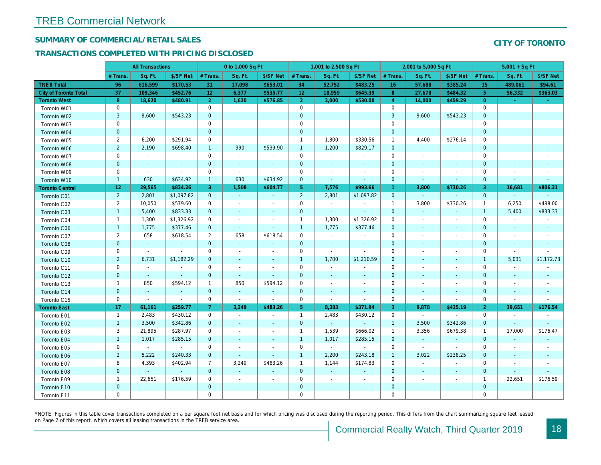## SUMMARY OF COMMERCIAL/RETAIL SALES

## TRANSACTIONS COMPLETED WITH PRICING DISCLOSED

|                              |                 | <b>All Transactions</b> |                          |                 | 0 to 1,000 Sq Ft         |                |                 | 1,001 to 2,500 Sq Ft     |                          |                | 2,001 to 5,000 Sq Ft |                          |
|------------------------------|-----------------|-------------------------|--------------------------|-----------------|--------------------------|----------------|-----------------|--------------------------|--------------------------|----------------|----------------------|--------------------------|
|                              | # Trans.        | Sq. Ft.                 | \$/SF Net                | # Trans.        | Sq. Ft.                  | \$/SF Net      | # Trans.        | Sq. Ft.                  | \$/SF Net                | # Trans.       | Sq. Ft.              | \$/SF Ne                 |
| <b>TREB Total</b>            | 96              | 616,599                 | \$170.53                 | 31              | 17,098                   | \$653.01       | 34              | 52,752                   | \$483.25                 | 16             | 57,688               | \$385.24                 |
| <b>City of Toronto Total</b> | 37              | 109,346                 | \$452.76                 | 12 <sub>2</sub> | 6,377                    | \$535.77       | 12 <sub>2</sub> | 18,959                   | \$645.39                 | 8              | 27,678               | \$484.32                 |
| <b>Toronto West</b>          | 8               | 18,620                  | \$480.91                 | 2 <sup>1</sup>  | 1,620                    | \$576.85       | 2 <sup>1</sup>  | 3,000                    | \$530.00                 | $\overline{4}$ | 14,000               | \$459.29                 |
| Toronto W01                  | 0               | $\blacksquare$          | $\blacksquare$           | $\mathbf 0$     | $\sim$                   | $\blacksquare$ | 0               | $\blacksquare$           | $\sim$                   | $\mathbf 0$    | $\bullet$            | $\sim$                   |
| Toronto W02                  | 3               | 9,600                   | \$543.23                 | $\mathbf 0$     | $\sim$                   | $\sim$         | $\mathbf{0}$    | $\sim$                   | $\sim$                   | 3              | 9,600                | \$543.23                 |
| Toronto W03                  | 0               | $\sim$                  | $\blacksquare$           | 0               | $\overline{\phantom{a}}$ | $\blacksquare$ | 0               | $\sim$                   | $\overline{\phantom{a}}$ | $\mathbf 0$    | $\sim$               | $\blacksquare$           |
| Toronto W04                  | $\mathbf 0$     | $\sim$                  | $\omega$                 | $\mathbf 0$     | $\sim$                   | $\blacksquare$ | $\mathbf 0$     | $\sim$                   | $\sim$                   | $\mathbf 0$    | $\sim$               | $\sim$                   |
| Toronto W05                  | $\overline{2}$  | 6,200                   | \$291.94                 | $\mathbf 0$     | $\sim$                   | $\omega$       | $\mathbf{1}$    | 1,800                    | \$330.56                 | $\mathbf{1}$   | 4,400                | \$276.14                 |
| Toronto W06                  | $\overline{2}$  | 2,190                   | \$698.40                 | $\mathbf{1}$    | 990                      | \$539.90       | $\mathbf{1}$    | 1,200                    | \$829.17                 | $\mathbf{0}$   | $\sim$               | $\blacksquare$           |
| Toronto W07                  | 0               | $\blacksquare$          | $\blacksquare$           | $\mathbf 0$     | $\overline{\phantom{a}}$ | $\blacksquare$ | 0               | $\overline{\phantom{a}}$ | $\overline{\phantom{a}}$ | $\mathbf 0$    | $\sim$               | $\overline{\phantom{a}}$ |
| Toronto W08                  | $\pmb{0}$       | $\blacksquare$          | $\blacksquare$           | $\mathbf 0$     | $\blacksquare$           | $\blacksquare$ | $\mathbf 0$     | $\blacksquare$           | $\blacksquare$           | $\mathbf 0$    | $\sim$               | $\blacksquare$           |
| Toronto W09                  | $\mathbf 0$     | $\blacksquare$          | $\blacksquare$           | $\mathbf 0$     | $\blacksquare$           | $\blacksquare$ | 0               | $\overline{\phantom{a}}$ | $\overline{\phantom{a}}$ | $\mathbf 0$    | $\blacksquare$       |                          |
| Toronto W10                  | $\mathbf{1}$    | 630                     | \$634.92                 | $\mathbf{1}$    | 630                      | \$634.92       | $\mathbf{0}$    | $\sim$                   | $\sim$                   | $\mathbf 0$    | $\sim$               | $\sim$                   |
| <b>Toronto Central</b>       | 12 <sub>2</sub> | 29,565                  | \$834.26                 | 3               | 1,508                    | \$604.77       | 5 <sub>5</sub>  | 7,576                    | \$993.66                 | $\mathbf{1}$   | 3,800                | \$730.26                 |
| Toronto C01                  | $\overline{2}$  | 2,801                   | \$1,097.82               | $\mathbf 0$     | $\omega$                 | $\blacksquare$ | $\overline{2}$  | 2,801                    | \$1,097.82               | $\mathbf{0}$   | $\sim$               | $\omega$                 |
| Toronto C02                  | $\overline{2}$  | 10,050                  | \$579.60                 | 0               | $\blacksquare$           | $\blacksquare$ | 0               | $\blacksquare$           | $\blacksquare$           | $\mathbf{1}$   | 3,800                | \$730.26                 |
| Toronto C03                  | $\mathbf{1}$    | 5,400                   | \$833.33                 | $\mathbf{0}$    | $\sim$                   | $\sim$         | $\mathbf{0}$    | $\sim$                   | $\sim$                   | $\mathbf{0}$   | $\blacksquare$       | $\blacksquare$           |
| Toronto C04                  | $\overline{1}$  | 1,300                   | \$1,326.92               | $\mathbf 0$     | $\sim$                   | $\blacksquare$ | $\mathbf{1}$    | 1,300                    | \$1,326.92               | $\mathbf 0$    | $\sim$               | $\blacksquare$           |
| Toronto C06                  | $\mathbf{1}$    | 1,775                   | \$377.46                 | $\overline{0}$  | $\omega$                 | $\blacksquare$ | $\mathbf{1}$    | 1,775                    | \$377.46                 | $\mathbf 0$    | $\sim$               | $\sim$                   |
| Toronto C07                  | $\overline{2}$  | 658                     | \$618.54                 | $\overline{2}$  | 658                      | \$618.54       | $\mathsf 0$     | $\blacksquare$           | $\overline{\phantom{a}}$ | $\mathbf 0$    | $\blacksquare$       | $\overline{\phantom{a}}$ |
| Toronto C08                  | $\pmb{0}$       | $\bullet$               | $\blacksquare$           | $\mathbf 0$     | $\blacksquare$           | $\blacksquare$ | $\mathbf 0$     | $\blacksquare$           | $\overline{\phantom{a}}$ | $\mathbf 0$    | $\blacksquare$       | $\sim$                   |
| Toronto C09                  | 0               | $\blacksquare$          | $\blacksquare$           | $\mathbf 0$     | $\sim$                   | $\blacksquare$ | 0               | $\sim$                   | $\sim$                   | $\mathbf 0$    | $\sim$               | $\overline{\phantom{a}}$ |
| Toronto C10                  | $\overline{2}$  | 6,731                   | \$1,182.29               | $\mathbf{0}$    | $\sim$                   | $\sim$         | $\mathbf{1}$    | 1,700                    | \$1,210.59               | $\mathbf{0}$   | $\sim$               | $\sim$                   |
| Toronto C11                  | 0               | $\sim$                  | $\blacksquare$           | 0               | $\sim$                   | $\blacksquare$ | 0               | $\blacksquare$           | $\overline{\phantom{a}}$ | $\mathbf 0$    | $\sim$               |                          |
| Toronto C12                  | $\mathbf{0}$    | $\sim$                  | $\sim$                   | $\overline{0}$  | $\omega$                 | $\sim$         | $\mathbf{0}$    | $\sim$                   | $\sim$                   | $\mathbf 0$    | $\sim$               | $\sim$                   |
| Toronto C13                  | 1               | 850                     | \$594.12                 | $\mathbf{1}$    | 850                      | \$594.12       | 0               | $\overline{\phantom{a}}$ | $\overline{\phantom{a}}$ | 0              | $\sim$               | $\overline{\phantom{a}}$ |
| Toronto C14                  | $\mathbf{0}$    | $\sim$                  | $\sim$                   | $\overline{0}$  | $\sim$                   | $\sim$         | $\mathbf{0}$    | $\sim$                   | $\sim$                   | $\mathbf{0}$   | $\sim$               | $\sim$                   |
| Toronto C15                  | 0               | $\blacksquare$          | $\sim$                   | 0               | $\blacksquare$           | $\blacksquare$ | 0               | $\blacksquare$           | $\blacksquare$           | $\mathbf 0$    | $\blacksquare$       | $\blacksquare$           |
| <b>Toronto East</b>          | 17              | 61,161                  | \$259.77                 | $\overline{7}$  | 3,249                    | \$483.26       | 5 <sub>5</sub>  | 8,383                    | \$371.94                 | 3              | 9,878                | \$425.1                  |
| Toronto E01                  | $\mathbf{1}$    | 2,483                   | \$430.12                 | 0               | $\blacksquare$           | $\blacksquare$ | $\mathbf{1}$    | 2,483                    | \$430.12                 | 0              | $\blacksquare$       | $\sim$                   |
| Toronto E02                  | $\mathbf{1}$    | 3,500                   | \$342.86                 | $\mathbf{0}$    | $\sim$                   | $\sim$         | $\mathbf{0}$    | $\sim$                   | $\sim$                   | $\mathbf{1}$   | 3,500                | \$342.86                 |
| Toronto E03                  | 3               | 21,895                  | \$287.97                 | $\mathbf 0$     | $\blacksquare$           | $\blacksquare$ | $\mathbf{1}$    | 1,539                    | \$666.02                 | $\mathbf{1}$   | 3,356                | \$679.38                 |
| Toronto E04                  | $\mathbf{1}$    | 1,017                   | \$285.15                 | $\mathbf{0}$    | $\sim$                   | $\sim$         | $\mathbf{1}$    | 1,017                    | \$285.15                 | $\mathbf{0}$   | $\omega$             | $\mathcal{L}$            |
| Toronto E05                  | 0               | $\blacksquare$          | $\blacksquare$           | $\mathbf 0$     | $\blacksquare$           | $\blacksquare$ | 0               | $\blacksquare$           | $\blacksquare$           | $\mathbf 0$    | $\blacksquare$       | $\blacksquare$           |
| Toronto E06                  | $\overline{2}$  | 5,222                   | \$240.33                 | $\mathbf{0}$    | $\blacksquare$           | $\blacksquare$ | $\mathbf{1}$    | 2,200                    | \$243.18                 | $\mathbf{1}$   | 3,022                | \$238.25                 |
| Toronto E07                  | 8               | 4,393                   | \$402.94                 | $\overline{7}$  | 3,249                    | \$483.26       | $\mathbf{1}$    | 1,144                    | \$174.83                 | $\mathbf 0$    | $\sim$               |                          |
| Toronto E08                  | $\mathbf 0$     | $\omega$                | $\omega$                 | $\mathbf 0$     | $\mathbf{r}$             | $\blacksquare$ | $\mathbf{0}$    | $\omega$                 | $\sim$                   | $\mathbf 0$    | $\sim$               |                          |
| Toronto E09                  | $\mathbf{1}$    | 22,651                  | \$176.59                 | 0               | $\blacksquare$           | $\blacksquare$ | 0               | $\blacksquare$           | $\blacksquare$           | $\mathbf 0$    | $\blacksquare$       |                          |
| Toronto E10                  | $\mathbf 0$     | $\blacksquare$          | $\overline{\phantom{a}}$ | $\mathbf{0}$    |                          | $\blacksquare$ | $\mathbf 0$     |                          |                          | $\mathbf 0$    |                      |                          |
| Toronto E11                  | $\mathbf 0$     | $\blacksquare$          | $\blacksquare$           | $\mathbf 0$     | $\blacksquare$           | $\blacksquare$ | $\mathbf 0$     | $\blacksquare$           | $\overline{\phantom{a}}$ | $\mathbf 0$    | $\blacksquare$       | $\overline{\phantom{a}}$ |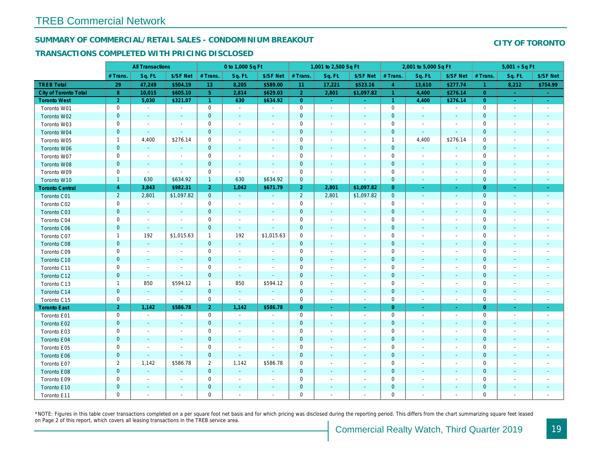## SUMMARY OF COMMERCIAL/RETAIL SALES - CONDOMINIUM BREAKOUT

### TRANSACTIONS COMPLETED WITH PRICING DISCLOSED

|                              |                | <b>All Transactions</b>  |                          |                      | 0 to 1,000 Sq Ft         |                          |                | 1,001 to 2,500 Sq Ft     |                          |                      | 2,001 to 5,000 Sq Ft     |                          |
|------------------------------|----------------|--------------------------|--------------------------|----------------------|--------------------------|--------------------------|----------------|--------------------------|--------------------------|----------------------|--------------------------|--------------------------|
|                              | # Trans        | Sq. Ft.                  | \$/SF Net                | # Trans.             | Sq. Ft.                  | \$/SF Net                | # Trans.       | Sq. Ft.                  | \$/SF Net                | # Trans.             | Sq. Ft.                  | \$/SF Ne                 |
| <b>TREB Total</b>            | 29             | 47,249                   | \$504.19                 | 13                   | 8,205                    | \$589.00                 | 11             | 17,221                   | \$523.16                 | $\overline{4}$       | 13,610                   | \$277.7                  |
| <b>City of Toronto Total</b> | 8              | 10,015                   | \$605.10                 | 5 <sup>1</sup>       | 2,814                    | \$629.03                 | 2 <sup>1</sup> | 2,801                    | \$1,097.82               | 1                    | 4,400                    | \$276.1                  |
| <b>Toronto West</b>          | $\overline{2}$ | 5,030                    | \$321.07                 | $\blacktriangleleft$ | 630                      | \$634.92                 | $\overline{0}$ | $\omega_{\rm c}$         | $\omega_{\rm c}$         | $\blacktriangleleft$ | 4,400                    | \$276.14                 |
| Toronto W01                  | 0              | $\sim$                   | $\blacksquare$           | $\mathbf 0$          | $\sim$                   | $\blacksquare$           | $\mathbf 0$    | $\blacksquare$           | $\blacksquare$           | $\mathbf 0$          | $\blacksquare$           | $\blacksquare$           |
| Toronto W02                  | $\mathbf 0$    | $\blacksquare$           |                          | $\mathbf 0$          | $\blacksquare$           | $\blacksquare$           | $\mathbf 0$    | ÷,                       | ÷,                       | $\mathbf{0}$         | $\blacksquare$           | $\blacksquare$           |
| Toronto W03                  | 0              | $\blacksquare$           | $\sim$                   | $\mathbf 0$          | $\blacksquare$           | $\blacksquare$           | $\mathbf 0$    | $\blacksquare$           | $\blacksquare$           | $\mathbf 0$          | $\blacksquare$           | $\overline{\phantom{a}}$ |
| Toronto W04                  | $\mathbf{0}$   | $\sim$                   | $\omega$                 | $\overline{0}$       | $\blacksquare$           | $\blacksquare$           | $\mathbf 0$    | $\sim$                   | $\omega$                 | $\mathbf{0}$         | $\blacksquare$           | $\blacksquare$           |
| Toronto W05                  | $\mathbf{1}$   | 4,400                    | \$276.14                 | $\mathbf 0$          | $\blacksquare$           | $\blacksquare$           | $\mathbf 0$    | $\blacksquare$           | $\blacksquare$           | $\overline{1}$       | 4,400                    | \$276.14                 |
| Toronto W06                  | $\mathbf 0$    | $\sim$                   | $\sim$                   | $\mathbf 0$          | $\blacksquare$           | $\blacksquare$           | $\mathbf 0$    | $\blacksquare$           | $\blacksquare$           | $\mathbf 0$          | $\blacksquare$           |                          |
| Toronto W07                  | $\mathbf 0$    | $\sim$                   | $\sim$                   | $\mathbf 0$          | $\sim$                   | $\sim$                   | $\mathbf 0$    | $\blacksquare$           | $\blacksquare$           | $\mathbf 0$          | $\blacksquare$           | $\sim$                   |
| Toronto W08                  | $\mathbf{0}$   | $\sim$                   | $\sim$                   | $\mathbf 0$          | $\omega$                 | $\blacksquare$           | $\mathbf 0$    | $\omega$                 | $\omega$                 | $\mathbf{0}$         | $\blacksquare$           | $\blacksquare$           |
| Toronto W09                  | 0              | $\blacksquare$           | $\sim$                   | $\mathbf 0$          | $\blacksquare$           | $\sim$                   | $\mathbf 0$    | $\overline{\phantom{a}}$ | $\blacksquare$           | $\mathbf 0$          | $\blacksquare$           | $\overline{\phantom{a}}$ |
| Toronto W10                  | $\mathbf{1}$   | 630                      | \$634.92                 | $\mathbf{1}$         | 630                      | \$634.92                 | $\mathbf 0$    | $\blacksquare$           | ä,                       | $\mathbf 0$          | $\blacksquare$           | $\sim$                   |
| <b>Toronto Central</b>       | $\overline{4}$ | 3,843                    | \$982.31                 | 2 <sup>1</sup>       | 1,042                    | \$671.79                 | 2 <sup>1</sup> | 2,801                    | \$1,097.82               | $\overline{0}$       | $\sim$                   | $\sim$                   |
| Toronto C01                  | $\overline{2}$ | 2,801                    | \$1,097.82               | $\mathbf{0}$         | $\sim$                   | $\omega$                 | $\overline{2}$ | 2,801                    | \$1,097.82               | $\mathbf{0}$         | $\omega$                 | $\sim$                   |
| Toronto C02                  | 0              | $\blacksquare$           |                          | 0                    | $\blacksquare$           | $\blacksquare$           | $\mathbf 0$    | $\blacksquare$           | $\blacksquare$           | $\mathbf 0$          | ٠                        | $\blacksquare$           |
| Toronto C03                  | $\mathbf 0$    | $\sim$                   | $\sim$                   | $\mathbf 0$          | $\blacksquare$           | $\blacksquare$           | $\mathbf 0$    | $\blacksquare$           | $\blacksquare$           | $\mathbf 0$          | $\blacksquare$           | $\blacksquare$           |
| Toronto C04                  | $\mathbf 0$    | $\blacksquare$           |                          | $\mathbf 0$          | $\blacksquare$           | $\blacksquare$           | $\mathbf 0$    | $\sim$                   | ä,                       | $\mathbf 0$          | ٠                        | $\overline{\phantom{a}}$ |
| Toronto C06                  | $\pmb{0}$      | $\sim$                   | $\omega$                 | $\overline{0}$       | $\omega$                 | $\blacksquare$           | $\mathbf 0$    | $\blacksquare$           | $\blacksquare$           | $\mathbf{0}$         | $\blacksquare$           | $\blacksquare$           |
| Toronto C07                  | $\mathbf{1}$   | 192                      | \$1,015.63               | $\mathbf{1}$         | 192                      | \$1,015.63               | $\mathbf 0$    | $\blacksquare$           | $\blacksquare$           | $\mathbf 0$          | ÷,                       | $\blacksquare$           |
| Toronto C08                  | $\mathbf{0}$   | $\blacksquare$           | $\blacksquare$           | $\mathbf{0}$         | $\blacksquare$           | $\blacksquare$           | $\mathbf{0}$   |                          | ä,                       | $\mathbf{0}$         | $\blacksquare$           | $\blacksquare$           |
| Toronto C09                  | $\mathbf 0$    | $\sim$                   | $\sim$                   | $\mathbf 0$          | $\sim$                   | $\blacksquare$           | $\mathbf 0$    |                          | $\sim$                   | $\mathbf 0$          | J.                       |                          |
| Toronto C10                  | $\mathbf{0}$   | $\sim$                   | $\sim$                   | $\mathbf 0$          | $\blacksquare$           | $\blacksquare$           | $\mathbf 0$    | $\blacksquare$           | $\blacksquare$           | $\mathbf{0}$         | $\blacksquare$           | $\blacksquare$           |
| Toronto C11                  | 0              | $\blacksquare$           | $\overline{\phantom{a}}$ | $\mathbf 0$          | $\blacksquare$           | $\overline{\phantom{a}}$ | $\mathbf 0$    | $\overline{\phantom{a}}$ | $\overline{\phantom{a}}$ | $\mathbf 0$          | $\overline{\phantom{a}}$ | $\overline{\phantom{a}}$ |
| Toronto C12                  | $\mathbf{0}$   | $\sim$                   | $\sim$                   | $\mathbf{0}$         | $\sim$                   | $\sim$                   | $\mathbf{0}$   | $\sim$                   | $\sim$                   | $\mathbf{0}$         | $\sim$                   | $\sim$                   |
| Toronto C13                  | $\mathbf{1}$   | 850                      | \$594.12                 | $\mathbf{1}$         | 850                      | \$594.12                 | $\mathbf 0$    | $\sim$                   | $\sim$                   | 0                    | $\sim$                   | $\overline{\phantom{a}}$ |
| Toronto C14                  | $\pmb{0}$      | $\sim$                   | $\sim$                   | $\mathbf{0}$         | $\omega$                 | $\omega$                 | $\mathbf 0$    | $\sim$                   | $\omega$                 | $\mathbf{0}$         | $\omega$                 | $\sim$                   |
| Toronto C15                  | 0              | $\blacksquare$           | $\blacksquare$           | $\mathbf 0$          | $\blacksquare$           | $\blacksquare$           | $\mathbf 0$    | $\blacksquare$           | $\blacksquare$           | $\mathbf 0$          | $\blacksquare$           | $\sim$                   |
| <b>Toronto East</b>          | 2 <sup>1</sup> | 1,142                    | \$586.78                 | 2 <sup>1</sup>       | 1,142                    | \$586.78                 | $\overline{0}$ | $\omega$                 | $\omega$                 | $\overline{0}$       | $\sim$                   | $\sim$                   |
| Toronto E01                  | 0              | $\sim$                   | $\sim$                   | $\mathbf 0$          | $\omega$                 | $\blacksquare$           | $\mathbf 0$    | $\sim$                   | $\blacksquare$           | $\mathbf 0$          | $\blacksquare$           | $\sim$                   |
| Toronto E02                  | $\pmb{0}$      | $\sim$                   | $\sim$                   | $\mathbf{0}$         | $\sim$                   | $\blacksquare$           | $\mathbf 0$    | $\sim$                   | $\sim$                   | $\mathbf{0}$         | $\sim$                   | $\sim$                   |
| Toronto E03                  | 0              | $\overline{\phantom{a}}$ | $\overline{\phantom{a}}$ | $\mathbf 0$          | $\overline{\phantom{a}}$ | $\overline{\phantom{a}}$ | $\mathbf 0$    | $\overline{\phantom{a}}$ | $\blacksquare$           | 0                    | $\blacksquare$           | $\blacksquare$           |
| Toronto E04                  | $\mathbf{0}$   | $\sim$                   | $\sim$                   | $\mathbf{0}$         | $\sim$                   | $\sim$                   | $\mathbf 0$    | $\omega$                 | $\sim$                   | $\mathbf{0}$         | $\omega$                 | $\sim$                   |
| Toronto E05                  | 0              | $\blacksquare$           | $\blacksquare$           | $\mathbf 0$          | $\overline{\phantom{a}}$ | $\blacksquare$           | $\mathbf 0$    | $\blacksquare$           | $\blacksquare$           | $\mathbf 0$          | $\blacksquare$           | $\blacksquare$           |
| Toronto E06                  | $\mathbf 0$    |                          | $\sim$                   | $\mathbf 0$          | $\blacksquare$           | $\blacksquare$           | $\mathbf 0$    | ٠                        | ٠                        | $\mathbf{0}$         | $\blacksquare$           |                          |
| Toronto E07                  | $\overline{2}$ | 1,142                    | \$586.78                 | $\overline{2}$       | 1,142                    | \$586.78                 | 0              | $\overline{\phantom{a}}$ | $\blacksquare$           | $\mathbf 0$          | $\blacksquare$           | $\blacksquare$           |
| Toronto E08                  | $\mathbf{0}$   | $\omega$                 | $\Delta$                 | $\mathbf 0$          | $\sim$                   | $\blacksquare$           | $\mathbf 0$    |                          | $\omega$                 | $\mathbf{0}$         | $\sim$                   |                          |
| Toronto E09                  | 0              | $\blacksquare$           | $\sim$                   | $\mathbf 0$          | $\blacksquare$           | $\blacksquare$           | $\mathbf 0$    | $\sim$                   | $\blacksquare$           | $\mathbf 0$          | $\sim$                   | $\blacksquare$           |
| Toronto E10                  | $\mathbf 0$    |                          |                          | $\mathbf 0$          | $\blacksquare$           | $\blacksquare$           | $\mathbf 0$    |                          |                          | $\mathbf 0$          | $\blacksquare$           |                          |
| Toronto E11                  | $\mathbf 0$    | $\blacksquare$           | $\sim$                   | $\mathbf 0$          | $\blacksquare$           | $\blacksquare$           | $\mathbf 0$    | $\blacksquare$           | $\blacksquare$           | $\mathbf 0$          | $\blacksquare$           | $\overline{\phantom{a}}$ |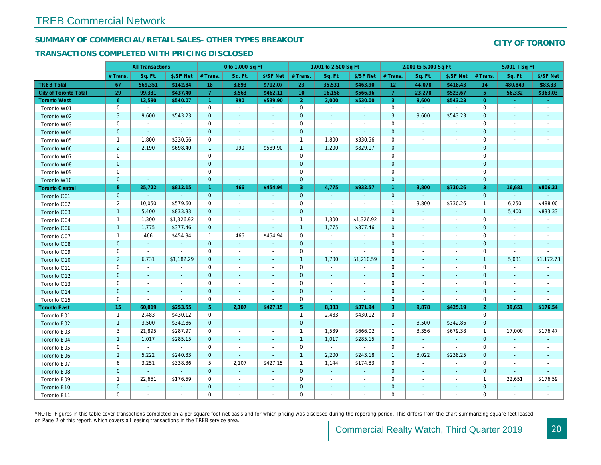## SUMMARY OF COMMERCIAL/RETAIL SALES- OTHER TYPES BREAKOUT

### TRANSACTIONS COMPLETED WITH PRICING DISCLOSED

|                              |                | <b>All Transactions</b> |                          |                | 0 to 1,000 Sq Ft         |                |                 | 1,001 to 2,500 Sq Ft     |                          |                 | 2,001 to 5,000 Sq Ft |                             |
|------------------------------|----------------|-------------------------|--------------------------|----------------|--------------------------|----------------|-----------------|--------------------------|--------------------------|-----------------|----------------------|-----------------------------|
|                              | # Trans        | Sq. Ft.                 | \$/SF Net                | # Trans.       | Sq. Ft.                  | \$/SF Net      | # Trans.        | Sq. Ft.                  | \$/SF Net                | # Trans.        | Sq. Ft.              | \$/SF Ne                    |
| <b>TREB Total</b>            | 67             | 569,351                 | \$142.84                 | 18             | 8,893                    | \$712.07       | 23              | 35,531                   | \$463.90                 | 12 <sub>2</sub> | 44,078               | \$418.43                    |
| <b>City of Toronto Total</b> | 29             | 99,331                  | \$437.40                 | $\mathbf{7}$   | 3,563                    | \$462.11       | 10 <sup>°</sup> | 16,158                   | \$566.96                 | 7 <sup>1</sup>  | 23,278               | \$523.67                    |
| <b>Toronto West</b>          | 6 <sup>°</sup> | 13,590                  | \$540.07                 | $\mathbf{1}$   | 990                      | \$539.90       | 2 <sup>1</sup>  | 3,000                    | \$530.00                 | 3               | 9,600                | \$543.23                    |
| Toronto W01                  | 0              | $\blacksquare$          | $\blacksquare$           | 0              | $\blacksquare$           | $\blacksquare$ | $\mathbf 0$     | $\sim$                   | $\sim$                   | $\mathbf 0$     | $\bullet$            | $\sim$                      |
| Toronto W02                  | 3              | 9,600                   | \$543.23                 | $\mathbf 0$    | $\sim$                   | $\blacksquare$ | $\mathbf 0$     | $\sim$                   |                          | $\mathsf 3$     | 9,600                | \$543.23                    |
| Toronto W03                  | 0              | $\sim$                  | $\blacksquare$           | 0              | $\sim$                   | $\blacksquare$ | 0               | $\overline{\phantom{a}}$ | $\overline{\phantom{a}}$ | $\mathbf 0$     | $\blacksquare$       | $\overline{\phantom{a}}$    |
| Toronto W04                  | $\mathbf{0}$   | $\sim$                  | $\sim$                   | $\overline{0}$ | $\sim$                   | $\sim$         | $\mathbf{0}$    | $\sim$                   | $\omega$                 | $\mathbf 0$     | $\sim$               | $\sim$                      |
| Toronto W05                  | $\mathbf{1}$   | 1,800                   | \$330.56                 | $\mathbf 0$    | $\blacksquare$           | $\blacksquare$ | $\mathbf{1}$    | 1,800                    | \$330.56                 | $\mathbf 0$     | $\sim$               |                             |
| Toronto W06                  | $\overline{2}$ | 2,190                   | \$698.40                 | $\mathbf{1}$   | 990                      | \$539.90       | $\mathbf{1}$    | 1,200                    | \$829.17                 | $\mathbf 0$     | $\sim$               | $\sim$                      |
| Toronto W07                  | 0              | $\blacksquare$          | $\blacksquare$           | 0              | $\blacksquare$           | $\sim$         | 0               | $\blacksquare$           | $\blacksquare$           | $\mathbf 0$     | $\sim$               |                             |
| Toronto W08                  | $\mathbf{0}$   | $\blacksquare$          | $\sim$                   | $\mathbf{0}$   | $\sim$                   | $\sim$         | $\mathbf{0}$    | $\sim$                   | $\sim$                   | $\mathbf{0}$    | $\sim$               | $\sim$                      |
| Toronto W09                  | 0              | $\blacksquare$          | $\sim$                   | $\mathbf 0$    | $\blacksquare$           | $\sim$         | $\mathbf 0$     | $\overline{\phantom{a}}$ | $\sim$                   | $\mathbf 0$     | $\overline{a}$       | $\sim$                      |
| Toronto W10                  | $\mathbf{0}$   | $\blacksquare$          | $\blacksquare$           | $\mathbf 0$    | $\sim$                   | $\blacksquare$ | $\mathbf{0}$    | $\blacksquare$           | $\sim$                   | $\mathbf 0$     | $\sim$               | $\blacksquare$              |
| <b>Toronto Central</b>       | 8              | 25,722                  | \$812.15                 | $\mathbf{1}$   | 466                      | \$454.94       | 3               | 4,775                    | \$932.57                 | $\mathbf{1}$    | 3,800                | \$730.26                    |
| Toronto C01                  | $\mathbf{0}$   | $\sim$                  | $\blacksquare$           | $\mathbf{0}$   | $\sim$                   | $\blacksquare$ | $\mathbf{0}$    | $\sim$                   | $\sim$                   | $\mathbf{0}$    | $\sim$               | $\sim$                      |
| Toronto C02                  | $\overline{2}$ | 10,050                  | \$579.60                 | $\mathbf 0$    | $\sim$                   | $\sim$         | $\mathbf 0$     | $\blacksquare$           | $\sim$                   | $\mathbf{1}$    | 3,800                | \$730.26                    |
| Toronto C03                  | $\mathbf{1}$   | 5,400                   | \$833.33                 | $\mathbf{0}$   | $\sim$                   | $\blacksquare$ | $\mathbf{0}$    | $\blacksquare$           | $\sim$                   | $\mathbf{0}$    | $\omega$             | $\blacksquare$              |
| Toronto C04                  | $\mathbf{1}$   | 1,300                   | \$1,326.92               | $\mathbf 0$    | $\blacksquare$           | $\blacksquare$ | $\mathbf{1}$    | 1,300                    | \$1,326.92               | $\mathbf 0$     | $\blacksquare$       | $\blacksquare$              |
| Toronto C06                  | $\mathbf{1}$   | 1,775                   | \$377.46                 | $\mathbf 0$    | $\sim$                   | $\blacksquare$ | $\mathbf{1}$    | 1,775                    | \$377.46                 | $\mathbf 0$     | $\sim$               | $\blacksquare$              |
| Toronto C07                  | $\mathbf{1}$   | 466                     | \$454.94                 | $\mathbf{1}$   | 466                      | \$454.94       | $\mathbf 0$     | $\blacksquare$           | $\blacksquare$           | $\mathbf 0$     |                      |                             |
| Toronto C08                  | $\mathbf 0$    | $\blacksquare$          | $\blacksquare$           | $\mathbf{0}$   | $\sim$                   | $\blacksquare$ | $\mathbf{0}$    | $\sim$                   | $\sim$                   | $\mathbf{0}$    |                      | $\sim$                      |
| Toronto C09                  | 0              | $\blacksquare$          | $\blacksquare$           | 0              | $\overline{\phantom{a}}$ | $\blacksquare$ | 0               | $\blacksquare$           | $\sim$                   | $\mathbf 0$     |                      | $\overline{\phantom{a}}$    |
| Toronto C10                  | $\overline{2}$ | 6,731                   | \$1,182.29               | $\mathbf{0}$   | $\sim$                   | $\blacksquare$ | $\mathbf{1}$    | 1,700                    | \$1,210.59               | $\mathbf 0$     | $\sim$               | $\sim$                      |
| Toronto C11                  | 0              | $\blacksquare$          | $\blacksquare$           | $\mathbf 0$    | $\overline{\phantom{a}}$ | $\blacksquare$ | $\mathbf 0$     | $\blacksquare$           | $\overline{\phantom{a}}$ | $\mathbf 0$     | $\sim$               |                             |
| Toronto C12                  | $\mathbf 0$    | $\sim$                  | $\sim$                   | $\overline{0}$ | $\sim$                   | $\sim$         | $\mathbf{0}$    | $\sim$                   | $\sim$                   | $\mathbf{0}$    | $\sim$               | $\sim$                      |
| Toronto C13                  | 0              | $\blacksquare$          | $\blacksquare$           | 0              | $\overline{\phantom{a}}$ | $\blacksquare$ | 0               | $\sim$                   | $\overline{\phantom{a}}$ | $\mathbf 0$     | $\sim$               | $\overline{\phantom{a}}$    |
| Toronto C14                  | $\mathbf 0$    | $\sim$                  | $\sim$                   | $\mathbf 0$    | $\sim$                   | $\sim$         | $\pmb{0}$       | $\sim$                   | $\sim$                   | $\mathbf 0$     | $\sim$               | $\sim$                      |
| Toronto C15                  | 0              | $\blacksquare$          | $\sim$                   | $\mathbf 0$    | $\blacksquare$           | $\omega$       | 0               | $\blacksquare$           | $\blacksquare$           | $\mathbf 0$     | $\blacksquare$       | $\blacksquare$              |
| <b>Toronto East</b>          | 15             | 60,019                  | \$253.55                 | 5 <sup>5</sup> | 2,107                    | \$427.15       | 5 <sup>5</sup>  | 8,383                    | \$371.94                 | 3               | 9,878                | \$425.1                     |
| Toronto E01                  | $\mathbf{1}$   | 2,483                   | \$430.12                 | 0              | $\blacksquare$           | $\blacksquare$ | $\mathbf{1}$    | 2,483                    | \$430.12                 | 0               | $\bullet$            | $\blacksquare$              |
| Toronto E02                  | $\mathbf{1}$   | 3,500                   | \$342.86                 | $\mathbf 0$    | $\blacksquare$           | $\blacksquare$ | $\mathbf 0$     | $\sim$                   | $\blacksquare$           | $\mathbf{1}$    | 3,500                | \$342.86                    |
| Toronto E03                  | 3              | 21,895                  | \$287.97                 | 0              | $\overline{\phantom{a}}$ | $\blacksquare$ | $\mathbf{1}$    | 1,539                    | \$666.02                 | $\mathbf{1}$    | 3,356                | \$679.38                    |
| Toronto E04                  | $\mathbf{1}$   | 1,017                   | \$285.15                 | $\mathbf{0}$   | $\sim$                   | $\sim$         | $\mathbf{1}$    | 1,017                    | \$285.15                 | $\mathbf{0}$    | $\omega$             | $\mathcal{L}_{\mathcal{C}}$ |
| Toronto E05                  | 0              | $\blacksquare$          | $\blacksquare$           | $\mathbf 0$    | $\blacksquare$           | $\blacksquare$ | 0               | $\blacksquare$           | $\blacksquare$           | $\mathbf 0$     | $\blacksquare$       | $\blacksquare$              |
| Toronto E06                  | $\overline{2}$ | 5,222                   | \$240.33                 | $\mathbf{0}$   | $\blacksquare$           | $\blacksquare$ | $\mathbf{1}$    | 2,200                    | \$243.18                 | $\mathbf{1}$    | 3,022                | \$238.25                    |
| Toronto E07                  | 6              | 3,251                   | \$338.36                 | 5              | 2,107                    | \$427.15       | $\mathbf{1}$    | 1,144                    | \$174.83                 | 0               | $\blacksquare$       |                             |
| Toronto E08                  | $\mathbf{0}$   | $\omega$                | $\omega$                 | $\overline{0}$ | $\mathbf{r}$             | $\blacksquare$ | $\mathbf{0}$    | $\omega$                 | $\sim$                   | $\mathbf 0$     | $\sim$               |                             |
| Toronto E09                  | $\mathbf{1}$   | 22,651                  | \$176.59                 | 0              | $\blacksquare$           | $\blacksquare$ | 0               | $\blacksquare$           | $\blacksquare$           | $\mathbf 0$     | $\blacksquare$       |                             |
| Toronto E10                  | $\mathbf 0$    | $\blacksquare$          | $\overline{\phantom{a}}$ | $\mathbf{0}$   |                          | $\blacksquare$ | $\pmb{0}$       |                          |                          | $\mathbf 0$     |                      |                             |
| Toronto E11                  | 0              | $\blacksquare$          | $\blacksquare$           | $\mathbf 0$    | $\blacksquare$           | $\blacksquare$ | $\mathbf 0$     | $\blacksquare$           | $\overline{\phantom{a}}$ | $\mathbf 0$     | $\blacksquare$       | $\overline{\phantom{a}}$    |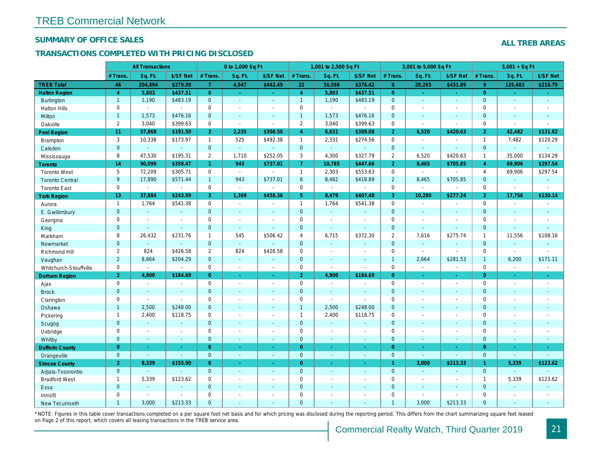#### SUMMARY OF OFFICE SALES

## TRANSACTIONS COMPLETED WITH PRICING DISCLOSED

|                        |                       | <b>All Transactions</b>  |                          |                      | 0 to 1,000 Sq Ft |                          |                     | 1,001 to 2,500 Sq Ft     |                       |                | 2,001 to 5,000 Sq Ft |                          |
|------------------------|-----------------------|--------------------------|--------------------------|----------------------|------------------|--------------------------|---------------------|--------------------------|-----------------------|----------------|----------------------|--------------------------|
|                        | # Trans.              | Sq. Ft.                  | \$/SF Net                | # Trans.             | Sq. Ft.          | \$/SF Net                | # Trans.            | Sq. Ft.                  | \$/SF Net             | # Trans.       | Sq. Ft.              | \$/SF Ne                 |
| <b>TREB Total</b>      | 46                    | 204,894                  | \$279.98                 | $\overline{7}$       | 4,547            | \$442.49                 | 22                  | 36,598                   | \$376.42              | 8 <sup>°</sup> | 28,265               | \$431.89                 |
| <b>Halton Region</b>   | $\overline{4}$        | 5,803                    | \$437.51                 | $\overline{0}$       | $\sim$ .         | $\omega_{\rm{eff}}$      | $\overline{4}$      | 5,803                    | \$437.51              | $\overline{0}$ | $\omega$             | $\omega_{\rm c}$         |
| <b>Burlington</b>      | $\mathbf{1}$          | 1,190                    | \$483.19                 | $\mathbf{0}$         | $\sim$           | $\blacksquare$           | $\mathbf{1}$        | 1,190                    | \$483.19              | $\mathbf{0}$   | $\blacksquare$       | $\blacksquare$           |
| <b>Halton Hills</b>    | 0                     | $\blacksquare$           | $\sim$                   | 0                    | $\sim$           | $\blacksquare$           | $\mathbf 0$         | $\blacksquare$           | ä,                    | $\Omega$       | $\sim$               | $\blacksquare$           |
| Milton                 | $\mathbf{1}$          | 1,573                    | \$476.16                 | $\mathbf 0$          | $\omega$         | $\blacksquare$           | $\mathbf{1}$        | 1,573                    | \$476.16              | $\mathbf{0}$   | $\blacksquare$       | $\blacksquare$           |
| Oakville               | $\mathbf{2}^{\prime}$ | 3,040                    | \$399.63                 | $\mathbf 0$          | $\blacksquare$   | $\sim$                   | $\overline{2}$      | 3,040                    | \$399.63              | $\mathbf 0$    | $\blacksquare$       | $\blacksquare$           |
| <b>Peel Region</b>     | 11                    | 57,868                   | \$191.50                 | 3                    | 2,235            | \$308.50                 | $\overline{4}$      | 6,631                    | \$309.08              | $\overline{2}$ | 6,520                | \$420.63                 |
| Brampton               | 3                     | 10,338                   | \$173.97                 | $\mathbf{1}$         | 525              | \$492.38                 | $\mathbf{1}$        | 2,331                    | \$274.56              | $\mathbf 0$    | $\sim$               | $\sim$                   |
| Caledon                | $\mathbf{0}$          | $\sim$                   | $\omega$                 | $\mathbf 0$          | $\omega$         |                          | $\overline{0}$      | $\omega_{\rm c}$         | $\blacksquare$        | $\mathbf 0$    | $\Delta$             | $\blacksquare$           |
| Mississauga            | 8                     | 47,530                   | \$195.31                 | $\overline{2}$       | 1,710            | \$252.05                 | 3                   | 4,300                    | \$327.79              | $\overline{2}$ | 6,520                | \$420.63                 |
| <b>Toronto</b>         | 14                    | 90,099                   | \$358.47                 | $\blacktriangleleft$ | 943              | \$737.01                 | $\overline{7}$      | 10,785                   | \$447.66              | $\overline{2}$ | 8,465                | \$705.8                  |
| <b>Toronto West</b>    | 5                     | 72,209                   | \$305.71                 | $\mathbf 0$          | $\sim$           |                          | $\mathbf{1}$        | 2,303                    | \$553.63              | $\mathbf 0$    | $\blacksquare$       | $\blacksquare$           |
| <b>Toronto Central</b> | 9                     | 17,890                   | \$571.44                 | $\mathbf{1}$         | 943              | \$737.01                 | $6\phantom{1}6$     | 8,482                    | \$418.89              | $\overline{2}$ | 8,465                | \$705.85                 |
| <b>Toronto East</b>    | 0                     | $\sim$                   | $\sim$                   | 0                    | $\sim$           | $\blacksquare$           | $\mathbf 0$         | $\blacksquare$           | $\sim$                | $\mathbf 0$    | $\blacksquare$       | $\blacksquare$           |
| <b>York Region</b>     | 13                    | 37,884                   | \$243.99                 | 3                    | 1,369            | \$458.36                 | 5 <sup>5</sup>      | 8,479                    | \$407.48              | $\overline{3}$ | 10,280               | \$277.24                 |
| Aurora                 | $\overline{1}$        | 1,764                    | \$541.38                 | $\mathbf 0$          | $\sim$           | $\blacksquare$           | $\mathbf{1}$        | 1,764                    | \$541.38              | $\mathbf 0$    | $\blacksquare$       | $\blacksquare$           |
| E. Gwillimbury         | $\mathbf{0}$          | $\omega$                 | $\sim$                   | $\mathbf{0}$         | $\sim$           | $\blacksquare$           | $\mathbf{0}$        | $\omega$                 | $\blacksquare$        | $\mathbf{0}$   | $\omega$             | $\blacksquare$           |
| Georgina               | 0                     | $\sim$                   | $\blacksquare$           | 0                    | $\blacksquare$   | $\blacksquare$           | $\mathbf 0$         | $\blacksquare$           | $\blacksquare$        | $\mathbf 0$    | $\blacksquare$       | $\blacksquare$           |
| King                   | $\mathbf{0}$          | $\sim$                   | $\sim$                   | $\mathbf 0$          | $\sim$           | $\overline{\phantom{a}}$ | $\mathbf 0$         | $\blacksquare$           | $\blacksquare$        | $\mathbf{0}$   | $\omega$             | $\blacksquare$           |
| Markham                | 8                     | 26,432                   | \$231.76                 | $\mathbf{1}$         | 545              | \$506.42                 | 4                   | 6,715                    | \$372.30              | $\overline{2}$ | 7,616                | \$275.74                 |
| Newmarket              | $\overline{0}$        | $\blacksquare$           | $\sim$                   | $\mathbf{0}$         | $\omega$         |                          | $\mathbf{0}$        | $\omega$                 | ä,                    | $\mathbf{0}$   | $\omega$             | $\sim$                   |
| Richmond Hill          | $\overline{2}$        | 824                      | \$426.58                 | $\overline{2}$       | 824              | \$426.58                 | $\mathbf 0$         | $\blacksquare$           | $\blacksquare$        | 0              | $\blacksquare$       | $\blacksquare$           |
| Vaughan                | $\overline{2}$        | 8,864                    | \$204.29                 | $\mathbf{0}$         | $\omega$         | $\sim$                   | $\mathbf{0}$        | $\blacksquare$           | $\sim$                | $\mathbf{1}$   | 2,664                | \$281.53                 |
| Whitchurch-Stouffville | 0                     | $\sim$                   | $\blacksquare$           | $\mathbf 0$          | $\mathbf{r}$     | $\sim$                   | $\mathsf 0$         | $\sim$                   | $\blacksquare$        | $\mathbf 0$    | $\sim$               | $\sim$                   |
| <b>Durham Region</b>   | $\overline{2}$        | 4,900                    | \$184.69                 | $\overline{0}$       | $\sim$           | $\omega_{\rm c}$         | 2 <sup>1</sup>      | 4,900                    | \$184.69              | $\overline{0}$ | $\bullet$            | $\sigma_{\rm c}$         |
| Ajax                   | 0                     | $\blacksquare$           | $\blacksquare$           | $\mathbf 0$          | $\blacksquare$   | $\sim$                   | $\mathbf 0$         | $\sim$                   | $\overline{a}$        | $\mathbf 0$    | $\blacksquare$       | $\sim$                   |
| <b>Brock</b>           | $\mathbf{0}$          | $\sim$                   | $\sim$                   | $\mathbf{0}$         | $\blacksquare$   | $\blacksquare$           | $\mathbf{0}$        | $\omega$                 | $\blacksquare$        | $\mathbf{0}$   | $\Delta$             | $\sim$                   |
| Clarington             | 0                     | $\sim$                   | $\blacksquare$           | 0                    | $\blacksquare$   | $\blacksquare$           | $\mathsf{O}\xspace$ | $\overline{\phantom{a}}$ | $\tilde{\phantom{a}}$ | $\mathbf 0$    | ÷,                   | $\overline{\phantom{a}}$ |
| Oshawa                 | $\mathbf{1}$          | 2,500                    | \$248.00                 | $\mathbf{0}$         | $\blacksquare$   | ٠                        | $\mathbf{1}$        | 2,500                    | \$248.00              | $\mathbf{0}$   | $\blacksquare$       | $\blacksquare$           |
| Pickering              | $\mathbf{1}$          | 2,400                    | \$118.75                 | 0                    | $\sim$           | $\blacksquare$           | $\mathbf{1}$        | 2,400                    | \$118.75              | $\mathbf 0$    | $\sim$               | $\blacksquare$           |
| Scugog                 | $\mathbf{0}$          | $\blacksquare$           | $\sim$                   | $\overline{0}$       | $\mathbf{r}$     | $\blacksquare$           | $\mathbf{0}$        | $\omega$                 | $\blacksquare$        | $\mathbf{0}$   | $\omega$             | $\blacksquare$           |
| Uxbridge               | 0                     | $\overline{\phantom{a}}$ | $\overline{\phantom{a}}$ | $\mathbf 0$          | $\blacksquare$   | $\blacksquare$           | 0                   | $\overline{a}$           | $\overline{a}$        | $\mathbf 0$    | $\sim$               | $\blacksquare$           |
| Whitby                 | $\mathbf{0}$          | $\sim$                   | $\sim$                   | $\mathbf 0$          | $\sim$           | $\sim$                   | $\mathbf{0}$        | $\blacksquare$           | $\omega$              | $\mathbf{0}$   | $\blacksquare$       | $\sim$                   |
| <b>Dufferin County</b> | $\overline{0}$        | $\sim$                   | $\sim$                   | $\overline{0}$       | ÷.               | $\sim$                   | $\overline{0}$      | $\blacksquare$           | $\sim$                | $\overline{0}$ | ÷.                   | $\sim$                   |
| Orangeville            | $\mathbf{0}$          | $\omega$                 | $\omega$                 | $\mathbf 0$          | $\omega$         | $\omega$                 | $\mathbf{0}$        | $\omega$                 | $\omega_{\rm c}$      | $\mathbf 0$    | $\omega$             | $\omega$                 |
| <b>Simcoe County</b>   | 2 <sup>1</sup>        | 8,339                    | \$155.90                 | $\overline{0}$       | $\omega$         | $\omega$                 | $\overline{0}$      | $\omega$                 | $\omega_{\rm c}$      | $\mathbf{1}$   | 3,000                | \$213.33                 |
| Adjala-Tosorontio      | $\mathbf{0}$          | $\sim$                   |                          | $\mathbf{0}$         | $\mathbf{r}$     | $\blacksquare$           | $\mathbf{0}$        | $\blacksquare$           | $\blacksquare$        | $\mathbf{0}$   | $\Delta$             | $\sim$                   |
| <b>Bradford West</b>   | $\mathbf{1}$          | 5,339                    | \$123.62                 | 0                    | $\sim$           | $\sim$                   | $\mathsf{O}\xspace$ | $\blacksquare$           | $\blacksquare$        | $\mathbf 0$    | $\blacksquare$       | $\blacksquare$           |
| Essa                   | $\mathbf{0}$          | $\blacksquare$           |                          | $\mathbf 0$          | $\blacksquare$   | $\blacksquare$           | $\mathbf 0$         | ä,                       | $\blacksquare$        | $\mathbf 0$    | $\omega$             | $\blacksquare$           |
| Innisfil               | 0                     | $\sim$                   | $\sim$                   | 0                    | $\blacksquare$   | $\blacksquare$           | $\mathbf 0$         | $\blacksquare$           | $\blacksquare$        | $\mathbf 0$    | $\blacksquare$       | $\blacksquare$           |
| <b>New Tecumseth</b>   | $\overline{1}$        | 3,000                    | \$213.33                 | $\Omega$             |                  |                          | $\mathbf{0}$        |                          |                       | $\overline{1}$ | 3.000                | \$213.33                 |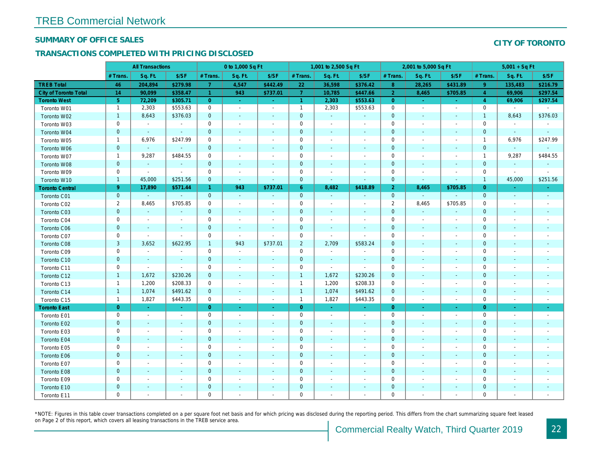### SUMMARY OF OFFICE SALES

## TRANSACTIONS COMPLETED WITH PRICING DISCLOSED

|                        |                           | <b>All Transactions</b>  |                          |                | 0 to 1,000 Sq Ft         |                          |                | 1,001 to 2,500 Sq Ft     |                          |                | 2,001 to 5,000 Sq Ft     |                          |
|------------------------|---------------------------|--------------------------|--------------------------|----------------|--------------------------|--------------------------|----------------|--------------------------|--------------------------|----------------|--------------------------|--------------------------|
|                        | # Trans.                  | Sq. Ft.                  | \$/SF                    | # Trans.       | Sq. Ft.                  | \$/SF                    | # Trans.       | Sq. Ft.                  | \$/SF                    | # Trans.       | Sq. Ft.                  | \$/SF                    |
| <b>TREB Total</b>      | 46                        | 204,894                  | \$279.98                 | $\overline{7}$ | 4,547                    | \$442.49                 | 22             | 36,598                   | \$376.42                 | 8 <sup>°</sup> | 28,265                   | \$431.89                 |
| City of Toronto Total  | 14                        | 90,099                   | \$358.47                 | $\overline{1}$ | 943                      | \$737.01                 | $\overline{7}$ | 10,785                   | \$447.66                 | $\overline{2}$ | 8,465                    | \$705.85                 |
| <b>Toronto West</b>    | 5 <sup>5</sup>            | 72,209                   | \$305.71                 | $\overline{0}$ | $\omega$                 | $\sim$                   | $\overline{1}$ | 2,303                    | \$553.63                 | $\overline{0}$ | $\omega$                 | $\sim$                   |
| Toronto W01            | $\mathbf{1}$              | 2,303                    | \$553.63                 | $\mathbf 0$    | $\blacksquare$           | $\sim$                   | $\mathbf{1}$   | 2,303                    | \$553.63                 | $\mathbf 0$    | $\blacksquare$           | $\sim$                   |
| Toronto W02            | $\mathbf{1}$              | 8,643                    | \$376.03                 | $\mathbf 0$    | $\blacksquare$           | $\sim$                   | $\mathbf 0$    | $\blacksquare$           |                          | $\mathbf 0$    | $\blacksquare$           | $\sim$                   |
| Toronto W03            | 0                         | $\sim$                   | $\blacksquare$           | 0              | $\blacksquare$           | $\blacksquare$           | 0              | $\blacksquare$           | $\overline{\phantom{a}}$ | $\mathbf 0$    | $\sim$                   | $\sim$                   |
| Toronto W04            | $\mathbf 0$               | $\sim$                   | $\sim$                   | $\mathbf 0$    | $\blacksquare$           | $\blacksquare$           | 0              | $\blacksquare$           | $\overline{\phantom{a}}$ | $\pmb{0}$      | $\overline{\phantom{a}}$ | $\overline{\phantom{a}}$ |
| Toronto W05            | $\mathbf{1}$              | 6,976                    | \$247.99                 | $\mathbf{0}$   | $\overline{a}$           | $\blacksquare$           | 0              | $\blacksquare$           | $\overline{\phantom{a}}$ | $\mathbf 0$    | $\blacksquare$           | $\sim$                   |
| Toronto W06            | $\mathbf 0$               | $\blacksquare$           |                          | $\mathbf 0$    | $\blacksquare$           | $\blacksquare$           | $\mathbf 0$    | $\blacksquare$           |                          | $\mathbf 0$    | $\blacksquare$           | $\blacksquare$           |
| Toronto W07            | $\mathbf{1}$              | 9,287                    | \$484.55                 | $\mathbf 0$    | $\blacksquare$           | $\blacksquare$           | 0              | $\blacksquare$           |                          | $\mathbf 0$    |                          | $\blacksquare$           |
| Toronto W08            | $\mathbf 0$               | $\omega$                 | $\blacksquare$           | $\mathbf{0}$   | $\blacksquare$           | $\blacksquare$           | $\pmb{0}$      | $\blacksquare$           | $\overline{\phantom{a}}$ | $\pmb{0}$      | $\blacksquare$           | $\blacksquare$           |
| Toronto W09            | $\mathbf 0$               | $\blacksquare$           | $\overline{\phantom{a}}$ | $\mathbf{0}$   | $\overline{\phantom{a}}$ | $\blacksquare$           | 0              | $\blacksquare$           | $\overline{\phantom{a}}$ | $\mathbf 0$    |                          | $\overline{\phantom{a}}$ |
| Toronto W10            | $\mathbf{1}$              | 45,000                   | \$251.56                 | $\mathbf{0}$   | $\blacksquare$           | $\blacksquare$           | $\pmb{0}$      | $\blacksquare$           | $\blacksquare$           | $\mathbf 0$    | $\blacksquare$           | $\blacksquare$           |
| <b>Toronto Central</b> | 9                         | 17,890                   | \$571.44                 | $\mathbf{1}$   | 943                      | \$737.01                 | $6^{\circ}$    | 8,482                    | \$418.89                 | $\overline{2}$ | 8,465                    | \$705.85                 |
| Toronto C01            | $\mathbf 0$               | $\omega$                 | $\blacksquare$           | $\mathbf{0}$   | $\blacksquare$           | $\blacksquare$           | $\pmb{0}$      | $\blacksquare$           | $\blacksquare$           | $\mathbf{0}$   | $\blacksquare$           | $\blacksquare$           |
| Toronto C02            | $\overline{2}$            | 8,465                    | \$705.85                 | $\mathbf 0$    | $\blacksquare$           | $\overline{a}$           | $\pmb{0}$      | $\overline{\phantom{a}}$ | $\blacksquare$           | $\overline{2}$ | 8,465                    | \$705.85                 |
| Toronto C03            | $\mathbf 0$               | $\sim$                   | $\blacksquare$           | $\mathbf{0}$   | $\blacksquare$           | $\blacksquare$           | 0              | $\blacksquare$           |                          | $\mathbf 0$    | $\sim$                   | $\blacksquare$           |
| Toronto C04            | $\pmb{0}$                 | $\overline{\phantom{a}}$ | $\blacksquare$           | $\mathbf 0$    | $\sim$                   | $\blacksquare$           | $\mathbf 0$    | $\blacksquare$           | $\blacksquare$           | $\mathbf 0$    | $\sim$                   | $\blacksquare$           |
| Toronto C06            | $\pmb{0}$                 | $\blacksquare$           | $\sim$                   | $\mathbf{0}$   | $\blacksquare$           | $\blacksquare$           | $\pmb{0}$      | $\sim$                   | $\overline{\phantom{a}}$ | $\mathbf 0$    | $\blacksquare$           | $\sim$                   |
| Toronto C07            | $\pmb{0}$                 | $\overline{\phantom{a}}$ | $\blacksquare$           | $\mathbf 0$    | $\sim$                   | $\overline{\phantom{a}}$ | 0              | $\blacksquare$           | $\blacksquare$           | $\mathbf 0$    | $\overline{\phantom{a}}$ | $\blacksquare$           |
| Toronto C08            | $\ensuremath{\mathsf{3}}$ | 3,652                    | \$622.95                 | $\mathbf{1}$   | 943                      | \$737.01                 | $\overline{2}$ | 2,709                    | \$583.24                 | $\pmb{0}$      | $\blacksquare$           | $\blacksquare$           |
| Toronto C09            | $\mathbf 0$               | $\blacksquare$           | $\sim$                   | $\mathbf 0$    | $\blacksquare$           | $\blacksquare$           | $\mathbf 0$    | $\blacksquare$           |                          | $\mathbf 0$    | $\overline{\phantom{a}}$ | $\sim$                   |
| Toronto C10            | $\mathbf 0$               | $\sim$                   | $\sim$                   | $\mathbf{0}$   | $\Delta$                 | $\blacksquare$           | $\pmb{0}$      | $\sim$                   | $\sim$                   | $\mathbf 0$    | $\sim$                   | $\sim$                   |
| Toronto C11            | $\mathbf 0$               | $\blacksquare$           | $\sim$                   | $\mathbf 0$    | $\blacksquare$           | $\blacksquare$           | 0              | $\blacksquare$           | $\blacksquare$           | $\mathbf 0$    | $\blacksquare$           | $\blacksquare$           |
| Toronto C12            | $\mathbf{1}$              | 1,672                    | \$230.26                 | $\mathbf{0}$   | $\blacksquare$           | $\blacksquare$           | $\overline{1}$ | 1,672                    | \$230.26                 | $\mathbf 0$    | $\blacksquare$           | $\overline{\phantom{a}}$ |
| Toronto C13            | $\mathbf{1}$              | 1,200                    | \$208.33                 | 0              | $\overline{\phantom{a}}$ | $\overline{\phantom{a}}$ | $\overline{1}$ | 1,200                    | \$208.33                 | 0              | $\overline{\phantom{a}}$ | $\overline{\phantom{a}}$ |
| Toronto C14            | $\mathbf{1}$              | 1,074                    | \$491.62                 | $\mathbf{0}$   | $\sim$                   | $\sim$                   | $\overline{1}$ | 1,074                    | \$491.62                 | $\mathbf 0$    | $\sim$                   | $\sim$                   |
| Toronto C15            | $\mathbf{1}$              | 1,827                    | \$443.35                 | $\mathbf 0$    | $\overline{\phantom{a}}$ | $\blacksquare$           | $\mathbf{1}$   | 1,827                    | \$443.35                 | $\mathbf 0$    | $\overline{\phantom{a}}$ | $\sim$                   |
| <b>Toronto East</b>    | $\overline{0}$            | $\sim$                   | $\omega$                 | $\overline{0}$ | ٠                        | $\bullet$                | $\overline{0}$ | $\sim$                   | $\blacksquare$           | $\overline{0}$ | $\blacksquare$           | $\sim$                   |
| Toronto E01            | $\pmb{0}$                 | $\sim$                   | $\sim$                   | $\mathbf 0$    | $\blacksquare$           | $\blacksquare$           | 0              | $\overline{\phantom{a}}$ | $\overline{\phantom{a}}$ | $\mathbf 0$    | $\blacksquare$           | $\sim$                   |
| Toronto E02            | $\mathbf 0$               | $\sim$                   | $\sim$                   | $\mathbf 0$    | $\sim$                   | $\blacksquare$           | $\mathbf 0$    | $\sim$                   | $\blacksquare$           | $\mathbf 0$    | $\blacksquare$           | $\sim$                   |
| Toronto E03            | $\mathbf 0$               | $\blacksquare$           | $\blacksquare$           | $\mathbf 0$    | $\blacksquare$           | $\blacksquare$           | $\mathbf 0$    | $\blacksquare$           | $\blacksquare$           | $\mathbf 0$    | $\blacksquare$           | $\blacksquare$           |
| Toronto E04            | $\pmb{0}$                 | $\sim$                   | $\blacksquare$           | $\mathbf{0}$   | $\sim$                   | $\blacksquare$           | $\pmb{0}$      | $\blacksquare$           | $\sim$                   | $\mathbf 0$    | $\blacksquare$           | $\blacksquare$           |
| Toronto E05            | $\pmb{0}$                 | $\overline{\phantom{a}}$ | $\blacksquare$           | $\mathbf 0$    | $\blacksquare$           | $\blacksquare$           | $\pmb{0}$      | $\blacksquare$           | $\blacksquare$           | $\mathbf 0$    | $\overline{\phantom{a}}$ | $\overline{\phantom{a}}$ |
| Toronto E06            | $\mathbf 0$               |                          |                          | $\mathbf 0$    |                          |                          | $\mathbf 0$    | $\blacksquare$           |                          | $\pmb{0}$      |                          |                          |
| Toronto E07            | $\mathbf 0$               | $\blacksquare$           | $\blacksquare$           | 0              | $\sim$                   | $\blacksquare$           | 0              | $\blacksquare$           | $\blacksquare$           | $\mathbf 0$    | $\blacksquare$           | $\sim$                   |
| Toronto E08            | $\pmb{0}$                 | $\blacksquare$           | $\blacksquare$           | $\mathbf 0$    | ä,                       | $\blacksquare$           | $\pmb{0}$      | $\blacksquare$           | $\sim$                   | $\mathbf 0$    | $\blacksquare$           |                          |
| Toronto E09            | $\pmb{0}$                 | $\blacksquare$           | $\blacksquare$           | $\mathbf 0$    | $\blacksquare$           | $\blacksquare$           | $\pmb{0}$      | $\blacksquare$           | $\blacksquare$           | $\mathbf 0$    | $\blacksquare$           | $\blacksquare$           |
| Toronto E10            | $\pmb{0}$                 |                          | $\sim$                   | $\mathbf 0$    |                          | $\blacksquare$           | $\mathbf 0$    | $\blacksquare$           |                          | $\mathbf 0$    |                          |                          |
| Toronto E11            | $\mathbf 0$               | $\blacksquare$           | $\blacksquare$           | $\mathbf 0$    | $\blacksquare$           | $\blacksquare$           | 0              | $\blacksquare$           | $\overline{\phantom{a}}$ | $\mathbf 0$    | $\blacksquare$           | $\blacksquare$           |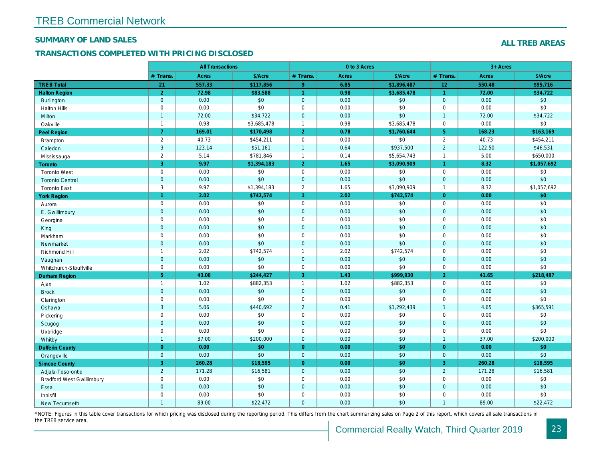### SUMMARY OF LAND SALES

## TRANSACTIONS COMPLETED WITH PRICING DISCLOSED

|                                  |                | <b>All Transactions</b> |                 |                      | 0 to 3 Acres |             |                |
|----------------------------------|----------------|-------------------------|-----------------|----------------------|--------------|-------------|----------------|
|                                  | # Trans.       | Acres                   | \$/Acre         | # Trans.             | Acres        | \$/Acre     | # Trans.       |
| <b>TREB Total</b>                | 21             | 557.33                  | \$117,856       | 9                    | 6.85         | \$1,896,487 | 12             |
| <b>Halton Region</b>             | $\overline{2}$ | 72.98                   | \$83,588        | $\overline{1}$       | 0.98         | \$3,685,478 | $\overline{1}$ |
| <b>Burlington</b>                | $\mathbf{0}$   | 0.00                    | \$0             | $\mathbf 0$          | 0.00         | \$0         | $\mathbf{0}$   |
| <b>Halton Hills</b>              | $\mathbf 0$    | 0.00                    | \$0             | $\pmb{0}$            | 0.00         | \$0         | $\mathbf 0$    |
| Milton                           | $\overline{1}$ | 72.00                   | \$34,722        | $\mathbf 0$          | 0.00         | \$0         | $\overline{1}$ |
| Oakville                         | $\mathbf{1}$   | 0.98                    | \$3,685,478     | $\mathbf{1}$         | 0.98         | \$3,685,478 | $\mathbf 0$    |
| Peel Region                      | $\overline{7}$ | 169.01                  | \$170,498       | $\overline{2}$       | 0.78         | \$1,760,644 | 5 <sub>5</sub> |
| <b>Brampton</b>                  | $\overline{2}$ | 40.73                   | \$454,211       | $\mathbf 0$          | 0.00         | \$0         | 2              |
| Caledon                          | $\mathbf{3}$   | 123.14                  | \$51,161        | $\mathbf{1}$         | 0.64         | \$937,500   | $\overline{2}$ |
| Mississauga                      | $\overline{2}$ | 5.14                    | \$781,846       | $\mathbf{1}$         | 0.14         | \$5,654,743 | $\overline{1}$ |
| Toronto                          | 3              | 9.97                    | \$1,394,183     | $\overline{2}$       | 1.65         | \$3,090,909 | $\mathbf{1}$   |
| <b>Toronto West</b>              | $\mathbf 0$    | 0.00                    | \$0             | $\mathbf 0$          | 0.00         | \$0         | $\mathbf 0$    |
| <b>Toronto Central</b>           | $\pmb{0}$      | 0.00                    | \$0             | $\pmb{0}$            | 0.00         | \$0         | $\mathbf{0}$   |
| <b>Toronto East</b>              | 3              | 9.97                    | \$1,394,183     | $\overline{2}$       | 1.65         | \$3,090,909 | $\overline{1}$ |
| <b>York Region</b>               | $\overline{1}$ | 2.02                    | \$742,574       | $\blacktriangleleft$ | 2.02         | \$742,574   | $\Omega$       |
| Aurora                           | $\mathbf 0$    | 0.00                    | \$0             | $\mathbf 0$          | 0.00         | \$0         | $\mathbf 0$    |
| E. Gwillimbury                   | $\mathbf{0}$   | 0.00                    | \$0             | $\mathbf 0$          | 0.00         | \$0         | $\mathbf{0}$   |
| Georgina                         | $\mathbf 0$    | 0.00                    | \$0             | $\mathbf 0$          | 0.00         | \$0         | $\mathbf 0$    |
| King                             | $\mathbf{0}$   | 0.00                    | \$0             | $\mathbf 0$          | 0.00         | \$0         | $\overline{0}$ |
| Markham                          | $\mathbf 0$    | 0.00                    | \$0             | $\pmb{0}$            | 0.00         | \$0         | $\mathbf 0$    |
| Newmarket                        | $\mathbf{0}$   | 0.00                    | \$0             | $\mathbf{0}$         | 0.00         | \$0         | $\mathbf{0}$   |
| Richmond Hill                    | $\mathbf{1}$   | 2.02                    | \$742,574       | $\mathbf{1}$         | 2.02         | \$742,574   | $\mathbf 0$    |
| Vaughan                          | $\mathbf{0}$   | 0.00                    | \$0             | $\mathbf 0$          | 0.00         | \$0         | $\mathbf 0$    |
| Whitchurch-Stouffville           | $\mathbf 0$    | 0.00                    | \$0             | $\pmb{0}$            | 0.00         | \$0         | $\mathbf 0$    |
| Durham Region                    | 5 <sup>5</sup> | 43.08                   | \$244,427       | 3                    | 1.43         | \$999,930   | 2 <sup>1</sup> |
| Ajax                             | $\mathbf{1}$   | 1.02                    | \$882,353       | $\mathbf{1}$         | 1.02         | \$882,353   | $\mathbf 0$    |
| <b>Brock</b>                     | $\mathbf{0}$   | 0.00                    | \$0             | $\mathbf 0$          | 0.00         | \$0         | $\mathbf{0}$   |
| Clarington                       | $\mathsf 0$    | 0.00                    | \$0             | $\mathbf 0$          | 0.00         | \$0         | $\mathbf 0$    |
| Oshawa                           | $\mathbf{3}$   | 5.06                    | \$440,692       | $\overline{2}$       | 0.41         | \$1,292,439 | $\overline{1}$ |
| Pickering                        | $\mathsf 0$    | 0.00                    | \$0             | $\pmb{0}$            | 0.00         | \$0         | $\mathbf 0$    |
| Scugog                           | $\mathbf 0$    | 0.00                    | \$0             | $\pmb{0}$            | 0.00         | \$0         | $\mathbf{0}$   |
| Uxbridge                         | $\mathbf 0$    | 0.00                    | \$0             | $\mathbf 0$          | 0.00         | \$0         | $\mathbf 0$    |
| Whitby                           | $\overline{1}$ | 37.00                   | \$200,000       | $\mathbf 0$          | 0.00         | \$0         | $\overline{1}$ |
| <b>Dufferin County</b>           | $\overline{0}$ | 0.00                    | \$0             | $\mathbf{0}$         | 0.00         | \$0         | $\overline{0}$ |
| Orangeville                      | $\mathbf{0}$   | 0.00                    | $\overline{60}$ | $\mathbf 0$          | 0.00         | \$0         | $\mathbf{0}$   |
| <b>Simcoe County</b>             | 3              | 260.28                  | \$18,595        | $\mathbf{0}$         | 0.00         | \$0         | 3              |
| Adjala-Tosorontio                | $\overline{2}$ | 171.28                  | \$16,581        | $\mathbf 0$          | 0.00         | $\sqrt{$0}$ | $\overline{2}$ |
| <b>Bradford West Gwillimbury</b> | $\mathbf 0$    | 0.00                    | \$0             | $\pmb{0}$            | 0.00         | \$0         | $\mathbf 0$    |
| Essa                             | $\overline{0}$ | 0.00                    | \$0             | $\mathbf{0}$         | 0.00         | \$0         | $\mathbf{0}$   |
| Innisfil                         | $\mathbf 0$    | 0.00                    | \$0             | $\pmb{0}$            | 0.00         | \$0         | 0              |
| New Tecumseth                    | $\overline{1}$ | 89.00                   | \$22,472        | $\mathbf{0}$         | 0.00         | \$0         | $\overline{1}$ |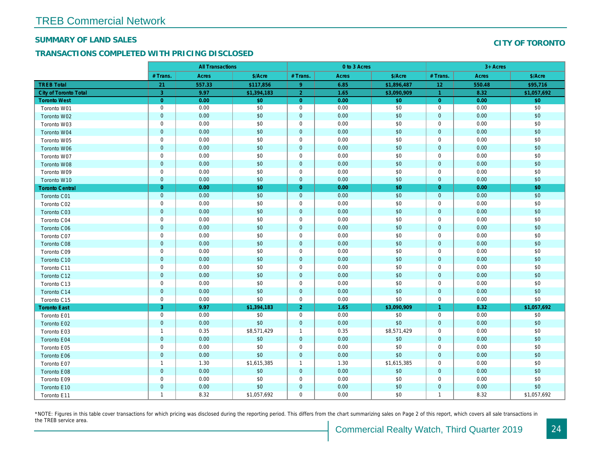### SUMMARY OF LAND SALES

## TRANSACTIONS COMPLETED WITH PRICING DISCLOSED

|                              |                | <b>All Transactions</b> |             |                | 0 to 3 Acres |             |                |  |
|------------------------------|----------------|-------------------------|-------------|----------------|--------------|-------------|----------------|--|
|                              | # Trans.       | Acres                   | \$/Acre     | # Trans.       | Acres        | \$/Acre     | # Trans.       |  |
| <b>TREB Total</b>            | 21             | 557.33                  | \$117,856   | 9 <sup>°</sup> | 6.85         | \$1,896,487 | 12             |  |
| <b>City of Toronto Total</b> | 3              | 9.97                    | \$1,394,183 | $\overline{2}$ | 1.65         | \$3,090,909 | $\overline{1}$ |  |
| <b>Toronto West</b>          | $\overline{0}$ | 0.00                    | \$0         | $\overline{0}$ | 0.00         | \$0         | $\Omega$       |  |
| Toronto W01                  | $\pmb{0}$      | 0.00                    | \$0         | $\mathbf 0$    | 0.00         | \$0         | $\mathbf 0$    |  |
| Toronto W02                  | $\mathbf 0$    | 0.00                    | \$0         | $\mathbf 0$    | 0.00         | \$0         | $\mathbf 0$    |  |
| Toronto W03                  | $\pmb{0}$      | 0.00                    | \$0         | $\mathbf 0$    | 0.00         | \$0         | $\mathbf 0$    |  |
| Toronto W04                  | $\mathbf 0$    | 0.00                    | \$0         | $\mathbf 0$    | 0.00         | \$0         | $\overline{0}$ |  |
| Toronto W05                  | $\pmb{0}$      | 0.00                    | \$0         | $\mathbf 0$    | 0.00         | \$0         | $\mathbf 0$    |  |
| Toronto W06                  | $\pmb{0}$      | 0.00                    | $$0$$       | $\mathbf 0$    | 0.00         | \$0         | $\mathbf 0$    |  |
| Toronto W07                  | $\pmb{0}$      | 0.00                    | \$0         | $\mathbf 0$    | 0.00         | \$0         | $\mathbf 0$    |  |
| <b>Toronto W08</b>           | $\mathbf 0$    | 0.00                    | \$0         | $\mathbf 0$    | 0.00         | \$0         | $\overline{0}$ |  |
| Toronto W09                  | $\pmb{0}$      | 0.00                    | \$0         | $\mathbf 0$    | 0.00         | \$0         | $\mathbf 0$    |  |
| Toronto W10                  | $\mathbf 0$    | 0.00                    | \$0         | $\mathbf 0$    | 0.00         | \$0         | $\mathbf 0$    |  |
| <b>Toronto Central</b>       | $\mathbf{0}$   | 0.00                    | \$0         | $\overline{0}$ | 0.00         | \$0         | $\overline{0}$ |  |
| <b>Toronto C01</b>           | $\mathbf 0$    | 0.00                    | \$0         | $\mathbf 0$    | 0.00         | \$0         | $\overline{0}$ |  |
| Toronto C02                  | $\pmb{0}$      | 0.00                    | \$0         | $\mathbf 0$    | 0.00         | \$0         | $\mathbf 0$    |  |
| Toronto C03                  | $\mathbf 0$    | 0.00                    | \$0         | $\mathbf 0$    | 0.00         | \$0         | $\mathbf 0$    |  |
| Toronto C04                  | $\pmb{0}$      | 0.00                    | \$0         | $\mathbf 0$    | 0.00         | \$0         | $\mathbf 0$    |  |
| <b>Toronto C06</b>           | $\pmb{0}$      | 0.00                    | \$0         | $\pmb{0}$      | 0.00         | \$0         | $\mathbf 0$    |  |
| Toronto C07                  | $\pmb{0}$      | 0.00                    | \$0         | $\mathbf 0$    | 0.00         | \$0         | $\mathbf 0$    |  |
| Toronto C08                  | $\mathbf 0$    | 0.00                    | \$0         | $\mathbf 0$    | 0.00         | \$0         | $\mathbf{0}$   |  |
| Toronto C09                  | $\pmb{0}$      | 0.00                    | \$0         | $\mathbf 0$    | 0.00         | \$0         | $\mathbf 0$    |  |
| Toronto C10                  | $\mathbf 0$    | 0.00                    | \$0         | $\mathbf 0$    | 0.00         | \$0         | $\mathbf 0$    |  |
| Toronto C11                  | $\pmb{0}$      | 0.00                    | \$0         | $\mathbf 0$    | 0.00         | \$0         | $\mathbf 0$    |  |
| Toronto C12                  | $\mathbf 0$    | 0.00                    | \$0         | $\mathbf 0$    | 0.00         | \$0         | $\mathbf{0}$   |  |
| Toronto C13                  | $\pmb{0}$      | 0.00                    | \$0         | $\mathbf 0$    | 0.00         | \$0         | $\mathbf 0$    |  |
| Toronto C14                  | $\pmb{0}$      | 0.00                    | \$0         | $\pmb{0}$      | 0.00         | \$0         | $\mathbf 0$    |  |
| Toronto C15                  | $\pmb{0}$      | 0.00                    | \$0         | $\mathbf 0$    | 0.00         | \$0         | $\mathbf 0$    |  |
| <b>Toronto East</b>          | 3              | 9.97                    | \$1,394,183 | $\overline{2}$ | 1.65         | \$3,090,909 | $\overline{1}$ |  |
| Toronto E01                  | $\pmb{0}$      | 0.00                    | \$0         | $\mathbf 0$    | 0.00         | \$0         | $\mathbf 0$    |  |
| Toronto E02                  | $\mathbf 0$    | 0.00                    | \$0         | $\pmb{0}$      | 0.00         | \$0         | $\mathbf{0}$   |  |
| Toronto E03                  | $\mathbf{1}$   | 0.35                    | \$8,571,429 | $\overline{1}$ | 0.35         | \$8,571,429 | $\mathbf 0$    |  |
| Toronto E04                  | $\mathbf 0$    | 0.00                    | \$0         | $\mathbf 0$    | 0.00         | \$0         | $\mathbf{0}$   |  |
| Toronto E05                  | $\mathbf 0$    | 0.00                    | \$0         | $\mathbf 0$    | 0.00         | \$0         | $\mathbf 0$    |  |
| Toronto E06                  | $\mathbf 0$    | 0.00                    | \$0         | $\mathbf 0$    | 0.00         | \$0         | $\mathbf 0$    |  |
| Toronto E07                  | $\mathbf{1}$   | 1.30                    | \$1,615,385 | $\mathbf{1}$   | 1.30         | \$1,615,385 | $\mathbf 0$    |  |
| Toronto E08                  | $\mathbf 0$    | 0.00                    | \$0         | $\pmb{0}$      | 0.00         | \$0         | $\mathbf{0}$   |  |
| Toronto E09                  | $\mathbf 0$    | 0.00                    | \$0         | $\mathbf 0$    | 0.00         | \$0         | $\mathbf 0$    |  |
| Toronto E10                  | $\mathbf 0$    | 0.00                    | \$0         | $\mathbf 0$    | 0.00         | \$0         | $\mathbf 0$    |  |
| Toronto E11                  | $\mathbf{1}$   | 8.32                    | \$1,057,692 | $\mathbf 0$    | 0.00         | \$0         | $\mathbf{1}$   |  |